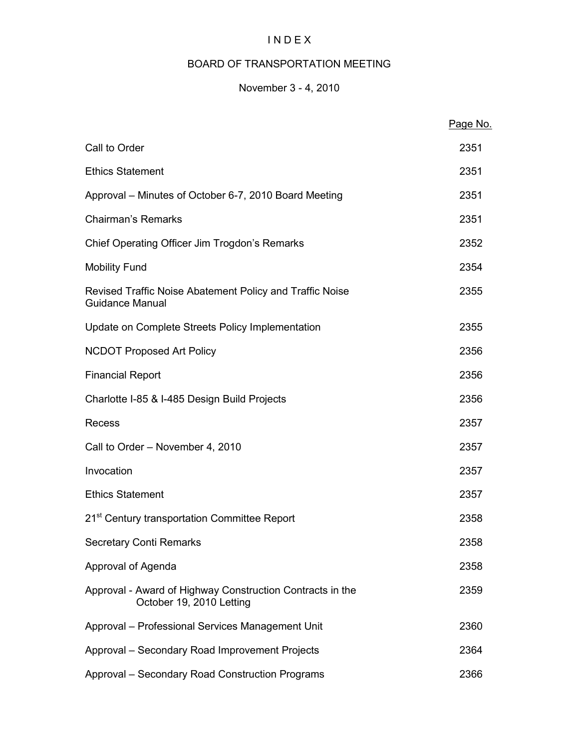# I N D E X

# BOARD OF TRANSPORTATION MEETING

# November 3 - 4, 2010

|                                                                                       | Page No. |
|---------------------------------------------------------------------------------------|----------|
| Call to Order                                                                         | 2351     |
| <b>Ethics Statement</b>                                                               | 2351     |
| Approval – Minutes of October 6-7, 2010 Board Meeting                                 | 2351     |
| <b>Chairman's Remarks</b>                                                             | 2351     |
| Chief Operating Officer Jim Trogdon's Remarks                                         | 2352     |
| <b>Mobility Fund</b>                                                                  | 2354     |
| Revised Traffic Noise Abatement Policy and Traffic Noise<br><b>Guidance Manual</b>    | 2355     |
| Update on Complete Streets Policy Implementation                                      | 2355     |
| <b>NCDOT Proposed Art Policy</b>                                                      | 2356     |
| <b>Financial Report</b>                                                               | 2356     |
| Charlotte I-85 & I-485 Design Build Projects                                          | 2356     |
| Recess                                                                                | 2357     |
| Call to Order - November 4, 2010                                                      | 2357     |
| Invocation                                                                            | 2357     |
| <b>Ethics Statement</b>                                                               | 2357     |
| 21 <sup>st</sup> Century transportation Committee Report                              | 2358     |
| <b>Secretary Conti Remarks</b>                                                        | 2358     |
| Approval of Agenda                                                                    | 2358     |
| Approval - Award of Highway Construction Contracts in the<br>October 19, 2010 Letting | 2359     |
| Approval - Professional Services Management Unit                                      | 2360     |
| Approval - Secondary Road Improvement Projects                                        | 2364     |
| Approval - Secondary Road Construction Programs                                       | 2366     |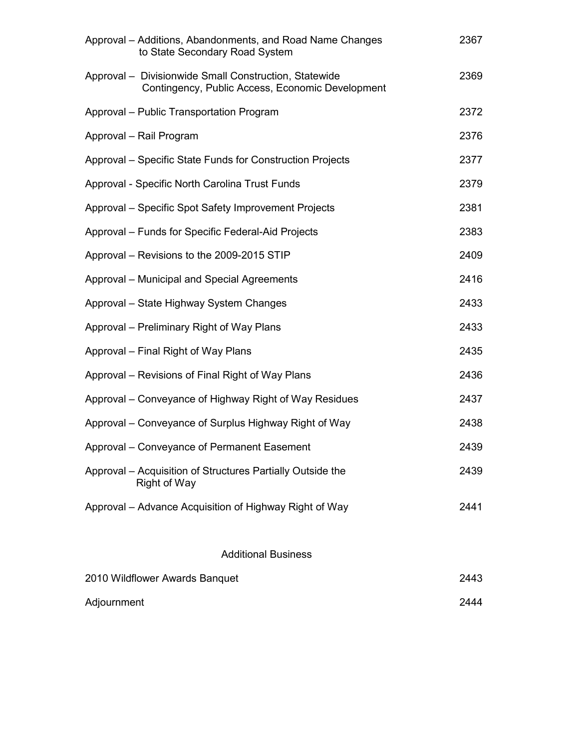| Approval – Additions, Abandonments, and Road Name Changes<br>to State Secondary Road System               | 2367 |
|-----------------------------------------------------------------------------------------------------------|------|
| Approval - Divisionwide Small Construction, Statewide<br>Contingency, Public Access, Economic Development | 2369 |
| Approval – Public Transportation Program                                                                  | 2372 |
| Approval - Rail Program                                                                                   | 2376 |
| Approval – Specific State Funds for Construction Projects                                                 | 2377 |
| Approval - Specific North Carolina Trust Funds                                                            | 2379 |
| Approval – Specific Spot Safety Improvement Projects                                                      | 2381 |
| Approval - Funds for Specific Federal-Aid Projects                                                        | 2383 |
| Approval – Revisions to the 2009-2015 STIP                                                                | 2409 |
| Approval - Municipal and Special Agreements                                                               | 2416 |
| Approval – State Highway System Changes                                                                   | 2433 |
| Approval – Preliminary Right of Way Plans                                                                 | 2433 |
| Approval – Final Right of Way Plans                                                                       | 2435 |
| Approval – Revisions of Final Right of Way Plans                                                          | 2436 |
| Approval – Conveyance of Highway Right of Way Residues                                                    | 2437 |
| Approval – Conveyance of Surplus Highway Right of Way                                                     | 2438 |
| Approval – Conveyance of Permanent Easement                                                               | 2439 |
| Approval – Acquisition of Structures Partially Outside the<br><b>Right of Way</b>                         | 2439 |
| Approval – Advance Acquisition of Highway Right of Way                                                    | 2441 |
|                                                                                                           |      |

# Additional Business

| 2010 Wildflower Awards Banquet | 2443 |
|--------------------------------|------|
| Adjournment                    | 2444 |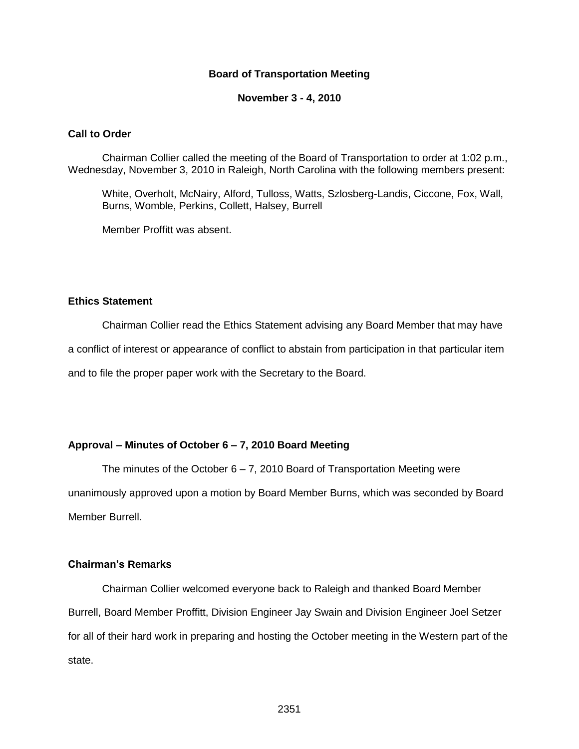#### **Board of Transportation Meeting**

#### **November 3 - 4, 2010**

#### **Call to Order**

Chairman Collier called the meeting of the Board of Transportation to order at 1:02 p.m., Wednesday, November 3, 2010 in Raleigh, North Carolina with the following members present:

White, Overholt, McNairy, Alford, Tulloss, Watts, Szlosberg-Landis, Ciccone, Fox, Wall, Burns, Womble, Perkins, Collett, Halsey, Burrell

Member Proffitt was absent.

#### **Ethics Statement**

Chairman Collier read the Ethics Statement advising any Board Member that may have

a conflict of interest or appearance of conflict to abstain from participation in that particular item

and to file the proper paper work with the Secretary to the Board.

#### **Approval – Minutes of October 6 – 7, 2010 Board Meeting**

The minutes of the October  $6 - 7$ , 2010 Board of Transportation Meeting were unanimously approved upon a motion by Board Member Burns, which was seconded by Board Member Burrell.

## **Chairman's Remarks**

Chairman Collier welcomed everyone back to Raleigh and thanked Board Member Burrell, Board Member Proffitt, Division Engineer Jay Swain and Division Engineer Joel Setzer for all of their hard work in preparing and hosting the October meeting in the Western part of the state.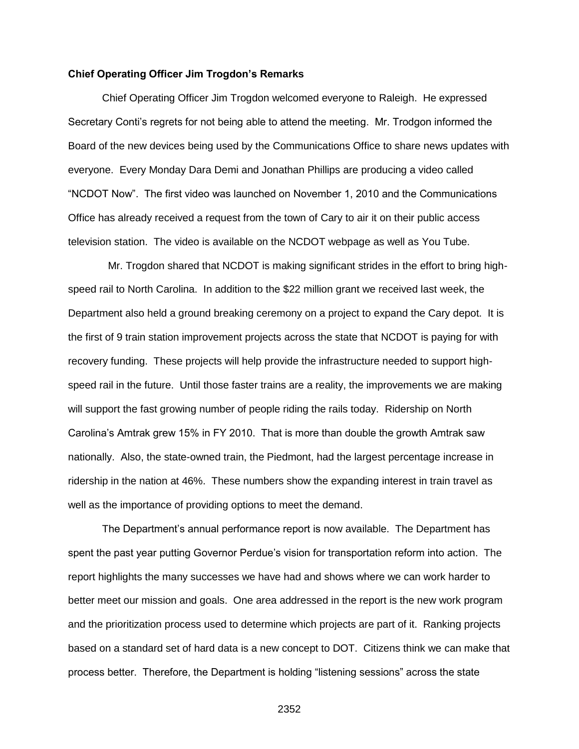#### **Chief Operating Officer Jim Trogdon's Remarks**

Chief Operating Officer Jim Trogdon welcomed everyone to Raleigh. He expressed Secretary Conti's regrets for not being able to attend the meeting. Mr. Trodgon informed the Board of the new devices being used by the Communications Office to share news updates with everyone. Every Monday Dara Demi and Jonathan Phillips are producing a video called "NCDOT Now". The first video was launched on November 1, 2010 and the Communications Office has already received a request from the town of Cary to air it on their public access television station. The video is available on the NCDOT webpage as well as You Tube.

 Mr. Trogdon shared that NCDOT is making significant strides in the effort to bring highspeed rail to North Carolina. In addition to the \$22 million grant we received last week, the Department also held a ground breaking ceremony on a project to expand the Cary depot. It is the first of 9 train station improvement projects across the state that NCDOT is paying for with recovery funding. These projects will help provide the infrastructure needed to support highspeed rail in the future. Until those faster trains are a reality, the improvements we are making will support the fast growing number of people riding the rails today. Ridership on North Carolina's Amtrak grew 15% in FY 2010. That is more than double the growth Amtrak saw nationally. Also, the state-owned train, the Piedmont, had the largest percentage increase in ridership in the nation at 46%. These numbers show the expanding interest in train travel as well as the importance of providing options to meet the demand.

The Department's annual performance report is now available. The Department has spent the past year putting Governor Perdue's vision for transportation reform into action. The report highlights the many successes we have had and shows where we can work harder to better meet our mission and goals. One area addressed in the report is the new work program and the prioritization process used to determine which projects are part of it. Ranking projects based on a standard set of hard data is a new concept to DOT. Citizens think we can make that process better. Therefore, the Department is holding "listening sessions" across the state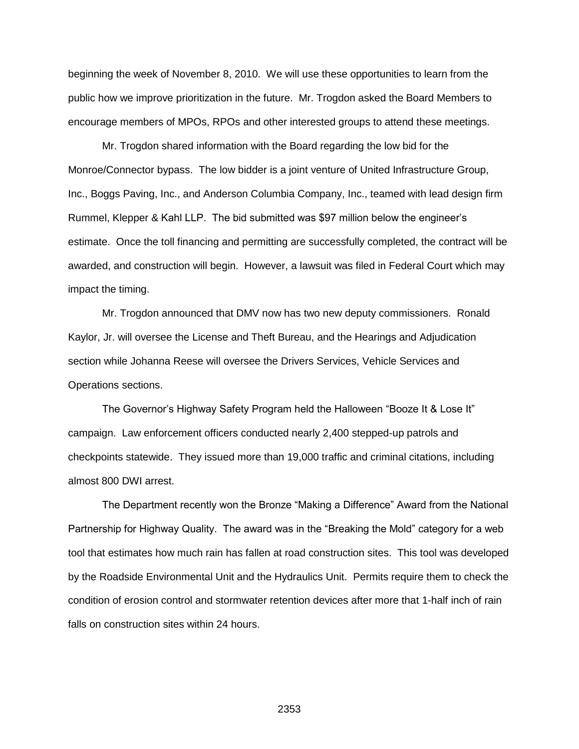beginning the week of November 8, 2010. We will use these opportunities to learn from the public how we improve prioritization in the future. Mr. Trogdon asked the Board Members to encourage members of MPOs, RPOs and other interested groups to attend these meetings.

Mr. Trogdon shared information with the Board regarding the low bid for the Monroe/Connector bypass. The low bidder is a joint venture of United Infrastructure Group, Inc., Boggs Paving, Inc., and Anderson Columbia Company, Inc., teamed with lead design firm Rummel, Klepper & Kahl LLP. The bid submitted was \$97 million below the engineer's estimate. Once the toll financing and permitting are successfully completed, the contract will be awarded, and construction will begin. However, a lawsuit was filed in Federal Court which may impact the timing.

Mr. Trogdon announced that DMV now has two new deputy commissioners. Ronald Kaylor, Jr. will oversee the License and Theft Bureau, and the Hearings and Adjudication section while Johanna Reese will oversee the Drivers Services, Vehicle Services and Operations sections.

The Governor's Highway Safety Program held the Halloween "Booze It & Lose It" campaign. Law enforcement officers conducted nearly 2,400 stepped-up patrols and checkpoints statewide. They issued more than 19,000 traffic and criminal citations, including almost 800 DWI arrest.

The Department recently won the Bronze "Making a Difference" Award from the National Partnership for Highway Quality. The award was in the "Breaking the Mold" category for a web tool that estimates how much rain has fallen at road construction sites. This tool was developed by the Roadside Environmental Unit and the Hydraulics Unit. Permits require them to check the condition of erosion control and stormwater retention devices after more that 1-half inch of rain falls on construction sites within 24 hours.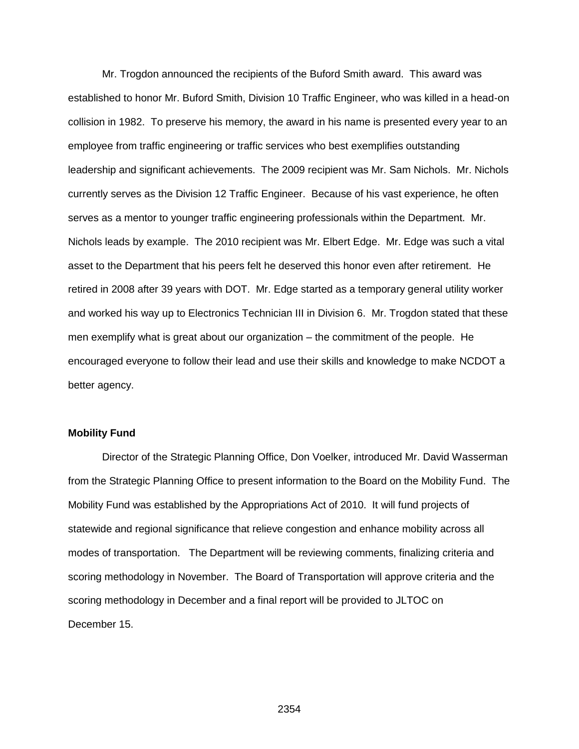Mr. Trogdon announced the recipients of the Buford Smith award. This award was established to honor Mr. Buford Smith, Division 10 Traffic Engineer, who was killed in a head-on collision in 1982. To preserve his memory, the award in his name is presented every year to an employee from traffic engineering or traffic services who best exemplifies outstanding leadership and significant achievements. The 2009 recipient was Mr. Sam Nichols. Mr. Nichols currently serves as the Division 12 Traffic Engineer. Because of his vast experience, he often serves as a mentor to younger traffic engineering professionals within the Department. Mr. Nichols leads by example. The 2010 recipient was Mr. Elbert Edge. Mr. Edge was such a vital asset to the Department that his peers felt he deserved this honor even after retirement. He retired in 2008 after 39 years with DOT. Mr. Edge started as a temporary general utility worker and worked his way up to Electronics Technician III in Division 6. Mr. Trogdon stated that these men exemplify what is great about our organization – the commitment of the people. He encouraged everyone to follow their lead and use their skills and knowledge to make NCDOT a better agency.

#### **Mobility Fund**

Director of the Strategic Planning Office, Don Voelker, introduced Mr. David Wasserman from the Strategic Planning Office to present information to the Board on the Mobility Fund. The Mobility Fund was established by the Appropriations Act of 2010. It will fund projects of statewide and regional significance that relieve congestion and enhance mobility across all modes of transportation. The Department will be reviewing comments, finalizing criteria and scoring methodology in November. The Board of Transportation will approve criteria and the scoring methodology in December and a final report will be provided to JLTOC on December 15.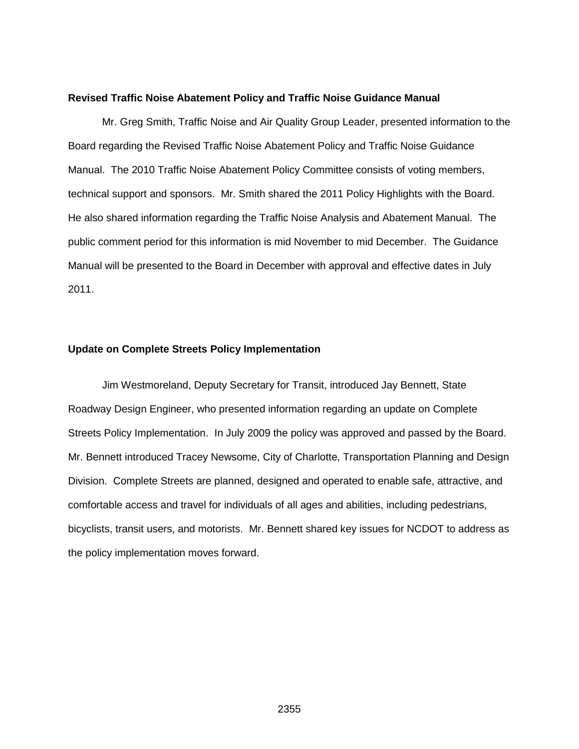#### **Revised Traffic Noise Abatement Policy and Traffic Noise Guidance Manual**

Mr. Greg Smith, Traffic Noise and Air Quality Group Leader, presented information to the Board regarding the Revised Traffic Noise Abatement Policy and Traffic Noise Guidance Manual. The 2010 Traffic Noise Abatement Policy Committee consists of voting members, technical support and sponsors. Mr. Smith shared the 2011 Policy Highlights with the Board. He also shared information regarding the Traffic Noise Analysis and Abatement Manual. The public comment period for this information is mid November to mid December. The Guidance Manual will be presented to the Board in December with approval and effective dates in July 2011.

#### **Update on Complete Streets Policy Implementation**

Jim Westmoreland, Deputy Secretary for Transit, introduced Jay Bennett, State Roadway Design Engineer, who presented information regarding an update on Complete Streets Policy Implementation. In July 2009 the policy was approved and passed by the Board. Mr. Bennett introduced Tracey Newsome, City of Charlotte, Transportation Planning and Design Division. Complete Streets are planned, designed and operated to enable safe, attractive, and comfortable access and travel for individuals of all ages and abilities, including pedestrians, bicyclists, transit users, and motorists. Mr. Bennett shared key issues for NCDOT to address as the policy implementation moves forward.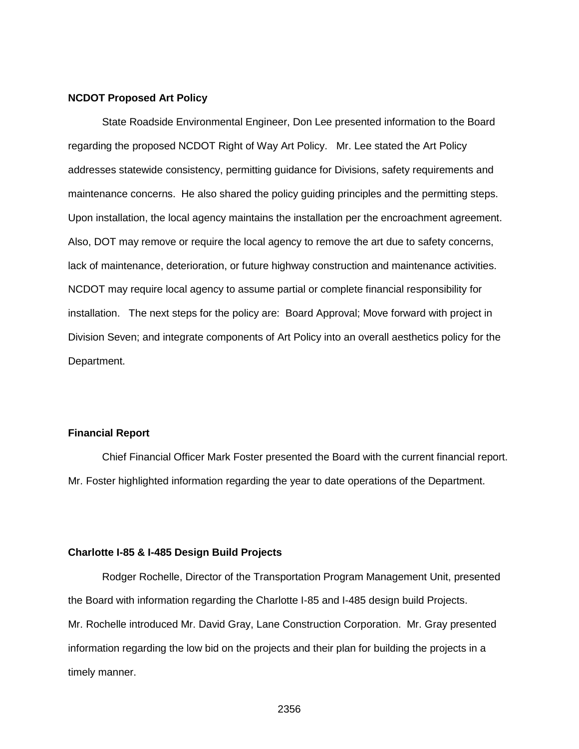#### **NCDOT Proposed Art Policy**

State Roadside Environmental Engineer, Don Lee presented information to the Board regarding the proposed NCDOT Right of Way Art Policy. Mr. Lee stated the Art Policy addresses statewide consistency, permitting guidance for Divisions, safety requirements and maintenance concerns. He also shared the policy guiding principles and the permitting steps. Upon installation, the local agency maintains the installation per the encroachment agreement. Also, DOT may remove or require the local agency to remove the art due to safety concerns, lack of maintenance, deterioration, or future highway construction and maintenance activities. NCDOT may require local agency to assume partial or complete financial responsibility for installation. The next steps for the policy are: Board Approval; Move forward with project in Division Seven; and integrate components of Art Policy into an overall aesthetics policy for the Department.

#### **Financial Report**

Chief Financial Officer Mark Foster presented the Board with the current financial report. Mr. Foster highlighted information regarding the year to date operations of the Department.

#### **Charlotte I-85 & I-485 Design Build Projects**

Rodger Rochelle, Director of the Transportation Program Management Unit, presented the Board with information regarding the Charlotte I-85 and I-485 design build Projects. Mr. Rochelle introduced Mr. David Gray, Lane Construction Corporation. Mr. Gray presented information regarding the low bid on the projects and their plan for building the projects in a timely manner.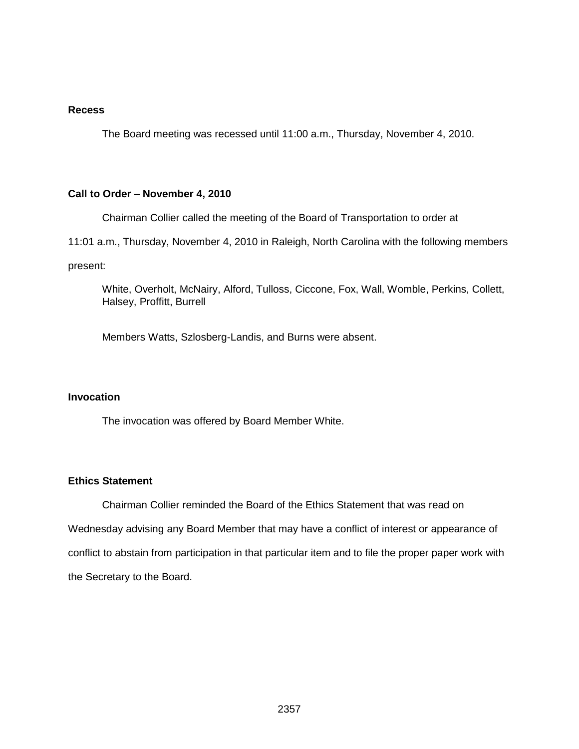### **Recess**

The Board meeting was recessed until 11:00 a.m., Thursday, November 4, 2010.

#### **Call to Order – November 4, 2010**

Chairman Collier called the meeting of the Board of Transportation to order at

11:01 a.m., Thursday, November 4, 2010 in Raleigh, North Carolina with the following members

present:

White, Overholt, McNairy, Alford, Tulloss, Ciccone, Fox, Wall, Womble, Perkins, Collett, Halsey, Proffitt, Burrell

Members Watts, Szlosberg-Landis, and Burns were absent.

#### **Invocation**

The invocation was offered by Board Member White.

### **Ethics Statement**

Chairman Collier reminded the Board of the Ethics Statement that was read on Wednesday advising any Board Member that may have a conflict of interest or appearance of conflict to abstain from participation in that particular item and to file the proper paper work with the Secretary to the Board.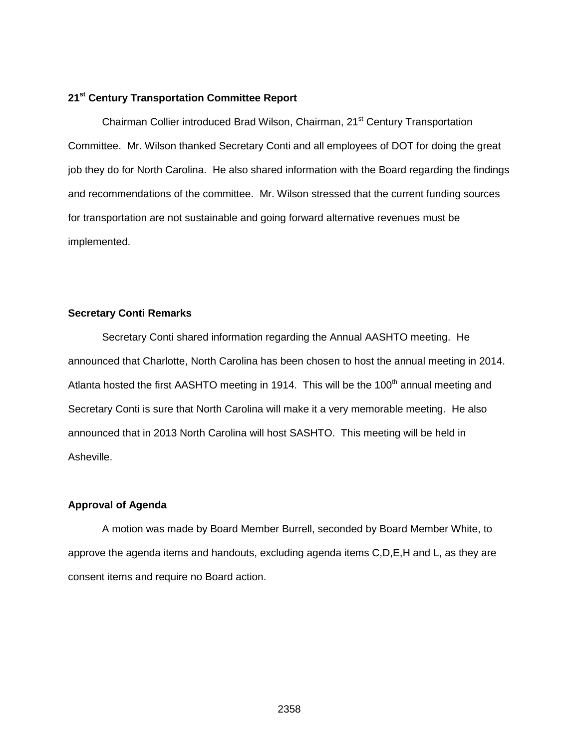#### **21st Century Transportation Committee Report**

Chairman Collier introduced Brad Wilson, Chairman, 21<sup>st</sup> Century Transportation Committee. Mr. Wilson thanked Secretary Conti and all employees of DOT for doing the great job they do for North Carolina. He also shared information with the Board regarding the findings and recommendations of the committee. Mr. Wilson stressed that the current funding sources for transportation are not sustainable and going forward alternative revenues must be implemented.

#### **Secretary Conti Remarks**

Secretary Conti shared information regarding the Annual AASHTO meeting. He announced that Charlotte, North Carolina has been chosen to host the annual meeting in 2014. Atlanta hosted the first AASHTO meeting in 1914. This will be the 100<sup>th</sup> annual meeting and Secretary Conti is sure that North Carolina will make it a very memorable meeting. He also announced that in 2013 North Carolina will host SASHTO. This meeting will be held in Asheville.

#### **Approval of Agenda**

A motion was made by Board Member Burrell, seconded by Board Member White, to approve the agenda items and handouts, excluding agenda items C,D,E,H and L, as they are consent items and require no Board action.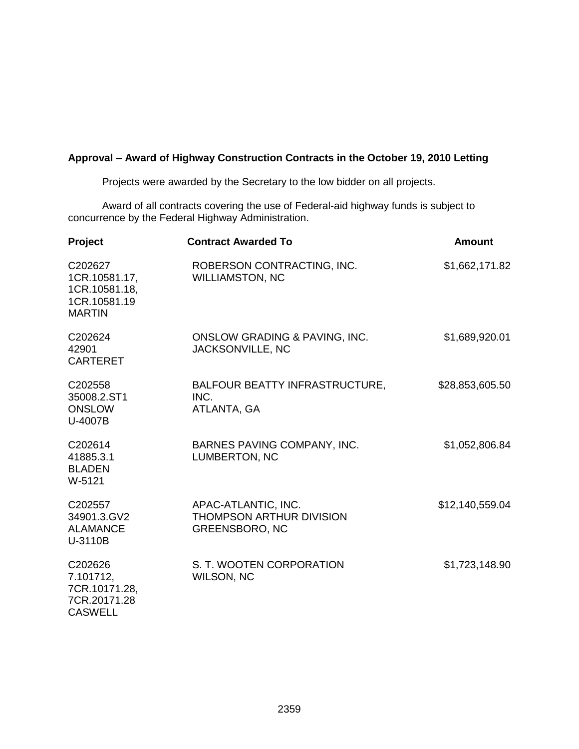## **Approval – Award of Highway Construction Contracts in the October 19, 2010 Letting**

Projects were awarded by the Secretary to the low bidder on all projects.

Award of all contracts covering the use of Federal-aid highway funds is subject to concurrence by the Federal Highway Administration.

| <b>Project</b>                                                             | <b>Contract Awarded To</b>                                                      | <b>Amount</b>   |
|----------------------------------------------------------------------------|---------------------------------------------------------------------------------|-----------------|
| C202627<br>1CR.10581.17,<br>1CR.10581.18,<br>1CR.10581.19<br><b>MARTIN</b> | ROBERSON CONTRACTING, INC.<br><b>WILLIAMSTON, NC</b>                            | \$1,662,171.82  |
| C202624<br>42901<br><b>CARTERET</b>                                        | ONSLOW GRADING & PAVING, INC.<br>JACKSONVILLE, NC                               | \$1,689,920.01  |
| C <sub>202558</sub><br>35008.2.ST1<br><b>ONSLOW</b><br>U-4007B             | BALFOUR BEATTY INFRASTRUCTURE,<br>INC.<br>ATLANTA, GA                           | \$28,853,605.50 |
| C202614<br>41885.3.1<br><b>BLADEN</b><br>W-5121                            | BARNES PAVING COMPANY, INC.<br>LUMBERTON, NC                                    | \$1,052,806.84  |
| C202557<br>34901.3.GV2<br><b>ALAMANCE</b><br>U-3110B                       | APAC-ATLANTIC, INC.<br><b>THOMPSON ARTHUR DIVISION</b><br><b>GREENSBORO, NC</b> | \$12,140,559.04 |
| C202626<br>7.101712,<br>7CR.10171.28,<br>7CR.20171.28<br><b>CASWELL</b>    | S. T. WOOTEN CORPORATION<br><b>WILSON, NC</b>                                   | \$1,723,148.90  |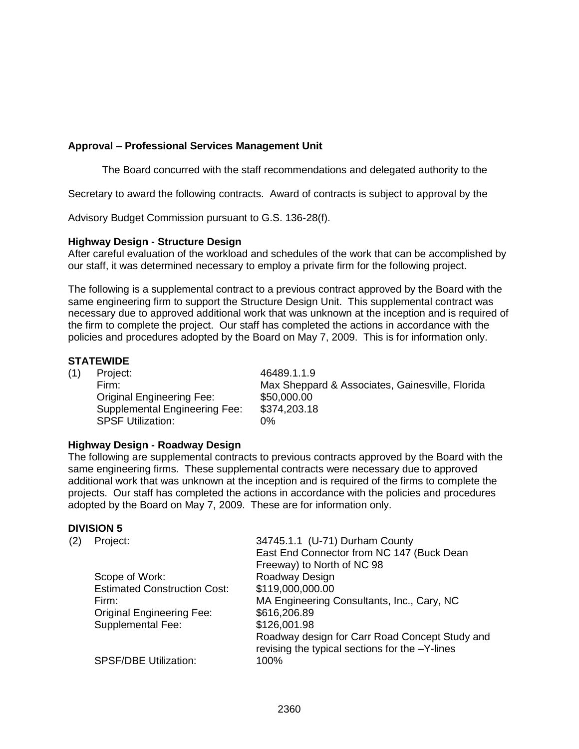## **Approval – Professional Services Management Unit**

The Board concurred with the staff recommendations and delegated authority to the

Secretary to award the following contracts. Award of contracts is subject to approval by the

Advisory Budget Commission pursuant to G.S. 136-28(f).

### **Highway Design - Structure Design**

After careful evaluation of the workload and schedules of the work that can be accomplished by our staff, it was determined necessary to employ a private firm for the following project.

The following is a supplemental contract to a previous contract approved by the Board with the same engineering firm to support the Structure Design Unit. This supplemental contract was necessary due to approved additional work that was unknown at the inception and is required of the firm to complete the project. Our staff has completed the actions in accordance with the policies and procedures adopted by the Board on May 7, 2009. This is for information only.

### **STATEWIDE**

(1) Project: 46489.1.1.9 Original Engineering Fee: \$50,000.00 Supplemental Engineering Fee: \$374,203.18 SPSF Utilization: 0%

Firm: Max Sheppard & Associates, Gainesville, Florida

## **Highway Design - Roadway Design**

The following are supplemental contracts to previous contracts approved by the Board with the same engineering firms. These supplemental contracts were necessary due to approved additional work that was unknown at the inception and is required of the firms to complete the projects. Our staff has completed the actions in accordance with the policies and procedures adopted by the Board on May 7, 2009. These are for information only.

#### **DIVISION 5**

| (2) | Project:                            | 34745.1.1 (U-71) Durham County                                                                   |
|-----|-------------------------------------|--------------------------------------------------------------------------------------------------|
|     |                                     | East End Connector from NC 147 (Buck Dean                                                        |
|     |                                     | Freeway) to North of NC 98                                                                       |
|     | Scope of Work:                      | Roadway Design                                                                                   |
|     | <b>Estimated Construction Cost:</b> | \$119,000,000.00                                                                                 |
|     | Firm:                               | MA Engineering Consultants, Inc., Cary, NC                                                       |
|     | <b>Original Engineering Fee:</b>    | \$616,206.89                                                                                     |
|     | <b>Supplemental Fee:</b>            | \$126,001.98                                                                                     |
|     |                                     | Roadway design for Carr Road Concept Study and<br>revising the typical sections for the -Y-lines |
|     | <b>SPSF/DBE Utilization:</b>        | $100\%$                                                                                          |
|     |                                     |                                                                                                  |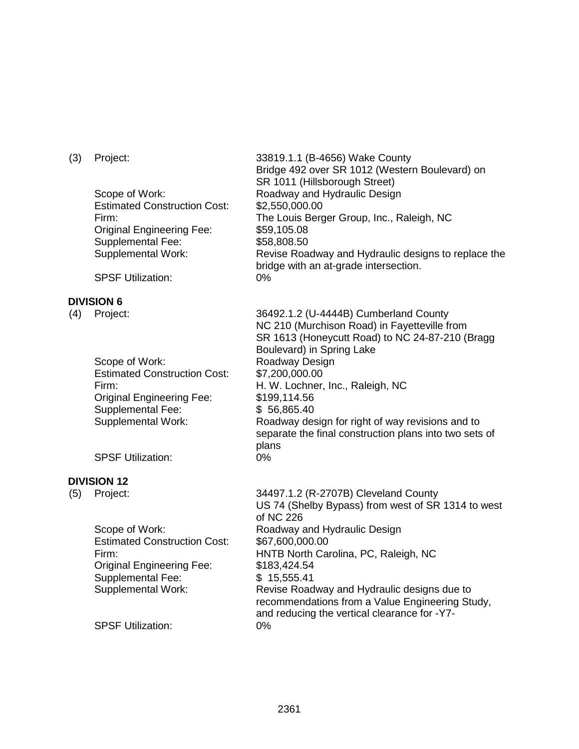Estimated Construction Cost: \$2,550,000.00 Original Engineering Fee: Supplemental Fee: Supplemental Work:

SPSF Utilization: 0%

### **DIVISION 6**

Scope of Work: Roadway Design Estimated Construction Cost: \$7,200,000.00 Original Engineering Fee: Supplemental Fee: Supplemental Work:

SPSF Utilization: 0%

### **DIVISION 12**

Estimated Construction Cost: \$67,600,000.00 Original Engineering Fee: Supplemental Fee: Supplemental Work:

SPSF Utilization: 0%

(3) Project: 33819.1.1 (B-4656) Wake County Bridge 492 over SR 1012 (Western Boulevard) on SR 1011 (Hillsborough Street) Scope of Work: Roadway and Hydraulic Design Firm: The Louis Berger Group, Inc., Raleigh, NC \$59,105.08 \$58,808.50 Revise Roadway and Hydraulic designs to replace the bridge with an at-grade intersection.

(4) Project: 36492.1.2 (U-4444B) Cumberland County NC 210 (Murchison Road) in Fayetteville from SR 1613 (Honeycutt Road) to NC 24-87-210 (Bragg Boulevard) in Spring Lake Firm: H. W. Lochner, Inc., Raleigh, NC \$199,114.56 \$ 56,865.40 Roadway design for right of way revisions and to separate the final construction plans into two sets of plans

(5) Project: 34497.1.2 (R-2707B) Cleveland County US 74 (Shelby Bypass) from west of SR 1314 to west of NC 226 Scope of Work: Roadway and Hydraulic Design Firm: HNTB North Carolina, PC, Raleigh, NC \$183,424.54 \$ 15,555.41 Revise Roadway and Hydraulic designs due to recommendations from a Value Engineering Study, and reducing the vertical clearance for -Y7-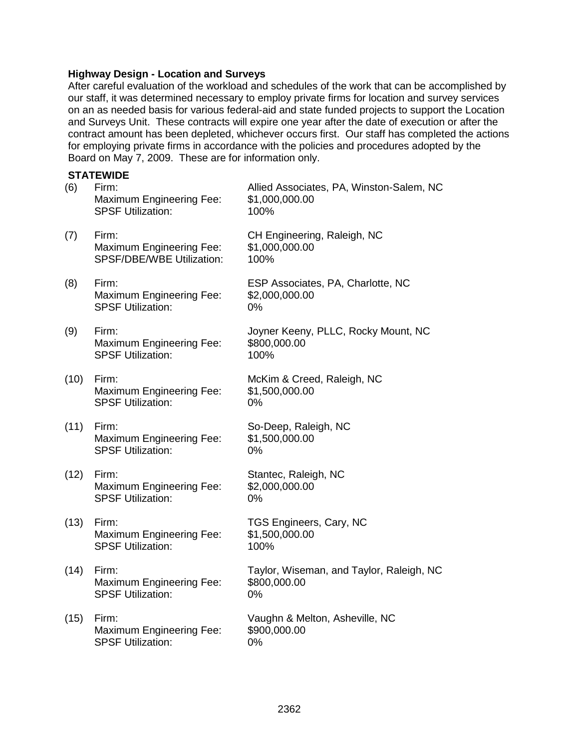#### **Highway Design - Location and Surveys**

After careful evaluation of the workload and schedules of the work that can be accomplished by our staff, it was determined necessary to employ private firms for location and survey services on an as needed basis for various federal-aid and state funded projects to support the Location and Surveys Unit. These contracts will expire one year after the date of execution or after the contract amount has been depleted, whichever occurs first. Our staff has completed the actions for employing private firms in accordance with the policies and procedures adopted by the Board on May 7, 2009. These are for information only.

# **STATEWIDE** (6) Firm: Allied Associates, PA, Winston-Salem, NC Maximum Engineering Fee: \$1,000,000.00 SPSF Utilization: 100% (7) Firm: CH Engineering, Raleigh, NC Maximum Engineering Fee: \$1,000,000.00 SPSF/DBE/WBE Utilization: 100% (8) Firm: ESP Associates, PA, Charlotte, NC Maximum Engineering Fee: \$2,000,000.00 SPSF Utilization: 0% (9) Firm: Joyner Keeny, PLLC, Rocky Mount, NC Maximum Engineering Fee: \$800,000.00 SPSF Utilization: 100% (10) Firm: McKim & Creed, Raleigh, NC Maximum Engineering Fee: \$1,500,000.00 SPSF Utilization: 0% (11) Firm: So-Deep, Raleigh, NC Maximum Engineering Fee: \$1,500,000.00 SPSF Utilization: 0% (12) Firm: Stantec, Raleigh, NC Maximum Engineering Fee: \$2,000,000.00 SPSF Utilization: 0% (13) Firm: TGS Engineers, Cary, NC

- Maximum Engineering Fee: \$1,500,000.00 SPSF Utilization: 100%
- Maximum Engineering Fee: \$800,000.00 SPSF Utilization: 0%
- (15) Firm: Vaughn & Melton, Asheville, NC Maximum Engineering Fee: \$900,000.00 SPSF Utilization: 0%

(14) Firm: Taylor, Wiseman, and Taylor, Raleigh, NC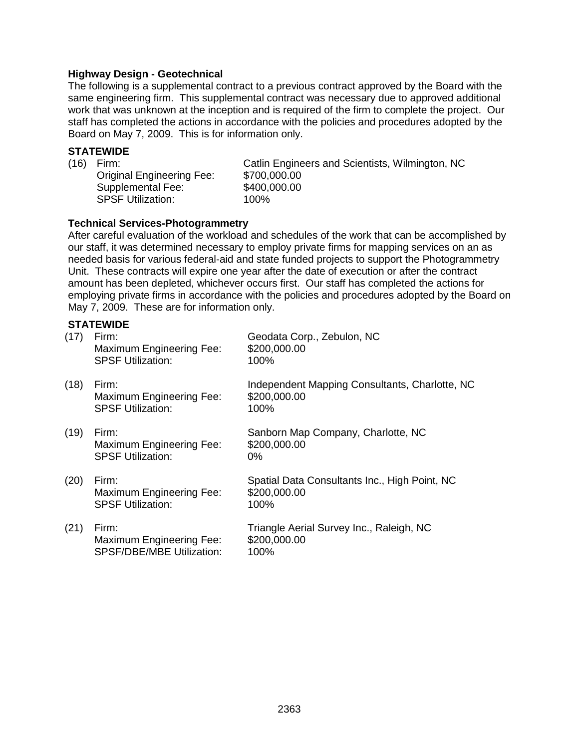### **Highway Design - Geotechnical**

The following is a supplemental contract to a previous contract approved by the Board with the same engineering firm. This supplemental contract was necessary due to approved additional work that was unknown at the inception and is required of the firm to complete the project. Our staff has completed the actions in accordance with the policies and procedures adopted by the Board on May 7, 2009. This is for information only.

## **STATEWIDE**

Original Engineering Fee: \$700,000.00 Supplemental Fee: \$400,000.00 SPSF Utilization: 100%

(16) Firm: Catlin Engineers and Scientists, Wilmington, NC

### **Technical Services-Photogrammetry**

After careful evaluation of the workload and schedules of the work that can be accomplished by our staff, it was determined necessary to employ private firms for mapping services on an as needed basis for various federal-aid and state funded projects to support the Photogrammetry Unit. These contracts will expire one year after the date of execution or after the contract amount has been depleted, whichever occurs first. Our staff has completed the actions for employing private firms in accordance with the policies and procedures adopted by the Board on May 7, 2009. These are for information only.

# **STATEWIDE**

| (17) | Firm:<br><b>Maximum Engineering Fee:</b><br><b>SPSF Utilization:</b> | Geodata Corp., Zebulon, NC<br>\$200,000.00<br>100%                     |
|------|----------------------------------------------------------------------|------------------------------------------------------------------------|
| (18) | Firm:<br><b>Maximum Engineering Fee:</b><br><b>SPSF Utilization:</b> | Independent Mapping Consultants, Charlotte, NC<br>\$200,000.00<br>100% |
| (19) | Firm:<br>Maximum Engineering Fee:<br><b>SPSF Utilization:</b>        | Sanborn Map Company, Charlotte, NC<br>\$200,000.00<br>$0\%$            |
| (20) | Firm:<br>Maximum Engineering Fee:<br><b>SPSF Utilization:</b>        | Spatial Data Consultants Inc., High Point, NC<br>\$200,000.00<br>100%  |
| (21) | Firm:<br>Maximum Engineering Fee:<br>SPSF/DBE/MBE Utilization:       | Triangle Aerial Survey Inc., Raleigh, NC<br>\$200,000.00<br>100%       |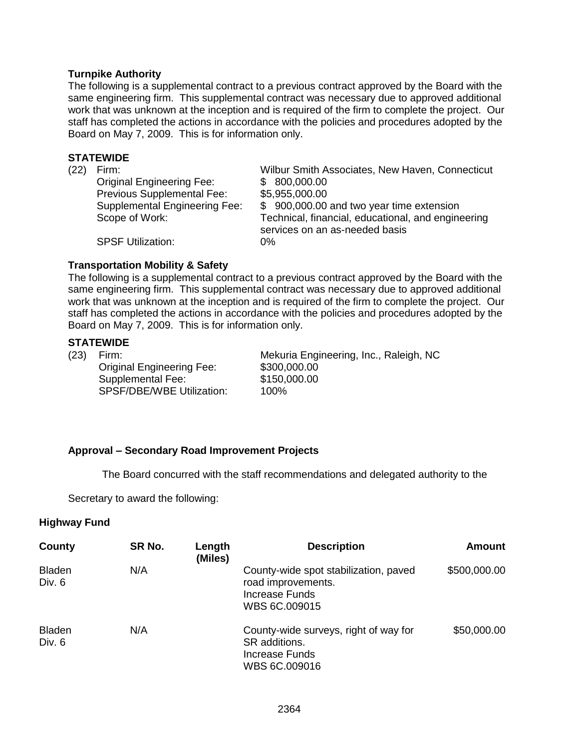## **Turnpike Authority**

The following is a supplemental contract to a previous contract approved by the Board with the same engineering firm. This supplemental contract was necessary due to approved additional work that was unknown at the inception and is required of the firm to complete the project. Our staff has completed the actions in accordance with the policies and procedures adopted by the Board on May 7, 2009. This is for information only.

#### **STATEWIDE**

| (22) | Firm:                                | Wilbur Smith Associates, New Haven, Connecticut                                      |
|------|--------------------------------------|--------------------------------------------------------------------------------------|
|      | <b>Original Engineering Fee:</b>     | \$800,000.00                                                                         |
|      | Previous Supplemental Fee:           | \$5,955,000.00                                                                       |
|      | <b>Supplemental Engineering Fee:</b> | \$900,000.00 and two year time extension                                             |
|      | Scope of Work:                       | Technical, financial, educational, and engineering<br>services on an as-needed basis |
|      | <b>SPSF Utilization:</b>             | $0\%$                                                                                |

### **Transportation Mobility & Safety**

The following is a supplemental contract to a previous contract approved by the Board with the same engineering firm. This supplemental contract was necessary due to approved additional work that was unknown at the inception and is required of the firm to complete the project. Our staff has completed the actions in accordance with the policies and procedures adopted by the Board on May 7, 2009. This is for information only.

## **STATEWIDE**

Original Engineering Fee: \$300,000.00 Supplemental Fee: \$150,000.00<br>SPSF/DBE/WBE Utilization: \$100% SPSF/DBE/WBE Utilization:

(23) Firm: Mekuria Engineering, Inc., Raleigh, NC

## **Approval – Secondary Road Improvement Projects**

The Board concurred with the staff recommendations and delegated authority to the

Secretary to award the following:

## **Highway Fund**

| County                  | SR No. | Length<br>(Miles) | <b>Description</b>                                                                             | <b>Amount</b> |
|-------------------------|--------|-------------------|------------------------------------------------------------------------------------------------|---------------|
| <b>Bladen</b><br>Div. 6 | N/A    |                   | County-wide spot stabilization, paved<br>road improvements.<br>Increase Funds<br>WBS 6C.009015 | \$500,000.00  |
| <b>Bladen</b><br>Div. 6 | N/A    |                   | County-wide surveys, right of way for<br>SR additions.<br>Increase Funds<br>WBS 6C.009016      | \$50,000.00   |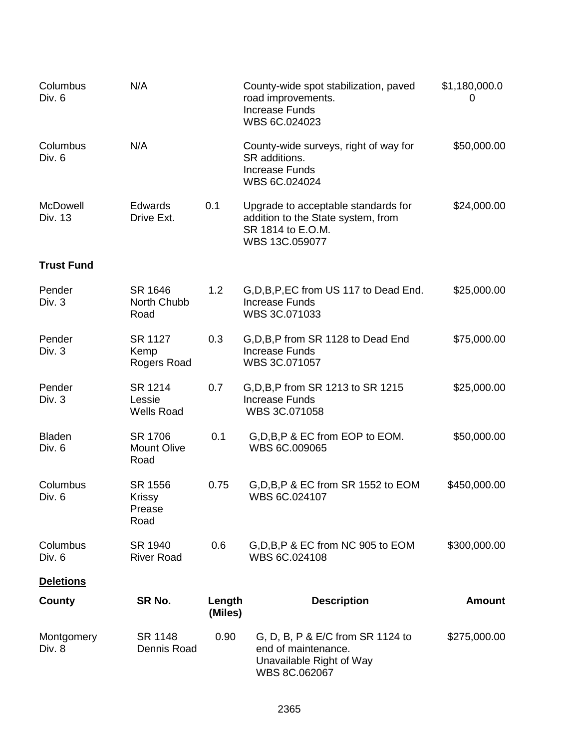| Columbus<br>Div. 6      | N/A                                        |                   | County-wide spot stabilization, paved<br>road improvements.<br><b>Increase Funds</b><br>WBS 6C.024023            | \$1,180,000.0<br>0 |
|-------------------------|--------------------------------------------|-------------------|------------------------------------------------------------------------------------------------------------------|--------------------|
| Columbus<br>Div. 6      | N/A                                        |                   | County-wide surveys, right of way for<br>SR additions.<br><b>Increase Funds</b><br>WBS 6C.024024                 | \$50,000.00        |
| McDowell<br>Div. 13     | <b>Edwards</b><br>Drive Ext.               | 0.1               | Upgrade to acceptable standards for<br>addition to the State system, from<br>SR 1814 to E.O.M.<br>WBS 13C.059077 | \$24,000.00        |
| <b>Trust Fund</b>       |                                            |                   |                                                                                                                  |                    |
| Pender<br>Div. 3        | SR 1646<br>North Chubb<br>Road             | 1.2               | G, D, B, P, EC from US 117 to Dead End.<br><b>Increase Funds</b><br>WBS 3C.071033                                | \$25,000.00        |
| Pender<br>Div. 3        | SR 1127<br>Kemp<br>Rogers Road             | 0.3               | G, D, B, P from SR 1128 to Dead End<br><b>Increase Funds</b><br>WBS 3C.071057                                    | \$75,000.00        |
| Pender<br>Div. 3        | SR 1214<br>Lessie<br><b>Wells Road</b>     | 0.7               | G, D, B, P from SR 1213 to SR 1215<br><b>Increase Funds</b><br>WBS 3C.071058                                     | \$25,000.00        |
| <b>Bladen</b><br>Div. 6 | SR 1706<br><b>Mount Olive</b><br>Road      | 0.1               | G, D, B, P & EC from EOP to EOM.<br>WBS 6C.009065                                                                | \$50,000.00        |
| Columbus<br>Div. 6      | SR 1556<br><b>Krissy</b><br>Prease<br>Road | 0.75              | G, D, B, P & EC from SR 1552 to EOM<br>WBS 6C.024107                                                             | \$450,000.00       |
| Columbus<br>Div. 6      | SR 1940<br><b>River Road</b>               | 0.6               | G, D, B, P & EC from NC 905 to EOM<br>WBS 6C.024108                                                              | \$300,000.00       |
| <b>Deletions</b>        |                                            |                   |                                                                                                                  |                    |
| County                  | SR No.                                     | Length<br>(Miles) | <b>Description</b>                                                                                               | <b>Amount</b>      |
| Montgomery<br>Div. 8    | SR 1148<br>Dennis Road                     | 0.90              | G, D, B, P & E/C from SR 1124 to<br>end of maintenance.<br>Unavailable Right of Way<br>WBS 8C.062067             | \$275,000.00       |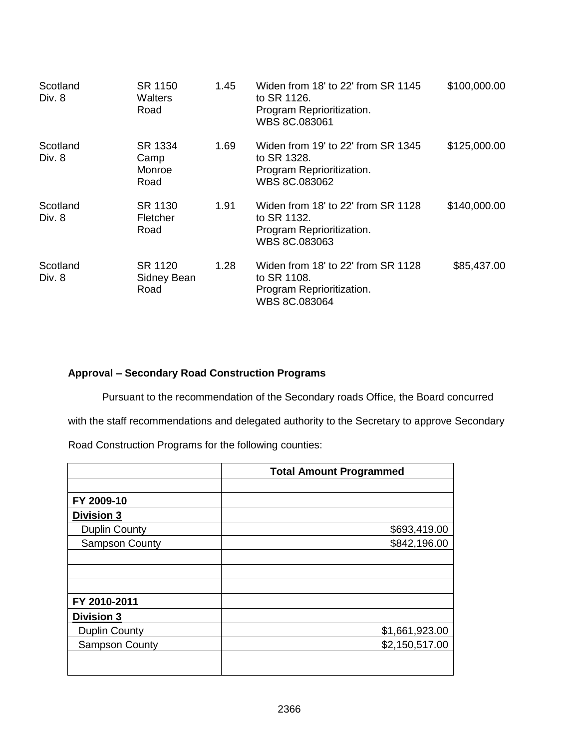| Scotland<br>Div. 8 | SR 1150<br>Walters<br>Road        | 1.45 | Widen from 18' to 22' from SR 1145<br>to SR 1126.<br>Program Reprioritization.<br>WBS 8C.083061 | \$100,000.00 |
|--------------------|-----------------------------------|------|-------------------------------------------------------------------------------------------------|--------------|
| Scotland<br>Div. 8 | SR 1334<br>Camp<br>Monroe<br>Road | 1.69 | Widen from 19' to 22' from SR 1345<br>to SR 1328.<br>Program Reprioritization.<br>WBS 8C.083062 | \$125,000.00 |
| Scotland<br>Div. 8 | SR 1130<br>Fletcher<br>Road       | 1.91 | Widen from 18' to 22' from SR 1128<br>to SR 1132.<br>Program Reprioritization.<br>WBS 8C.083063 | \$140,000.00 |
| Scotland<br>Div. 8 | SR 1120<br>Sidney Bean<br>Road    | 1.28 | Widen from 18' to 22' from SR 1128<br>to SR 1108.<br>Program Reprioritization.<br>WBS 8C.083064 | \$85,437.00  |

# **Approval – Secondary Road Construction Programs**

Pursuant to the recommendation of the Secondary roads Office, the Board concurred

with the staff recommendations and delegated authority to the Secretary to approve Secondary

Road Construction Programs for the following counties:

|                       | <b>Total Amount Programmed</b> |
|-----------------------|--------------------------------|
|                       |                                |
| FY 2009-10            |                                |
| <b>Division 3</b>     |                                |
| <b>Duplin County</b>  | \$693,419.00                   |
| <b>Sampson County</b> | \$842,196.00                   |
|                       |                                |
|                       |                                |
|                       |                                |
| FY 2010-2011          |                                |
| <b>Division 3</b>     |                                |
| <b>Duplin County</b>  | \$1,661,923.00                 |
| <b>Sampson County</b> | \$2,150,517.00                 |
|                       |                                |
|                       |                                |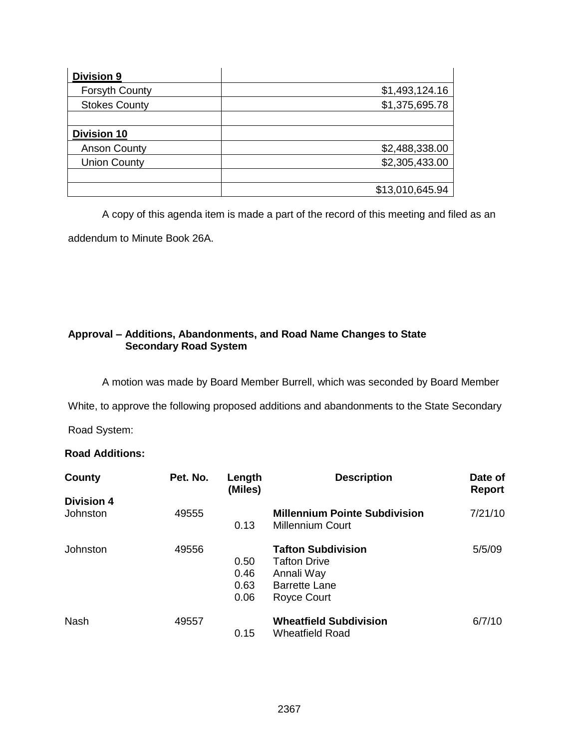| <b>Division 9</b>     |                 |
|-----------------------|-----------------|
| <b>Forsyth County</b> | \$1,493,124.16  |
| <b>Stokes County</b>  | \$1,375,695.78  |
|                       |                 |
| Division 10           |                 |
| <b>Anson County</b>   | \$2,488,338.00  |
| <b>Union County</b>   | \$2,305,433.00  |
|                       |                 |
|                       | \$13,010,645.94 |

A copy of this agenda item is made a part of the record of this meeting and filed as an

addendum to Minute Book 26A.

# **Approval – Additions, Abandonments, and Road Name Changes to State Secondary Road System**

A motion was made by Board Member Burrell, which was seconded by Board Member

White, to approve the following proposed additions and abandonments to the State Secondary

Road System:

# **Road Additions:**

| County                        | Pet. No. | Length<br>(Miles)            | <b>Description</b>                                                                                    | Date of<br><b>Report</b> |
|-------------------------------|----------|------------------------------|-------------------------------------------------------------------------------------------------------|--------------------------|
| <b>Division 4</b><br>Johnston | 49555    | 0.13                         | <b>Millennium Pointe Subdivision</b><br><b>Millennium Court</b>                                       | 7/21/10                  |
| Johnston                      | 49556    | 0.50<br>0.46<br>0.63<br>0.06 | <b>Tafton Subdivision</b><br><b>Tafton Drive</b><br>Annali Way<br><b>Barrette Lane</b><br>Royce Court | 5/5/09                   |
| <b>Nash</b>                   | 49557    | 0.15                         | <b>Wheatfield Subdivision</b><br><b>Wheatfield Road</b>                                               | 6/7/10                   |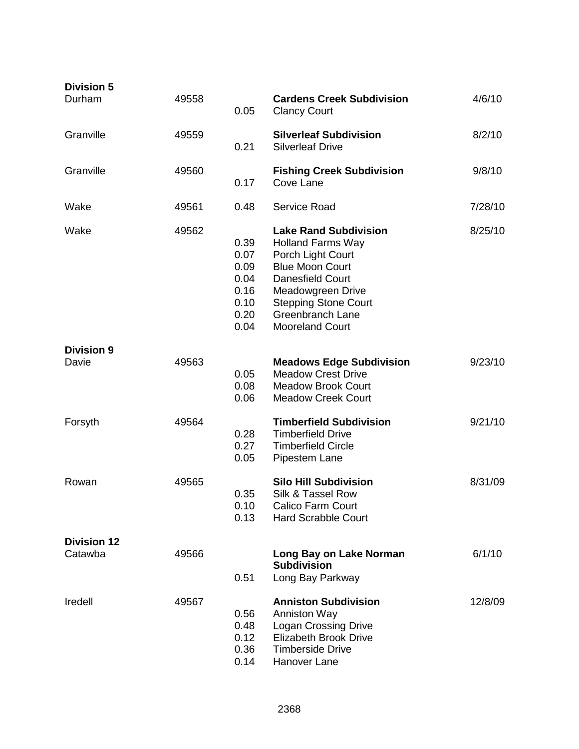| <b>Division 5</b><br>Durham   | 49558 | 0.05                                                         | <b>Cardens Creek Subdivision</b><br><b>Clancy Court</b>                                                                                                                                                                                     | 4/6/10  |
|-------------------------------|-------|--------------------------------------------------------------|---------------------------------------------------------------------------------------------------------------------------------------------------------------------------------------------------------------------------------------------|---------|
| Granville                     | 49559 | 0.21                                                         | <b>Silverleaf Subdivision</b><br><b>Silverleaf Drive</b>                                                                                                                                                                                    | 8/2/10  |
| Granville                     | 49560 | 0.17                                                         | <b>Fishing Creek Subdivision</b><br>Cove Lane                                                                                                                                                                                               | 9/8/10  |
| Wake                          | 49561 | 0.48                                                         | Service Road                                                                                                                                                                                                                                | 7/28/10 |
| Wake                          | 49562 | 0.39<br>0.07<br>0.09<br>0.04<br>0.16<br>0.10<br>0.20<br>0.04 | <b>Lake Rand Subdivision</b><br><b>Holland Farms Way</b><br>Porch Light Court<br><b>Blue Moon Court</b><br><b>Danesfield Court</b><br>Meadowgreen Drive<br><b>Stepping Stone Court</b><br><b>Greenbranch Lane</b><br><b>Mooreland Court</b> | 8/25/10 |
| <b>Division 9</b><br>Davie    | 49563 | 0.05<br>0.08<br>0.06                                         | <b>Meadows Edge Subdivision</b><br><b>Meadow Crest Drive</b><br><b>Meadow Brook Court</b><br><b>Meadow Creek Court</b>                                                                                                                      | 9/23/10 |
| Forsyth                       | 49564 | 0.28<br>0.27<br>0.05                                         | <b>Timberfield Subdivision</b><br><b>Timberfield Drive</b><br><b>Timberfield Circle</b><br>Pipestem Lane                                                                                                                                    | 9/21/10 |
| Rowan                         | 49565 | 0.35<br>0.10<br>0.13                                         | <b>Silo Hill Subdivision</b><br>Silk & Tassel Row<br><b>Calico Farm Court</b><br><b>Hard Scrabble Court</b>                                                                                                                                 | 8/31/09 |
| <b>Division 12</b><br>Catawba | 49566 | 0.51                                                         | Long Bay on Lake Norman<br><b>Subdivision</b><br>Long Bay Parkway                                                                                                                                                                           | 6/1/10  |
| Iredell                       | 49567 | 0.56<br>0.48<br>0.12<br>0.36<br>0.14                         | <b>Anniston Subdivision</b><br>Anniston Way<br><b>Logan Crossing Drive</b><br>Elizabeth Brook Drive<br><b>Timberside Drive</b><br>Hanover Lane                                                                                              | 12/8/09 |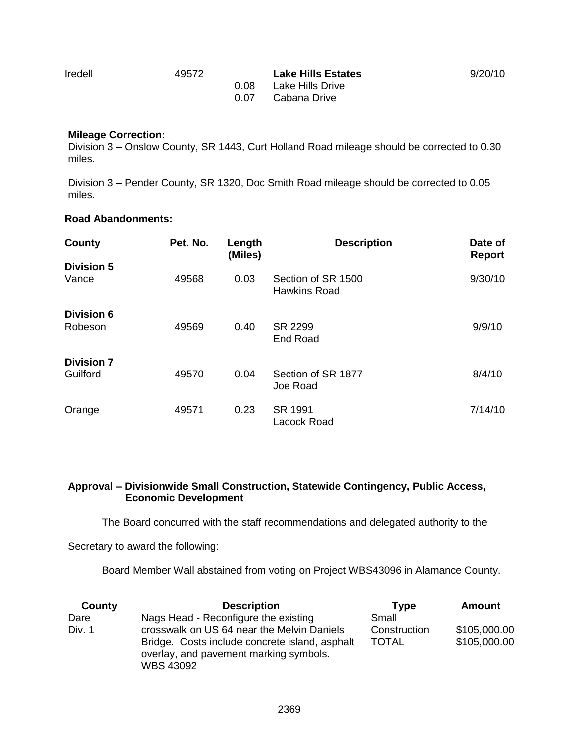Iredell 49572 **Lake Hills Estates** 9/20/10 0.08 Lake Hills Drive 0.07 Cabana Drive

**Mileage Correction:**

Division 3 – Onslow County, SR 1443, Curt Holland Road mileage should be corrected to 0.30 miles.

Division 3 – Pender County, SR 1320, Doc Smith Road mileage should be corrected to 0.05 miles.

#### **Road Abandonments:**

| County                        | Pet. No. | Length<br>(Miles) | <b>Description</b>                        | Date of<br><b>Report</b> |
|-------------------------------|----------|-------------------|-------------------------------------------|--------------------------|
| <b>Division 5</b><br>Vance    | 49568    | 0.03              | Section of SR 1500<br><b>Hawkins Road</b> | 9/30/10                  |
| <b>Division 6</b><br>Robeson  | 49569    | 0.40              | SR 2299<br><b>End Road</b>                | 9/9/10                   |
| <b>Division 7</b><br>Guilford | 49570    | 0.04              | Section of SR 1877<br>Joe Road            | 8/4/10                   |
| Orange                        | 49571    | 0.23              | SR 1991<br>Lacock Road                    | 7/14/10                  |

#### **Approval – Divisionwide Small Construction, Statewide Contingency, Public Access, Economic Development**

The Board concurred with the staff recommendations and delegated authority to the

Secretary to award the following:

Board Member Wall abstained from voting on Project WBS43096 in Alamance County.

| County | <b>Description</b>                                                                                                                                         | Tvpe                         | Amount                       |
|--------|------------------------------------------------------------------------------------------------------------------------------------------------------------|------------------------------|------------------------------|
| Dare   | Nags Head - Reconfigure the existing                                                                                                                       | Small                        |                              |
| Div. 1 | crosswalk on US 64 near the Melvin Daniels<br>Bridge. Costs include concrete island, asphalt<br>overlay, and pavement marking symbols.<br><b>WBS 43092</b> | Construction<br><b>TOTAL</b> | \$105,000.00<br>\$105,000.00 |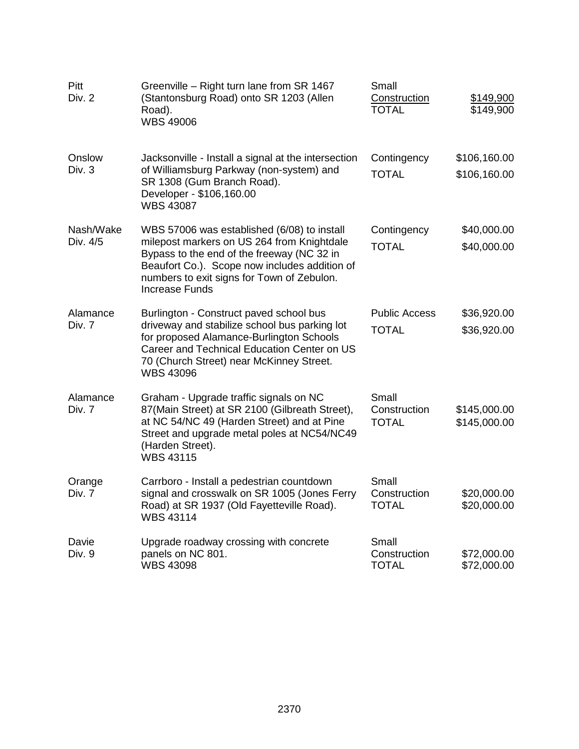| Pitt<br>Div. 2        | Greenville - Right turn lane from SR 1467<br>(Stantonsburg Road) onto SR 1203 (Allen<br>Road).<br><b>WBS 49006</b>                                                                                                                                       | Small<br><b>Construction</b><br><b>TOTAL</b> | \$149,900<br>\$149,900       |
|-----------------------|----------------------------------------------------------------------------------------------------------------------------------------------------------------------------------------------------------------------------------------------------------|----------------------------------------------|------------------------------|
| Onslow<br>Div. 3      | Jacksonville - Install a signal at the intersection<br>of Williamsburg Parkway (non-system) and<br>SR 1308 (Gum Branch Road).<br>Developer - \$106,160.00<br><b>WBS 43087</b>                                                                            | Contingency<br><b>TOTAL</b>                  | \$106,160.00<br>\$106,160.00 |
| Nash/Wake<br>Div. 4/5 | WBS 57006 was established (6/08) to install<br>milepost markers on US 264 from Knightdale<br>Bypass to the end of the freeway (NC 32 in<br>Beaufort Co.). Scope now includes addition of<br>numbers to exit signs for Town of Zebulon.<br>Increase Funds | Contingency<br><b>TOTAL</b>                  | \$40,000.00<br>\$40,000.00   |
| Alamance<br>Div. 7    | Burlington - Construct paved school bus<br>driveway and stabilize school bus parking lot<br>for proposed Alamance-Burlington Schools<br>Career and Technical Education Center on US<br>70 (Church Street) near McKinney Street.<br><b>WBS 43096</b>      | <b>Public Access</b><br><b>TOTAL</b>         | \$36,920.00<br>\$36,920.00   |
| Alamance<br>Div. 7    | Graham - Upgrade traffic signals on NC<br>87(Main Street) at SR 2100 (Gilbreath Street),<br>at NC 54/NC 49 (Harden Street) and at Pine<br>Street and upgrade metal poles at NC54/NC49<br>(Harden Street).<br><b>WBS 43115</b>                            | Small<br>Construction<br><b>TOTAL</b>        | \$145,000.00<br>\$145,000.00 |
| Orange<br>Div. 7      | Carrboro - Install a pedestrian countdown<br>signal and crosswalk on SR 1005 (Jones Ferry<br>Road) at SR 1937 (Old Fayetteville Road).<br><b>WBS 43114</b>                                                                                               | Small<br>Construction<br><b>TOTAL</b>        | \$20,000.00<br>\$20,000.00   |
| Davie<br>Div. 9       | Upgrade roadway crossing with concrete<br>panels on NC 801.<br><b>WBS 43098</b>                                                                                                                                                                          | Small<br>Construction<br><b>TOTAL</b>        | \$72,000.00<br>\$72,000.00   |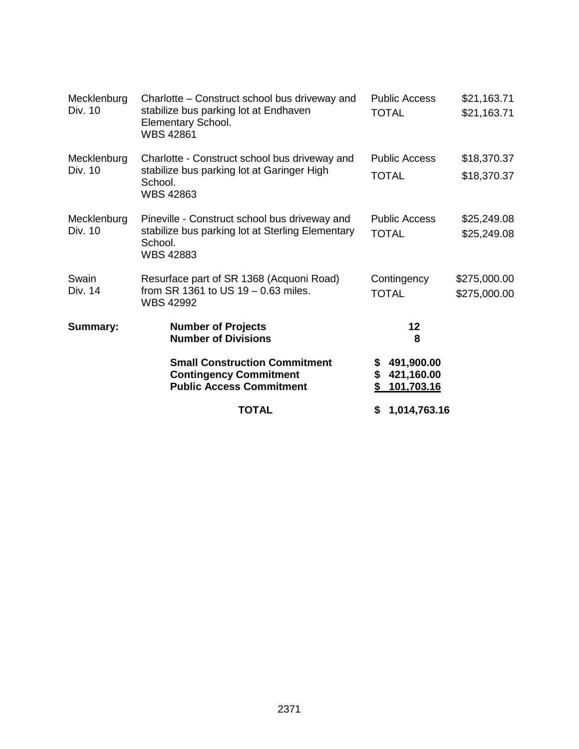| Mecklenburg<br>Div. 10 | Charlotte - Construct school bus driveway and<br>stabilize bus parking lot at Endhaven<br>Elementary School.<br><b>WBS 42861</b> | <b>Public Access</b><br><b>TOTAL</b>               | \$21,163.71<br>\$21,163.71   |
|------------------------|----------------------------------------------------------------------------------------------------------------------------------|----------------------------------------------------|------------------------------|
| Mecklenburg<br>Div. 10 | Charlotte - Construct school bus driveway and<br>stabilize bus parking lot at Garinger High<br>School.<br><b>WBS 42863</b>       | <b>Public Access</b><br><b>TOTAL</b>               | \$18,370.37<br>\$18,370.37   |
| Mecklenburg<br>Div. 10 | Pineville - Construct school bus driveway and<br>stabilize bus parking lot at Sterling Elementary<br>School.<br><b>WBS 42883</b> | <b>Public Access</b><br><b>TOTAL</b>               | \$25,249.08<br>\$25,249.08   |
| Swain<br>Div. 14       | Resurface part of SR 1368 (Acquoni Road)<br>from SR 1361 to US 19 - 0.63 miles.<br><b>WBS 42992</b>                              | Contingency<br><b>TOTAL</b>                        | \$275,000.00<br>\$275,000.00 |
| <b>Summary:</b>        | <b>Number of Projects</b><br><b>Number of Divisions</b>                                                                          | 12<br>8                                            |                              |
|                        | <b>Small Construction Commitment</b><br><b>Contingency Commitment</b><br><b>Public Access Commitment</b>                         | 491,900.00<br>\$<br>421,160.00<br>\$<br>101,703.16 |                              |
|                        | <b>TOTAL</b>                                                                                                                     | 1,014,763.16<br>S                                  |                              |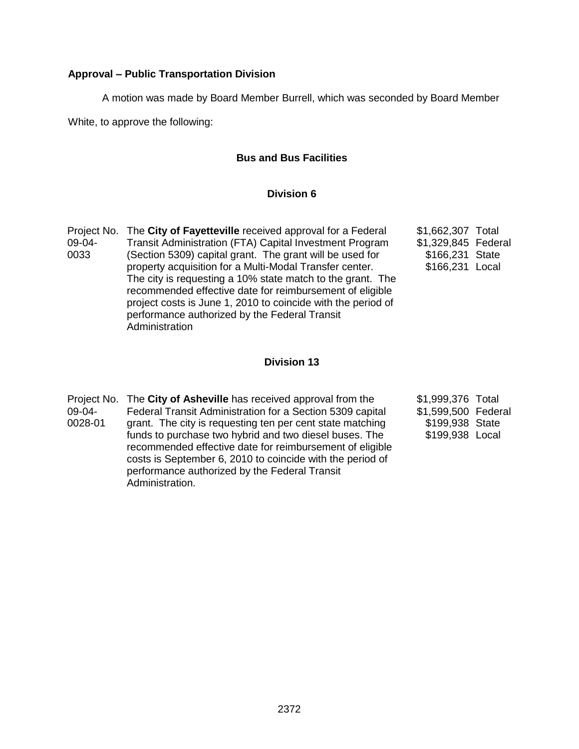## **Approval – Public Transportation Division**

A motion was made by Board Member Burrell, which was seconded by Board Member

White, to approve the following:

## **Bus and Bus Facilities**

## **Division 6**

|          | Project No. The City of Fayetteville received approval for a Federal | \$1,662,307 Total   |  |
|----------|----------------------------------------------------------------------|---------------------|--|
| $09-04-$ | Transit Administration (FTA) Capital Investment Program              | \$1,329,845 Federal |  |
| 0033     | (Section 5309) capital grant. The grant will be used for             | \$166,231 State     |  |
|          | property acquisition for a Multi-Modal Transfer center.              | \$166,231 Local     |  |
|          | The city is requesting a 10% state match to the grant. The           |                     |  |
|          | recommended effective date for reimbursement of eligible             |                     |  |
|          | project costs is June 1, 2010 to coincide with the period of         |                     |  |
|          | performance authorized by the Federal Transit                        |                     |  |
|          | Administration                                                       |                     |  |

## **Division 13**

| Project No. The City of Asheville has received approval from the |
|------------------------------------------------------------------|
| Federal Transit Administration for a Section 5309 capital        |
| grant. The city is requesting ten per cent state matching        |
| funds to purchase two hybrid and two diesel buses. The           |
| recommended effective date for reimbursement of eligible         |
| costs is September 6, 2010 to coincide with the period of        |
| performance authorized by the Federal Transit                    |
| Administration.                                                  |
|                                                                  |

\$1,999,376 Total \$1,599,500 Federal \$199,938 State \$199,938 Local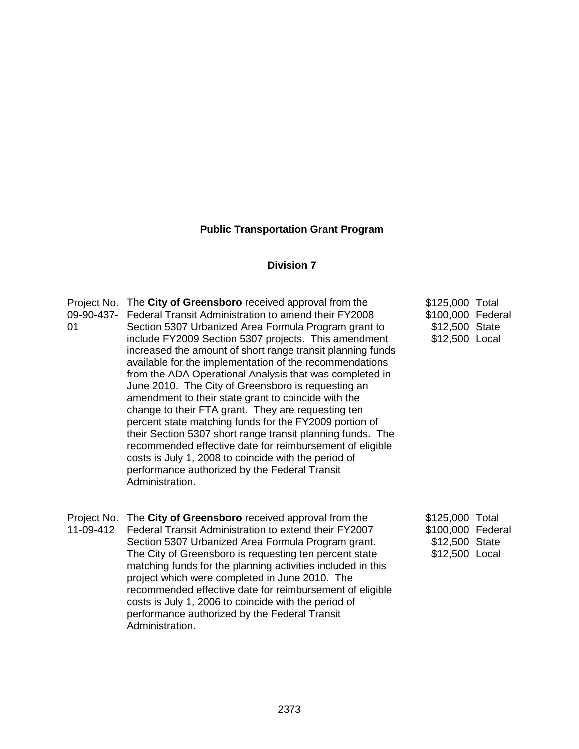### **Public Transportation Grant Program**

#### **Division 7**

Project No. The **City of Greensboro** received approval from the 09-90-437- Federal Transit Administration to amend their FY2008 01 Section 5307 Urbanized Area Formula Program grant to include FY2009 Section 5307 projects. This amendment increased the amount of short range transit planning funds available for the implementation of the recommendations from the ADA Operational Analysis that was completed in June 2010. The City of Greensboro is requesting an amendment to their state grant to coincide with the change to their FTA grant. They are requesting ten percent state matching funds for the FY2009 portion of their Section 5307 short range transit planning funds. The recommended effective date for reimbursement of eligible costs is July 1, 2008 to coincide with the period of performance authorized by the Federal Transit Administration. \$125,000 Total \$100,000 Federal \$12,500 State \$12,500 Local Project No. The **City of Greensboro** received approval from the 11-09-412 Federal Transit Administration to extend their FY2007 Section 5307 Urbanized Area Formula Program grant. The City of Greensboro is requesting ten percent state matching funds for the planning activities included in this project which were completed in June 2010. The recommended effective date for reimbursement of eligible \$125,000 Total \$100,000 Federal \$12,500 State \$12,500 Local

costs is July 1, 2006 to coincide with the period of performance authorized by the Federal Transit

Administration.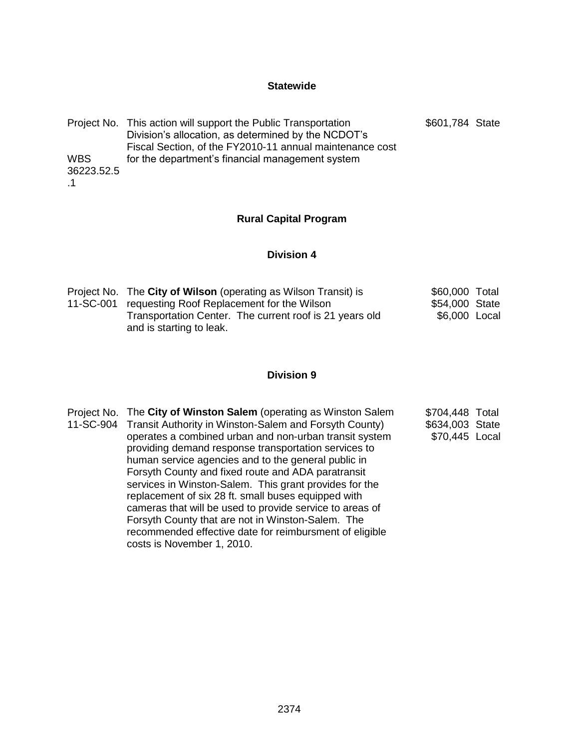# **Statewide**

|            | Project No. This action will support the Public Transportation | \$601,784 State |  |
|------------|----------------------------------------------------------------|-----------------|--|
|            | Division's allocation, as determined by the NCDOT's            |                 |  |
|            | Fiscal Section, of the FY2010-11 annual maintenance cost       |                 |  |
| <b>WBS</b> | for the department's financial management system               |                 |  |
| 36223.52.5 |                                                                |                 |  |
|            |                                                                |                 |  |

# **Rural Capital Program**

## **Division 4**

| Project No. The City of Wilson (operating as Wilson Transit) is | \$60,000 Total |  |
|-----------------------------------------------------------------|----------------|--|
| 11-SC-001 requesting Roof Replacement for the Wilson            | \$54,000 State |  |
| Transportation Center. The current roof is 21 years old         | \$6,000 Local  |  |
| and is starting to leak.                                        |                |  |

# **Division 9**

| 11-SC-904 Transit Authority in Winston-Salem and Forsyth County)<br>\$634,003 State<br>operates a combined urban and non-urban transit system<br>providing demand response transportation services to<br>human service agencies and to the general public in<br>Forsyth County and fixed route and ADA paratransit<br>services in Winston-Salem. This grant provides for the<br>replacement of six 28 ft. small buses equipped with<br>cameras that will be used to provide service to areas of<br>Forsyth County that are not in Winston-Salem. The<br>recommended effective date for reimbursment of eligible<br>costs is November 1, 2010. | \$70,445 Local |  |
|-----------------------------------------------------------------------------------------------------------------------------------------------------------------------------------------------------------------------------------------------------------------------------------------------------------------------------------------------------------------------------------------------------------------------------------------------------------------------------------------------------------------------------------------------------------------------------------------------------------------------------------------------|----------------|--|
|-----------------------------------------------------------------------------------------------------------------------------------------------------------------------------------------------------------------------------------------------------------------------------------------------------------------------------------------------------------------------------------------------------------------------------------------------------------------------------------------------------------------------------------------------------------------------------------------------------------------------------------------------|----------------|--|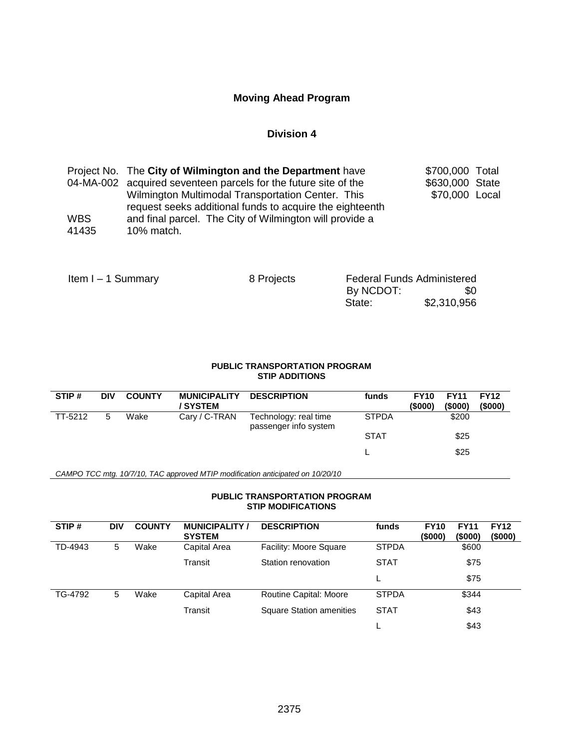## **Moving Ahead Program**

### **Division 4**

|            | Project No. The City of Wilmington and the Department have                                                    | \$700,000 Total |  |
|------------|---------------------------------------------------------------------------------------------------------------|-----------------|--|
|            | 04-MA-002 acquired seventeen parcels for the future site of the                                               | \$630,000 State |  |
|            | Wilmington Multimodal Transportation Center. This<br>request seeks additional funds to acquire the eighteenth | \$70,000 Local  |  |
|            |                                                                                                               |                 |  |
| <b>WBS</b> | and final parcel. The City of Wilmington will provide a                                                       |                 |  |
| 41435      | 10% match.                                                                                                    |                 |  |

| Item $I - 1$ Summary | 8 Projects | <b>Federal Funds Administered</b> |             |
|----------------------|------------|-----------------------------------|-------------|
|                      |            | By NCDOT:                         | SO.         |
|                      |            | State:                            | \$2,310,956 |

#### **PUBLIC TRANSPORTATION PROGRAM STIP ADDITIONS**

| STIP#   | <b>DIV</b> | <b>COUNTY</b> | <b>MUNICIPALITY</b><br>/ SYSTEM | <b>DESCRIPTION</b>                             | funds        | <b>FY10</b><br>(\$000) | <b>FY11</b><br>(\$000) | <b>FY12</b><br>(\$000) |
|---------|------------|---------------|---------------------------------|------------------------------------------------|--------------|------------------------|------------------------|------------------------|
| TT-5212 | 5          | Wake          | Cary / C-TRAN                   | Technology: real time<br>passenger info system | <b>STPDA</b> |                        | \$200                  |                        |
|         |            |               |                                 |                                                | <b>STAT</b>  |                        | \$25                   |                        |
|         |            |               |                                 |                                                |              |                        | \$25                   |                        |

*CAMPO TCC mtg. 10/7/10, TAC approved MTIP modification anticipated on 10/20/10*

#### **PUBLIC TRANSPORTATION PROGRAM STIP MODIFICATIONS**

| STIP#   | <b>DIV</b> | <b>COUNTY</b> | <b>MUNICIPALITY /</b><br><b>SYSTEM</b> | <b>DESCRIPTION</b>              | funds        | <b>FY11</b><br><b>FY10</b><br>(\$000)<br>(\$000) | <b>FY12</b><br>(\$000) |
|---------|------------|---------------|----------------------------------------|---------------------------------|--------------|--------------------------------------------------|------------------------|
| TD-4943 | 5          | Wake          | Capital Area                           | Facility: Moore Square          | <b>STPDA</b> |                                                  | \$600                  |
|         |            |               | Transit                                | Station renovation              | <b>STAT</b>  |                                                  | \$75                   |
|         |            |               |                                        |                                 |              |                                                  | \$75                   |
| TG-4792 | 5          | Wake          | Capital Area                           | Routine Capital: Moore          | <b>STPDA</b> |                                                  | \$344                  |
|         |            |               | Transit                                | <b>Square Station amenities</b> | <b>STAT</b>  |                                                  | \$43                   |
|         |            |               |                                        |                                 |              |                                                  | \$43                   |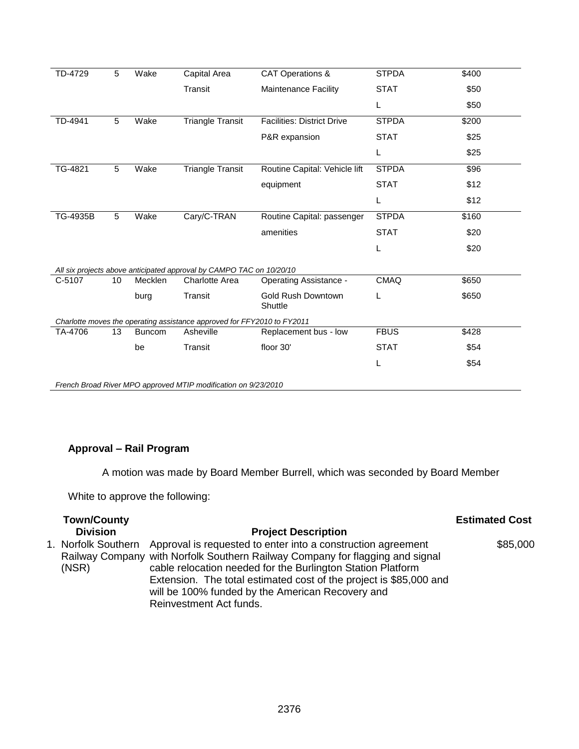| TD-4729                                                                 | 5  | Wake          | Capital Area                                                         | <b>CAT Operations &amp;</b>       | <b>STPDA</b> | \$400 |
|-------------------------------------------------------------------------|----|---------------|----------------------------------------------------------------------|-----------------------------------|--------------|-------|
|                                                                         |    |               | Transit                                                              | Maintenance Facility              | <b>STAT</b>  | \$50  |
|                                                                         |    |               |                                                                      |                                   | Г            | \$50  |
| TD-4941                                                                 | 5  | Wake          | <b>Triangle Transit</b>                                              | <b>Facilities: District Drive</b> | <b>STPDA</b> | \$200 |
|                                                                         |    |               |                                                                      | P&R expansion                     | <b>STAT</b>  | \$25  |
|                                                                         |    |               |                                                                      |                                   | L            | \$25  |
| TG-4821                                                                 | 5  | Wake          | <b>Triangle Transit</b>                                              | Routine Capital: Vehicle lift     | <b>STPDA</b> | \$96  |
|                                                                         |    |               |                                                                      | equipment                         | <b>STAT</b>  | \$12  |
|                                                                         |    |               |                                                                      |                                   | L            | \$12  |
| TG-4935B                                                                | 5  | Wake          | Cary/C-TRAN                                                          | Routine Capital: passenger        | <b>STPDA</b> | \$160 |
|                                                                         |    |               |                                                                      | amenities                         | <b>STAT</b>  | \$20  |
|                                                                         |    |               |                                                                      |                                   | L            | \$20  |
|                                                                         |    |               | All six projects above anticipated approval by CAMPO TAC on 10/20/10 |                                   |              |       |
| C-5107                                                                  | 10 | Mecklen       | <b>Charlotte Area</b>                                                | <b>Operating Assistance -</b>     | <b>CMAQ</b>  | \$650 |
|                                                                         |    | burg          | Transit                                                              | Gold Rush Downtown<br>Shuttle     | L            | \$650 |
| Charlotte moves the operating assistance approved for FFY2010 to FY2011 |    |               |                                                                      |                                   |              |       |
| TA-4706                                                                 | 13 | <b>Buncom</b> | Asheville                                                            | Replacement bus - low             | <b>FBUS</b>  | \$428 |
|                                                                         |    | be            | Transit                                                              | floor 30'                         | <b>STAT</b>  | \$54  |
|                                                                         |    |               |                                                                      |                                   | L            | \$54  |
|                                                                         |    |               |                                                                      |                                   |              |       |

*French Broad River MPO approved MTIP modification on 9/23/2010*

# **Approval – Rail Program**

A motion was made by Board Member Burrell, which was seconded by Board Member

White to approve the following:

| <b>Town/County</b> |                                                                                                                                                                                                                                  | <b>Estimated Cost</b> |
|--------------------|----------------------------------------------------------------------------------------------------------------------------------------------------------------------------------------------------------------------------------|-----------------------|
| <b>Division</b>    | <b>Project Description</b>                                                                                                                                                                                                       |                       |
| (NSR)              | 1. Norfolk Southern Approval is requested to enter into a construction agreement<br>Railway Company with Norfolk Southern Railway Company for flagging and signal<br>cable relocation needed for the Burlington Station Platform | \$85,000              |
|                    | Extension. The total estimated cost of the project is \$85,000 and<br>will be 100% funded by the American Recovery and<br>Reinvestment Act funds.                                                                                |                       |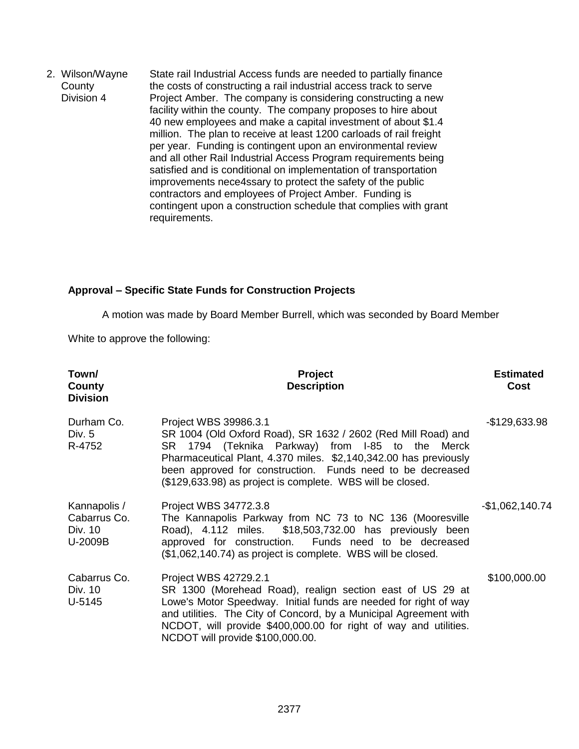2. Wilson/Wayne **County** Division 4 State rail Industrial Access funds are needed to partially finance the costs of constructing a rail industrial access track to serve Project Amber. The company is considering constructing a new facility within the county. The company proposes to hire about 40 new employees and make a capital investment of about \$1.4 million. The plan to receive at least 1200 carloads of rail freight per year. Funding is contingent upon an environmental review and all other Rail Industrial Access Program requirements being satisfied and is conditional on implementation of transportation improvements nece4ssary to protect the safety of the public contractors and employees of Project Amber. Funding is contingent upon a construction schedule that complies with grant requirements.

## **Approval – Specific State Funds for Construction Projects**

A motion was made by Board Member Burrell, which was seconded by Board Member

White to approve the following:

| Town/<br>County<br><b>Division</b>                 | Project<br><b>Description</b>                                                                                                                                                                                                                                                                                                              | <b>Estimated</b><br>Cost |
|----------------------------------------------------|--------------------------------------------------------------------------------------------------------------------------------------------------------------------------------------------------------------------------------------------------------------------------------------------------------------------------------------------|--------------------------|
| Durham Co.<br>Div. 5<br>R-4752                     | Project WBS 39986.3.1<br>SR 1004 (Old Oxford Road), SR 1632 / 2602 (Red Mill Road) and<br>SR 1794 (Teknika Parkway) from I-85 to the Merck<br>Pharmaceutical Plant, 4.370 miles. \$2,140,342.00 has previously<br>been approved for construction. Funds need to be decreased<br>(\$129,633.98) as project is complete. WBS will be closed. | -\$129,633.98            |
| Kannapolis /<br>Cabarrus Co.<br>Div. 10<br>U-2009B | Project WBS 34772.3.8<br>The Kannapolis Parkway from NC 73 to NC 136 (Mooresville<br>Road), 4.112 miles. \$18,503,732.00 has previously been<br>approved for construction. Funds need to be decreased<br>(\$1,062,140.74) as project is complete. WBS will be closed.                                                                      | -\$1,062,140.74          |
| Cabarrus Co.<br>Div. 10<br>U-5145                  | Project WBS 42729.2.1<br>SR 1300 (Morehead Road), realign section east of US 29 at<br>Lowe's Motor Speedway. Initial funds are needed for right of way<br>and utilities. The City of Concord, by a Municipal Agreement with<br>NCDOT, will provide \$400,000.00 for right of way and utilities.<br>NCDOT will provide \$100,000.00.        | \$100,000.00             |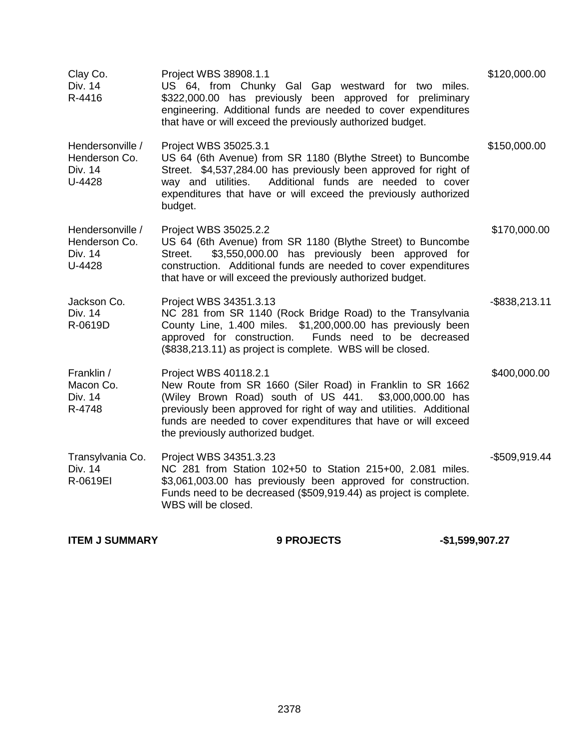| Clay Co.<br>Div. 14<br>R-4416                          | Project WBS 38908.1.1<br>US 64, from Chunky Gal Gap westward for two miles.<br>\$322,000.00 has previously been approved for preliminary<br>engineering. Additional funds are needed to cover expenditures<br>that have or will exceed the previously authorized budget.                                                     | \$120,000.00     |
|--------------------------------------------------------|------------------------------------------------------------------------------------------------------------------------------------------------------------------------------------------------------------------------------------------------------------------------------------------------------------------------------|------------------|
| Hendersonville /<br>Henderson Co.<br>Div. 14<br>U-4428 | Project WBS 35025.3.1<br>US 64 (6th Avenue) from SR 1180 (Blythe Street) to Buncombe<br>Street. \$4,537,284.00 has previously been approved for right of<br>Additional funds are needed to cover<br>way and utilities.<br>expenditures that have or will exceed the previously authorized<br>budget.                         | \$150,000.00     |
| Hendersonville /<br>Henderson Co.<br>Div. 14<br>U-4428 | Project WBS 35025.2.2<br>US 64 (6th Avenue) from SR 1180 (Blythe Street) to Buncombe<br>\$3,550,000.00 has previously been approved for<br>Street.<br>construction. Additional funds are needed to cover expenditures<br>that have or will exceed the previously authorized budget.                                          | \$170,000.00     |
| Jackson Co.<br>Div. 14<br>R-0619D                      | Project WBS 34351.3.13<br>NC 281 from SR 1140 (Rock Bridge Road) to the Transylvania<br>County Line, 1.400 miles. \$1,200,000.00 has previously been<br>Funds need to be decreased<br>approved for construction.<br>(\$838,213.11) as project is complete. WBS will be closed.                                               | $-$ \$838,213.11 |
| Franklin /<br>Macon Co.<br>Div. 14<br>R-4748           | Project WBS 40118.2.1<br>New Route from SR 1660 (Siler Road) in Franklin to SR 1662<br>(Wiley Brown Road) south of US 441. \$3,000,000.00 has<br>previously been approved for right of way and utilities. Additional<br>funds are needed to cover expenditures that have or will exceed<br>the previously authorized budget. | \$400,000.00     |
| Transylvania Co.<br>Div. 14<br>R-0619EI                | Project WBS 34351.3.23<br>NC 281 from Station 102+50 to Station 215+00, 2.081 miles.<br>\$3,061,003.00 has previously been approved for construction.<br>Funds need to be decreased (\$509,919.44) as project is complete.<br>WBS will be closed.                                                                            | $-$509,919.44$   |

**ITEM J SUMMARY 4 8 PROJECTS** 451,599,907.27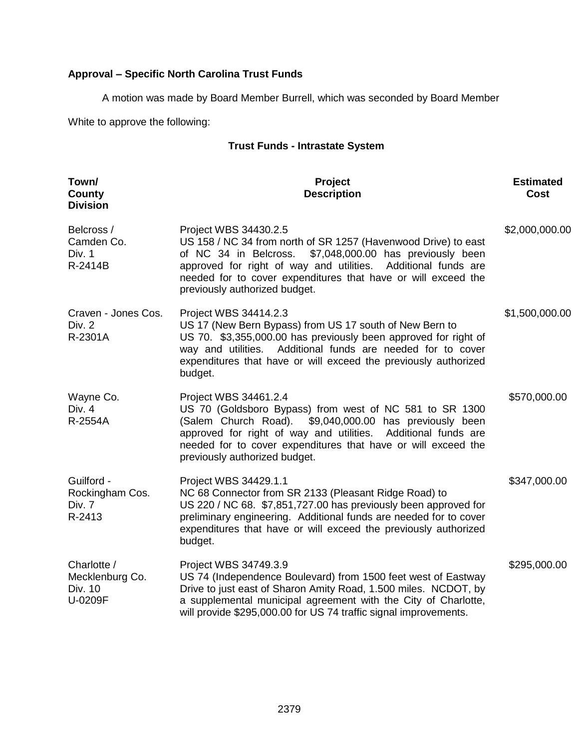# **Approval – Specific North Carolina Trust Funds**

A motion was made by Board Member Burrell, which was seconded by Board Member

White to approve the following:

## **Trust Funds - Intrastate System**

| Town/<br>County<br><b>Division</b>                   | Project<br><b>Description</b>                                                                                                                                                                                                                                                                                             | <b>Estimated</b><br>Cost |
|------------------------------------------------------|---------------------------------------------------------------------------------------------------------------------------------------------------------------------------------------------------------------------------------------------------------------------------------------------------------------------------|--------------------------|
| Belcross /<br>Camden Co.<br>Div. 1<br>R-2414B        | Project WBS 34430.2.5<br>US 158 / NC 34 from north of SR 1257 (Havenwood Drive) to east<br>of NC 34 in Belcross.<br>\$7,048,000.00 has previously been<br>approved for right of way and utilities. Additional funds are<br>needed for to cover expenditures that have or will exceed the<br>previously authorized budget. | \$2,000,000.00           |
| Craven - Jones Cos.<br>Div. 2<br>R-2301A             | Project WBS 34414.2.3<br>US 17 (New Bern Bypass) from US 17 south of New Bern to<br>US 70. \$3,355,000.00 has previously been approved for right of<br>way and utilities. Additional funds are needed for to cover<br>expenditures that have or will exceed the previously authorized<br>budget.                          | \$1,500,000.00           |
| Wayne Co.<br>Div. 4<br>R-2554A                       | Project WBS 34461.2.4<br>US 70 (Goldsboro Bypass) from west of NC 581 to SR 1300<br>(Salem Church Road).<br>\$9,040,000.00 has previously been<br>approved for right of way and utilities. Additional funds are<br>needed for to cover expenditures that have or will exceed the<br>previously authorized budget.         | \$570,000.00             |
| Guilford -<br>Rockingham Cos.<br>Div. 7<br>R-2413    | Project WBS 34429.1.1<br>NC 68 Connector from SR 2133 (Pleasant Ridge Road) to<br>US 220 / NC 68. \$7,851,727.00 has previously been approved for<br>preliminary engineering. Additional funds are needed for to cover<br>expenditures that have or will exceed the previously authorized<br>budget.                      | \$347,000.00             |
| Charlotte /<br>Mecklenburg Co.<br>Div. 10<br>U-0209F | Project WBS 34749.3.9<br>US 74 (Independence Boulevard) from 1500 feet west of Eastway<br>Drive to just east of Sharon Amity Road, 1.500 miles. NCDOT, by<br>a supplemental municipal agreement with the City of Charlotte,<br>will provide \$295,000.00 for US 74 traffic signal improvements.                           | \$295,000.00             |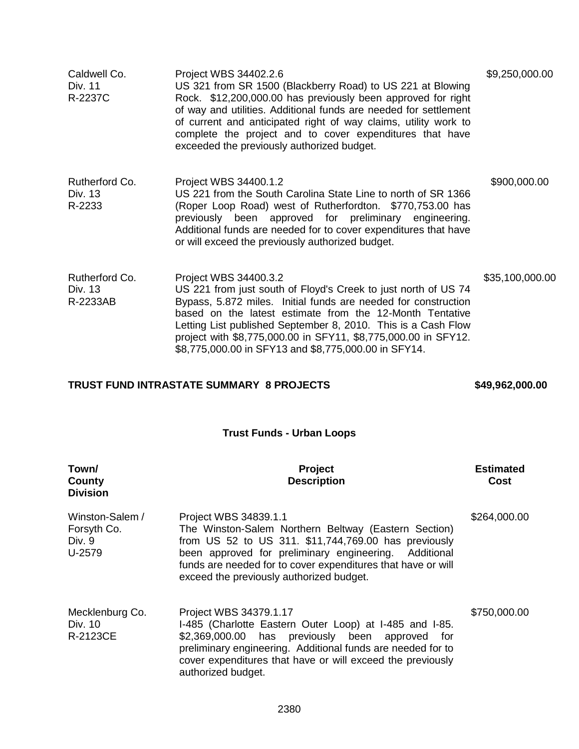| Caldwell Co.<br>Div. 11<br>R-2237C    | Project WBS 34402.2.6<br>US 321 from SR 1500 (Blackberry Road) to US 221 at Blowing<br>Rock. \$12,200,000.00 has previously been approved for right<br>of way and utilities. Additional funds are needed for settlement<br>of current and anticipated right of way claims, utility work to<br>complete the project and to cover expenditures that have<br>exceeded the previously authorized budget.             | \$9,250,000.00  |
|---------------------------------------|------------------------------------------------------------------------------------------------------------------------------------------------------------------------------------------------------------------------------------------------------------------------------------------------------------------------------------------------------------------------------------------------------------------|-----------------|
| Rutherford Co.<br>Div. 13<br>R-2233   | Project WBS 34400.1.2<br>US 221 from the South Carolina State Line to north of SR 1366<br>(Roper Loop Road) west of Rutherfordton. \$770,753.00 has<br>previously been approved for preliminary engineering.<br>Additional funds are needed for to cover expenditures that have<br>or will exceed the previously authorized budget.                                                                              | \$900,000.00    |
| Rutherford Co.<br>Div. 13<br>R-2233AB | Project WBS 34400.3.2<br>US 221 from just south of Floyd's Creek to just north of US 74<br>Bypass, 5.872 miles. Initial funds are needed for construction<br>based on the latest estimate from the 12-Month Tentative<br>Letting List published September 8, 2010. This is a Cash Flow<br>project with \$8,775,000.00 in SFY11, \$8,775,000.00 in SFY12.<br>\$8,775,000.00 in SFY13 and \$8,775,000.00 in SFY14. | \$35,100,000.00 |

# **TRUST FUND INTRASTATE SUMMARY 8 PROJECTS \$49,962,000.00**

# **Trust Funds - Urban Loops**

| Town/<br>County<br><b>Division</b>                 | <b>Project</b><br><b>Description</b>                                                                                                                                                                                                                                                                          | <b>Estimated</b><br>Cost |
|----------------------------------------------------|---------------------------------------------------------------------------------------------------------------------------------------------------------------------------------------------------------------------------------------------------------------------------------------------------------------|--------------------------|
| Winston-Salem /<br>Forsyth Co.<br>Div. 9<br>U-2579 | Project WBS 34839.1.1<br>The Winston-Salem Northern Beltway (Eastern Section)<br>from US 52 to US 311. \$11,744,769.00 has previously<br>been approved for preliminary engineering.<br>Additional<br>funds are needed for to cover expenditures that have or will<br>exceed the previously authorized budget. | \$264,000.00             |
| Mecklenburg Co.<br>Div. 10<br>R-2123CE             | Project WBS 34379.1.17<br>I-485 (Charlotte Eastern Outer Loop) at I-485 and I-85.<br>\$2,369,000.00 has previously been approved<br>for<br>preliminary engineering. Additional funds are needed for to<br>cover expenditures that have or will exceed the previously<br>authorized budget.                    | \$750,000.00             |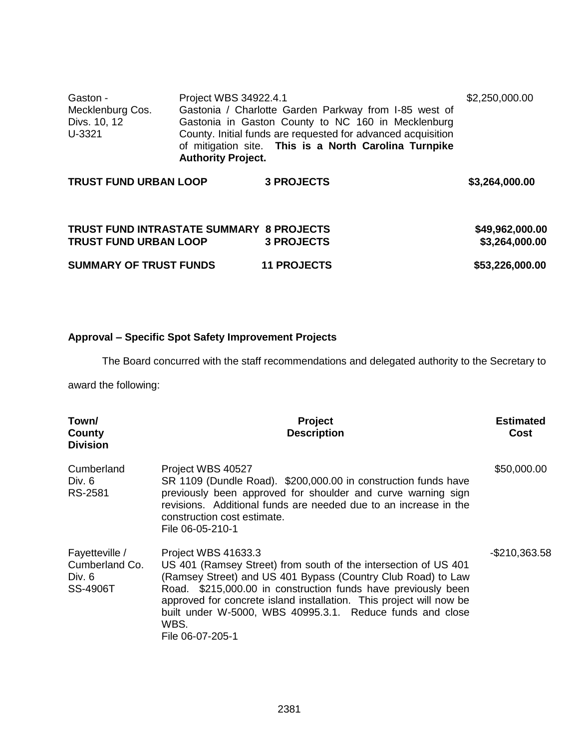| Gaston -         | Project WBS 34922.4.1                                                                                                                              | \$2,250,000.00 |
|------------------|----------------------------------------------------------------------------------------------------------------------------------------------------|----------------|
| Mecklenburg Cos. | Gastonia / Charlotte Garden Parkway from I-85 west of                                                                                              |                |
| Divs. 10, 12     | Gastonia in Gaston County to NC 160 in Mecklenburg                                                                                                 |                |
| U-3321           | County. Initial funds are requested for advanced acquisition<br>of mitigation site. This is a North Carolina Turnpike<br><b>Authority Project.</b> |                |

| <b>TRUST FUND URBAN LOOP</b>                    | <b>3 PROJECTS</b> | \$3,264,000.00  |
|-------------------------------------------------|-------------------|-----------------|
| <b>TRUST FUND INTRASTATE SUMMARY 8 PROJECTS</b> |                   | \$49,962,000.00 |
|                                                 |                   |                 |
| <b>TRUST FUND URBAN LOOP</b>                    | <b>3 PROJECTS</b> | \$3,264,000.00  |

|                               | - - - - - - - - - - - |                 |
|-------------------------------|-----------------------|-----------------|
| <b>SUMMARY OF TRUST FUNDS</b> | <b>11 PROJECTS</b>    | \$53,226,000.00 |

## **Approval – Specific Spot Safety Improvement Projects**

The Board concurred with the staff recommendations and delegated authority to the Secretary to

award the following:

| Town/<br>County<br><b>Division</b>                              | <b>Project</b><br><b>Description</b>                                                                                                                                                                                                                                                                                                                                                    | <b>Estimated</b><br><b>Cost</b> |
|-----------------------------------------------------------------|-----------------------------------------------------------------------------------------------------------------------------------------------------------------------------------------------------------------------------------------------------------------------------------------------------------------------------------------------------------------------------------------|---------------------------------|
| Cumberland<br>Div. 6<br>RS-2581                                 | Project WBS 40527<br>SR 1109 (Dundle Road). \$200,000.00 in construction funds have<br>previously been approved for shoulder and curve warning sign<br>revisions. Additional funds are needed due to an increase in the<br>construction cost estimate.<br>File 06-05-210-1                                                                                                              | \$50,000.00                     |
| Fayetteville /<br>Cumberland Co.<br>Div. $6$<br><b>SS-4906T</b> | Project WBS 41633.3<br>US 401 (Ramsey Street) from south of the intersection of US 401<br>(Ramsey Street) and US 401 Bypass (Country Club Road) to Law<br>Road. \$215,000.00 in construction funds have previously been<br>approved for concrete island installation. This project will now be<br>built under W-5000, WBS 40995.3.1. Reduce funds and close<br>WBS.<br>File 06-07-205-1 | $-$210,363.58$                  |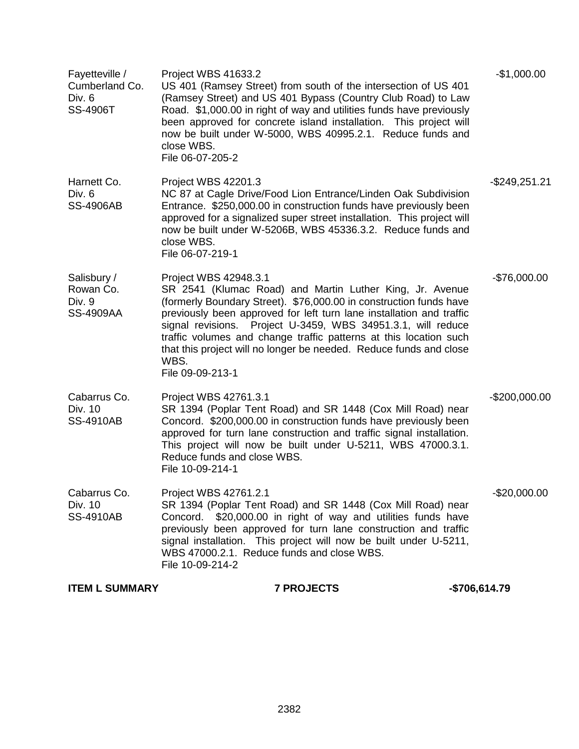| <b>ITEM L SUMMARY</b>                                  | <b>7 PROJECTS</b>                                                                                                                                                                                                                                                                                                                                                                                                                                                      | -\$706,614.79    |
|--------------------------------------------------------|------------------------------------------------------------------------------------------------------------------------------------------------------------------------------------------------------------------------------------------------------------------------------------------------------------------------------------------------------------------------------------------------------------------------------------------------------------------------|------------------|
| Cabarrus Co.<br>Div. 10<br><b>SS-4910AB</b>            | Project WBS 42761.2.1<br>SR 1394 (Poplar Tent Road) and SR 1448 (Cox Mill Road) near<br>Concord. \$20,000.00 in right of way and utilities funds have<br>previously been approved for turn lane construction and traffic<br>signal installation. This project will now be built under U-5211,<br>WBS 47000.2.1. Reduce funds and close WBS.<br>File 10-09-214-2                                                                                                        | $-$20,000.00$    |
| Cabarrus Co.<br>Div. 10<br><b>SS-4910AB</b>            | Project WBS 42761.3.1<br>SR 1394 (Poplar Tent Road) and SR 1448 (Cox Mill Road) near<br>Concord. \$200,000.00 in construction funds have previously been<br>approved for turn lane construction and traffic signal installation.<br>This project will now be built under U-5211, WBS 47000.3.1.<br>Reduce funds and close WBS.<br>File 10-09-214-1                                                                                                                     | $-$200,000.00$   |
| Salisbury /<br>Rowan Co.<br>Div. 9<br><b>SS-4909AA</b> | Project WBS 42948.3.1<br>SR 2541 (Klumac Road) and Martin Luther King, Jr. Avenue<br>(formerly Boundary Street). \$76,000.00 in construction funds have<br>previously been approved for left turn lane installation and traffic<br>signal revisions. Project U-3459, WBS 34951.3.1, will reduce<br>traffic volumes and change traffic patterns at this location such<br>that this project will no longer be needed. Reduce funds and close<br>WBS.<br>File 09-09-213-1 | $-$76,000.00$    |
| Harnett Co.<br>Div. 6<br><b>SS-4906AB</b>              | Project WBS 42201.3<br>NC 87 at Cagle Drive/Food Lion Entrance/Linden Oak Subdivision<br>Entrance. \$250,000.00 in construction funds have previously been<br>approved for a signalized super street installation. This project will<br>now be built under W-5206B, WBS 45336.3.2. Reduce funds and<br>close WBS.<br>File 06-07-219-1                                                                                                                                  | $-$ \$249,251.21 |
| Fayetteville /<br>Cumberland Co.<br>Div. 6<br>SS-4906T | Project WBS 41633.2<br>US 401 (Ramsey Street) from south of the intersection of US 401<br>(Ramsey Street) and US 401 Bypass (Country Club Road) to Law<br>Road. \$1,000.00 in right of way and utilities funds have previously<br>been approved for concrete island installation. This project will<br>now be built under W-5000, WBS 40995.2.1. Reduce funds and<br>close WBS.<br>File 06-07-205-2                                                                    | $-$1,000.00$     |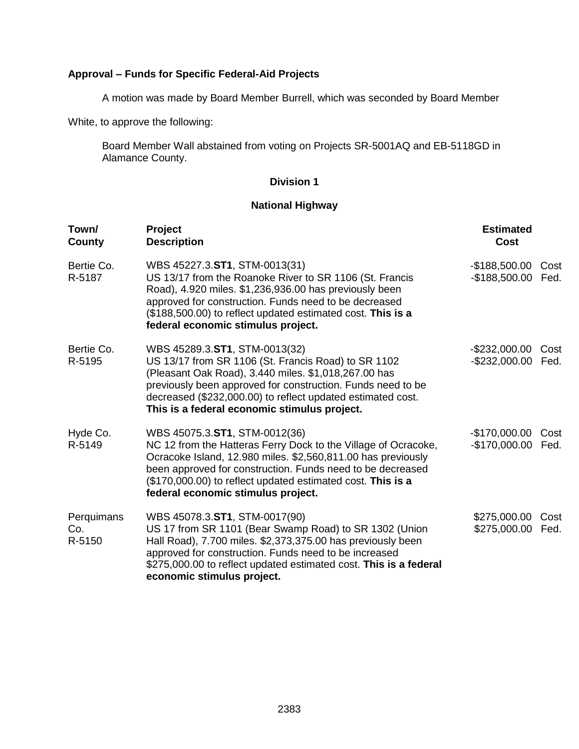## **Approval – Funds for Specific Federal-Aid Projects**

A motion was made by Board Member Burrell, which was seconded by Board Member

White, to approve the following:

Board Member Wall abstained from voting on Projects SR-5001AQ and EB-5118GD in Alamance County.

### **Division 1**

## **National Highway**

| Town/<br>County             | Project<br><b>Description</b>                                                                                                                                                                                                                                                                                                      | <b>Estimated</b><br>Cost         |              |
|-----------------------------|------------------------------------------------------------------------------------------------------------------------------------------------------------------------------------------------------------------------------------------------------------------------------------------------------------------------------------|----------------------------------|--------------|
| Bertie Co.<br>R-5187        | WBS 45227.3.ST1, STM-0013(31)<br>US 13/17 from the Roanoke River to SR 1106 (St. Francis<br>Road), 4.920 miles. \$1,236,936.00 has previously been<br>approved for construction. Funds need to be decreased<br>(\$188,500.00) to reflect updated estimated cost. This is a<br>federal economic stimulus project.                   | $-$188,500.00$<br>$-$188,500.00$ | Cost<br>Fed. |
| Bertie Co.<br>R-5195        | WBS 45289.3.ST1, STM-0013(32)<br>US 13/17 from SR 1106 (St. Francis Road) to SR 1102<br>(Pleasant Oak Road), 3.440 miles. \$1,018,267.00 has<br>previously been approved for construction. Funds need to be<br>decreased (\$232,000.00) to reflect updated estimated cost.<br>This is a federal economic stimulus project.         | $-$232,000.00$<br>-\$232,000.00  | Cost<br>Fed. |
| Hyde Co.<br>R-5149          | WBS 45075.3.ST1, STM-0012(36)<br>NC 12 from the Hatteras Ferry Dock to the Village of Ocracoke,<br>Ocracoke Island, 12.980 miles. \$2,560,811.00 has previously<br>been approved for construction. Funds need to be decreased<br>(\$170,000.00) to reflect updated estimated cost. This is a<br>federal economic stimulus project. | $-$170,000.00$<br>$-$170,000.00$ | Cost<br>Fed. |
| Perquimans<br>Co.<br>R-5150 | WBS 45078.3.ST1, STM-0017(90)<br>US 17 from SR 1101 (Bear Swamp Road) to SR 1302 (Union<br>Hall Road), 7.700 miles. \$2,373,375.00 has previously been<br>approved for construction. Funds need to be increased<br>\$275,000.00 to reflect updated estimated cost. This is a federal<br>economic stimulus project.                 | \$275,000.00<br>\$275,000.00     | Cost<br>Fed. |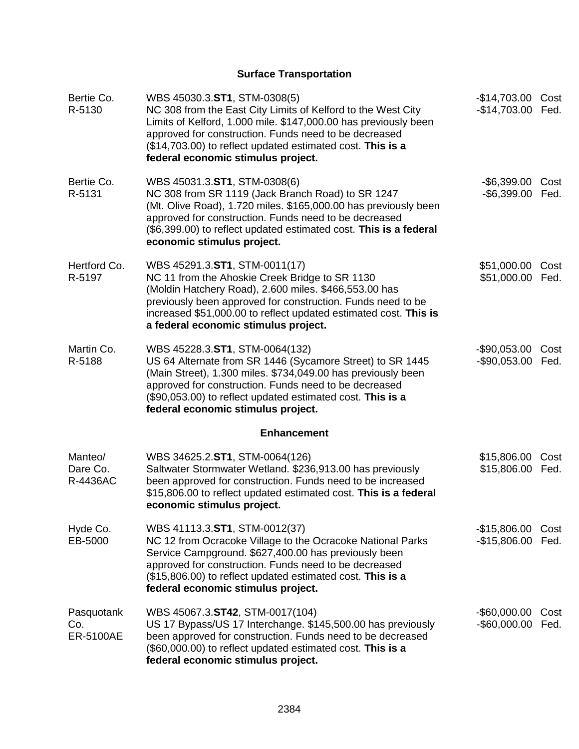# **Surface Transportation**

| Bertie Co.<br>R-5130                  | WBS 45030.3.ST1, STM-0308(5)<br>NC 308 from the East City Limits of Kelford to the West City<br>Limits of Kelford, 1.000 mile. \$147,000.00 has previously been<br>approved for construction. Funds need to be decreased<br>(\$14,703.00) to reflect updated estimated cost. This is a<br>federal economic stimulus project. | -\$14,703.00 Cost<br>-\$14,703.00    | Fed.         |
|---------------------------------------|------------------------------------------------------------------------------------------------------------------------------------------------------------------------------------------------------------------------------------------------------------------------------------------------------------------------------|--------------------------------------|--------------|
| Bertie Co.<br>R-5131                  | WBS 45031.3.ST1, STM-0308(6)<br>NC 308 from SR 1119 (Jack Branch Road) to SR 1247<br>(Mt. Olive Road), 1.720 miles. \$165,000.00 has previously been<br>approved for construction. Funds need to be decreased<br>(\$6,399.00) to reflect updated estimated cost. This is a federal<br>economic stimulus project.             | $-$ \$6,399.00<br>$-$ \$6,399.00     | Cost<br>Fed. |
| Hertford Co.<br>R-5197                | WBS 45291.3.ST1, STM-0011(17)<br>NC 11 from the Ahoskie Creek Bridge to SR 1130<br>(Moldin Hatchery Road), 2.600 miles. \$466,553.00 has<br>previously been approved for construction. Funds need to be<br>increased \$51,000.00 to reflect updated estimated cost. This is<br>a federal economic stimulus project.          | \$51,000.00 Cost<br>\$51,000.00 Fed. |              |
| Martin Co.<br>R-5188                  | WBS 45228.3.ST1, STM-0064(132)<br>US 64 Alternate from SR 1446 (Sycamore Street) to SR 1445<br>(Main Street), 1.300 miles. \$734,049.00 has previously been<br>approved for construction. Funds need to be decreased<br>(\$90,053.00) to reflect updated estimated cost. This is a<br>federal economic stimulus project.     | $-$90,053.00$<br>$-$90,053.00$       | Cost<br>Fed. |
|                                       | <b>Enhancement</b>                                                                                                                                                                                                                                                                                                           |                                      |              |
| Manteo/<br>Dare Co.<br>R-4436AC       | WBS 34625.2.ST1, STM-0064(126)<br>Saltwater Stormwater Wetland. \$236,913.00 has previously<br>been approved for construction. Funds need to be increased<br>\$15,806.00 to reflect updated estimated cost. This is a federal<br>economic stimulus project.                                                                  | \$15,806.00<br>\$15,806.00           | Cost<br>Fed. |
| Hyde Co.<br>EB-5000                   | WBS 41113.3.ST1, STM-0012(37)<br>NC 12 from Ocracoke Village to the Ocracoke National Parks<br>Service Campground. \$627,400.00 has previously been<br>approved for construction. Funds need to be decreased<br>(\$15,806.00) to reflect updated estimated cost. This is a<br>federal economic stimulus project.             | $-$15,806.00$<br>$-$15,806.00$       | Cost<br>Fed. |
| Pasquotank<br>Co.<br><b>ER-5100AE</b> | WBS 45067.3.ST42, STM-0017(104)<br>US 17 Bypass/US 17 Interchange. \$145,500.00 has previously<br>been approved for construction. Funds need to be decreased<br>(\$60,000.00) to reflect updated estimated cost. This is a<br>federal economic stimulus project.                                                             | $-$ \$60,000.00<br>$-$ \$60,000.00   | Cost<br>Fed. |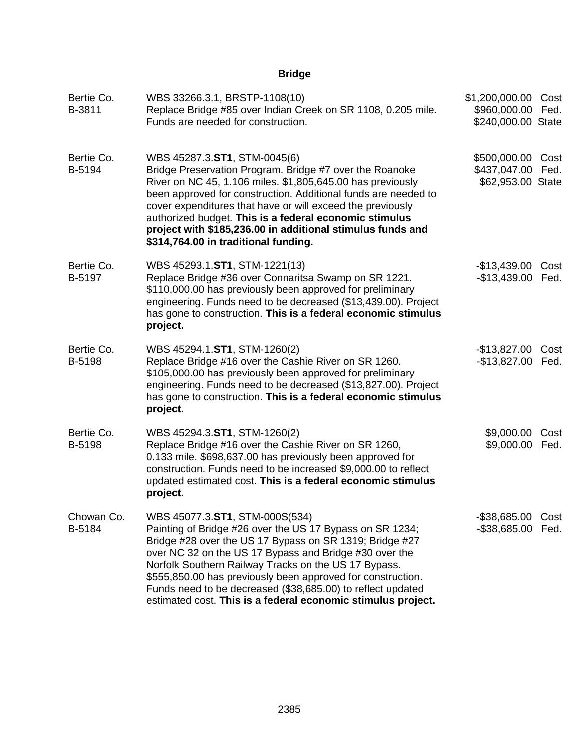## **Bridge**

| Bertie Co.<br>B-3811 | WBS 33266.3.1, BRSTP-1108(10)<br>Replace Bridge #85 over Indian Creek on SR 1108, 0.205 mile.<br>Funds are needed for construction.                                                                                                                                                                                                                                                                                                                                   | \$1,200,000.00 Cost<br>\$960,000.00 Fed.<br>\$240,000.00 State |      |
|----------------------|-----------------------------------------------------------------------------------------------------------------------------------------------------------------------------------------------------------------------------------------------------------------------------------------------------------------------------------------------------------------------------------------------------------------------------------------------------------------------|----------------------------------------------------------------|------|
| Bertie Co.<br>B-5194 | WBS 45287.3.ST1, STM-0045(6)<br>Bridge Preservation Program. Bridge #7 over the Roanoke<br>River on NC 45, 1.106 miles. \$1,805,645.00 has previously<br>been approved for construction. Additional funds are needed to<br>cover expenditures that have or will exceed the previously<br>authorized budget. This is a federal economic stimulus<br>project with \$185,236.00 in additional stimulus funds and<br>\$314,764.00 in traditional funding.                 | \$500,000.00 Cost<br>\$437,047.00 Fed.<br>\$62,953.00 State    |      |
| Bertie Co.<br>B-5197 | WBS 45293.1.ST1, STM-1221(13)<br>Replace Bridge #36 over Connaritsa Swamp on SR 1221.<br>\$110,000.00 has previously been approved for preliminary<br>engineering. Funds need to be decreased (\$13,439.00). Project<br>has gone to construction. This is a federal economic stimulus<br>project.                                                                                                                                                                     | $-$13,439.00$<br>-\$13,439.00 Fed.                             | Cost |
| Bertie Co.<br>B-5198 | WBS 45294.1.ST1, STM-1260(2)<br>Replace Bridge #16 over the Cashie River on SR 1260.<br>\$105,000.00 has previously been approved for preliminary<br>engineering. Funds need to be decreased (\$13,827.00). Project<br>has gone to construction. This is a federal economic stimulus<br>project.                                                                                                                                                                      | -\$13,827.00 Cost<br>-\$13,827.00 Fed.                         |      |
| Bertie Co.<br>B-5198 | WBS 45294.3.ST1, STM-1260(2)<br>Replace Bridge #16 over the Cashie River on SR 1260,<br>0.133 mile. \$698,637.00 has previously been approved for<br>construction. Funds need to be increased \$9,000.00 to reflect<br>updated estimated cost. This is a federal economic stimulus<br>project.                                                                                                                                                                        | \$9,000.00 Cost<br>\$9,000.00 Fed.                             |      |
| Chowan Co.<br>B-5184 | WBS 45077.3.ST1, STM-000S(534)<br>Painting of Bridge #26 over the US 17 Bypass on SR 1234;<br>Bridge #28 over the US 17 Bypass on SR 1319; Bridge #27<br>over NC 32 on the US 17 Bypass and Bridge #30 over the<br>Norfolk Southern Railway Tracks on the US 17 Bypass.<br>\$555,850.00 has previously been approved for construction.<br>Funds need to be decreased (\$38,685.00) to reflect updated<br>estimated cost. This is a federal economic stimulus project. | -\$38,685.00 Cost<br>-\$38,685.00 Fed.                         |      |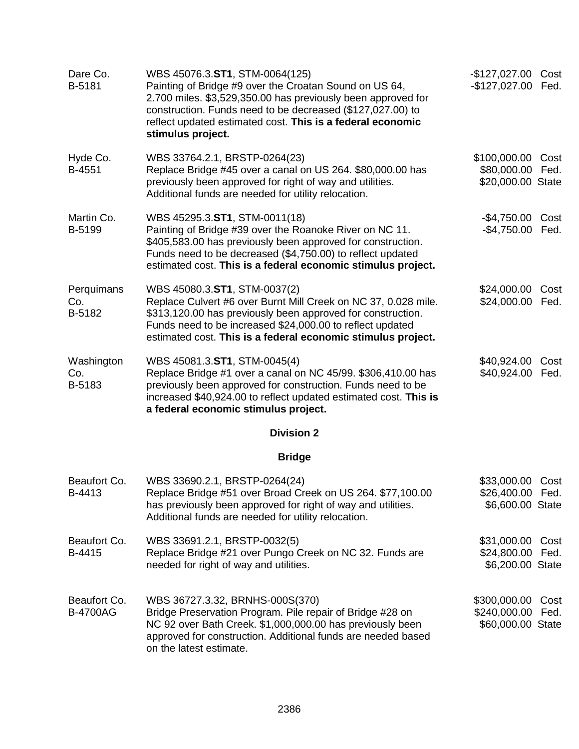| Dare Co.<br>B-5181              | WBS 45076.3.ST1, STM-0064(125)<br>Painting of Bridge #9 over the Croatan Sound on US 64,<br>2.700 miles. \$3,529,350.00 has previously been approved for<br>construction. Funds need to be decreased (\$127,027.00) to<br>reflect updated estimated cost. This is a federal economic<br>stimulus project. | -\$127,027.00 Cost<br>-\$127,027.00 Fed.                 |              |
|---------------------------------|-----------------------------------------------------------------------------------------------------------------------------------------------------------------------------------------------------------------------------------------------------------------------------------------------------------|----------------------------------------------------------|--------------|
| Hyde Co.<br>B-4551              | WBS 33764.2.1, BRSTP-0264(23)<br>Replace Bridge #45 over a canal on US 264. \$80,000.00 has<br>previously been approved for right of way and utilities.<br>Additional funds are needed for utility relocation.                                                                                            | \$100,000.00<br>\$80,000.00<br>\$20,000.00 State         | Cost<br>Fed. |
| Martin Co.<br>B-5199            | WBS 45295.3.ST1, STM-0011(18)<br>Painting of Bridge #39 over the Roanoke River on NC 11.<br>\$405,583.00 has previously been approved for construction.<br>Funds need to be decreased (\$4,750.00) to reflect updated<br>estimated cost. This is a federal economic stimulus project.                     | -\$4,750.00 Cost<br>-\$4,750.00 Fed.                     |              |
| Perquimans<br>Co.<br>B-5182     | WBS 45080.3.ST1, STM-0037(2)<br>Replace Culvert #6 over Burnt Mill Creek on NC 37, 0.028 mile.<br>\$313,120.00 has previously been approved for construction.<br>Funds need to be increased \$24,000.00 to reflect updated<br>estimated cost. This is a federal economic stimulus project.                | \$24,000.00<br>\$24,000.00                               | Cost<br>Fed. |
| Washington<br>Co.<br>B-5183     | WBS 45081.3.ST1, STM-0045(4)<br>Replace Bridge #1 over a canal on NC 45/99. \$306,410.00 has<br>previously been approved for construction. Funds need to be<br>increased \$40,924.00 to reflect updated estimated cost. This is<br>a federal economic stimulus project.                                   | \$40,924.00<br>\$40,924.00                               | Cost<br>Fed. |
|                                 | <b>Division 2</b>                                                                                                                                                                                                                                                                                         |                                                          |              |
|                                 | <b>Bridge</b>                                                                                                                                                                                                                                                                                             |                                                          |              |
| Beaufort Co.<br>B-4413          | WBS 33690.2.1, BRSTP-0264(24)<br>Replace Bridge #51 over Broad Creek on US 264. \$77,100.00<br>has previously been approved for right of way and utilities.<br>Additional funds are needed for utility relocation.                                                                                        | \$33,000.00 Cost<br>\$26,400.00 Fed.<br>\$6,600.00 State |              |
| Beaufort Co.<br>B-4415          | WBS 33691.2.1, BRSTP-0032(5)<br>Replace Bridge #21 over Pungo Creek on NC 32. Funds are<br>needed for right of way and utilities.                                                                                                                                                                         | \$31,000.00 Cost<br>\$24,800.00 Fed.<br>\$6,200.00 State |              |
| Beaufort Co.<br><b>B-4700AG</b> | WBS 36727.3.32, BRNHS-000S(370)<br>Bridge Preservation Program. Pile repair of Bridge #28 on<br>NC 92 over Bath Creek. \$1,000,000.00 has previously been<br>approved for construction. Additional funds are needed based<br>on the latest estimate.                                                      | \$300,000.00<br>\$240,000.00 Fed.<br>\$60,000.00 State   | Cost         |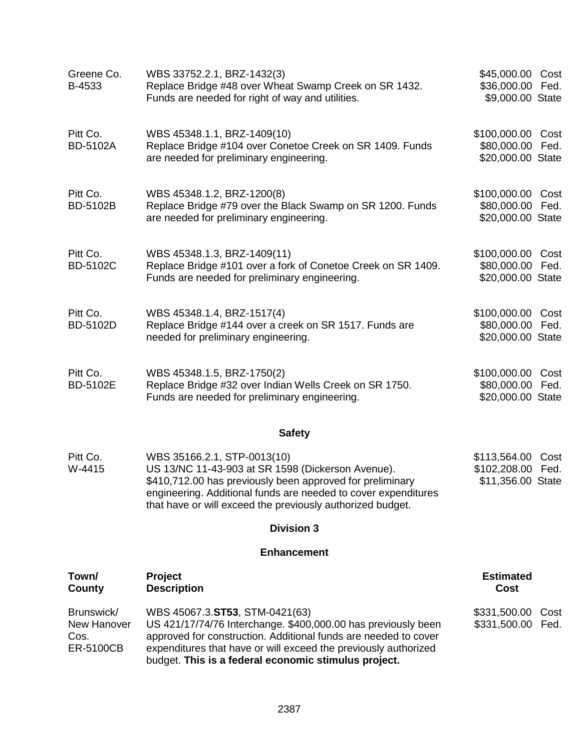| Greene Co.<br>B-4533                                  | WBS 33752.2.1, BRZ-1432(3)<br>Replace Bridge #48 over Wheat Swamp Creek on SR 1432.<br>Funds are needed for right of way and utilities.                                                                                                                                                       | \$45,000.00 Cost<br>\$36,000.00 Fed.<br>\$9,000.00 State         |  |
|-------------------------------------------------------|-----------------------------------------------------------------------------------------------------------------------------------------------------------------------------------------------------------------------------------------------------------------------------------------------|------------------------------------------------------------------|--|
| Pitt Co.<br><b>BD-5102A</b>                           | WBS 45348.1.1, BRZ-1409(10)<br>Replace Bridge #104 over Conetoe Creek on SR 1409. Funds<br>are needed for preliminary engineering.                                                                                                                                                            | \$100,000.00 Cost<br>\$80,000.00 Fed.<br>\$20,000.00 State       |  |
| Pitt Co.<br><b>BD-5102B</b>                           | WBS 45348.1.2, BRZ-1200(8)<br>Replace Bridge #79 over the Black Swamp on SR 1200. Funds<br>are needed for preliminary engineering.                                                                                                                                                            | \$100,000.00<br>Cost<br>\$80,000.00<br>Fed.<br>\$20,000.00 State |  |
| Pitt Co.<br><b>BD-5102C</b>                           | WBS 45348.1.3, BRZ-1409(11)<br>Replace Bridge #101 over a fork of Conetoe Creek on SR 1409.<br>Funds are needed for preliminary engineering.                                                                                                                                                  | \$100,000.00 Cost<br>\$80,000.00 Fed.<br>\$20,000.00 State       |  |
| Pitt Co.<br><b>BD-5102D</b>                           | WBS 45348.1.4, BRZ-1517(4)<br>Replace Bridge #144 over a creek on SR 1517. Funds are<br>needed for preliminary engineering.                                                                                                                                                                   | \$100,000.00 Cost<br>\$80,000.00 Fed.<br>\$20,000.00 State       |  |
| Pitt Co.<br><b>BD-5102E</b>                           | WBS 45348.1.5, BRZ-1750(2)<br>Replace Bridge #32 over Indian Wells Creek on SR 1750.<br>Funds are needed for preliminary engineering.                                                                                                                                                         | \$100,000.00<br>Cost<br>\$80,000.00<br>Fed.<br>\$20,000.00 State |  |
|                                                       | <b>Safety</b>                                                                                                                                                                                                                                                                                 |                                                                  |  |
| Pitt Co.<br>W-4415                                    | WBS 35166.2.1, STP-0013(10)<br>US 13/NC 11-43-903 at SR 1598 (Dickerson Avenue).<br>\$410,712.00 has previously been approved for preliminary<br>engineering. Additional funds are needed to cover expenditures<br>that have or will exceed the previously authorized budget.                 | \$113,564.00 Cost<br>\$102,208.00 Fed.<br>\$11,356.00 State      |  |
|                                                       | <b>Division 3</b>                                                                                                                                                                                                                                                                             |                                                                  |  |
|                                                       | <b>Enhancement</b>                                                                                                                                                                                                                                                                            |                                                                  |  |
| Town/<br>County                                       | Project<br><b>Description</b>                                                                                                                                                                                                                                                                 | <b>Estimated</b><br>Cost                                         |  |
| Brunswick/<br>New Hanover<br>Cos.<br><b>ER-5100CB</b> | WBS 45067.3.ST53, STM-0421(63)<br>US 421/17/74/76 Interchange. \$400,000.00 has previously been<br>approved for construction. Additional funds are needed to cover<br>expenditures that have or will exceed the previously authorized<br>budget. This is a federal economic stimulus project. | \$331,500.00<br>Cost<br>\$331,500.00<br>Fed.                     |  |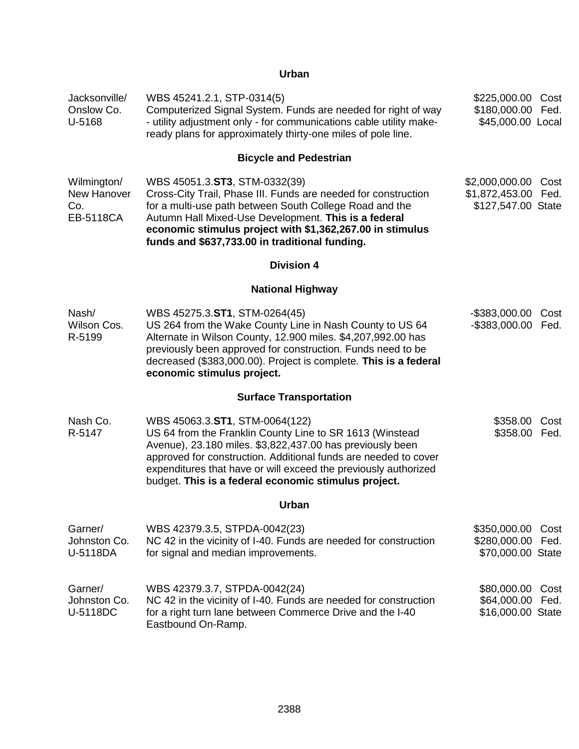### **Urban**

| Jacksonville/<br>Onslow Co.<br>U-5168          | WBS 45241.2.1, STP-0314(5)<br>Computerized Signal System. Funds are needed for right of way<br>- utility adjustment only - for communications cable utility make-<br>ready plans for approximately thirty-one miles of pole line.                                                                                                                     | \$225,000.00<br>\$180,000.00<br>\$45,000.00 Local      | Cost<br>Fed. |
|------------------------------------------------|-------------------------------------------------------------------------------------------------------------------------------------------------------------------------------------------------------------------------------------------------------------------------------------------------------------------------------------------------------|--------------------------------------------------------|--------------|
|                                                | <b>Bicycle and Pedestrian</b>                                                                                                                                                                                                                                                                                                                         |                                                        |              |
| Wilmington/<br>New Hanover<br>Co.<br>EB-5118CA | WBS 45051.3.ST3, STM-0332(39)<br>Cross-City Trail, Phase III. Funds are needed for construction<br>for a multi-use path between South College Road and the<br>Autumn Hall Mixed-Use Development. This is a federal<br>economic stimulus project with \$1,362,267.00 in stimulus<br>funds and \$637,733.00 in traditional funding.                     | \$2,000,000.00<br>\$1,872,453.00<br>\$127,547.00 State | Cost<br>Fed. |
|                                                | <b>Division 4</b>                                                                                                                                                                                                                                                                                                                                     |                                                        |              |
|                                                | <b>National Highway</b>                                                                                                                                                                                                                                                                                                                               |                                                        |              |
| Nash/<br>Wilson Cos.<br>R-5199                 | WBS 45275.3.ST1, STM-0264(45)<br>US 264 from the Wake County Line in Nash County to US 64<br>Alternate in Wilson County, 12.900 miles. \$4,207,992.00 has<br>previously been approved for construction. Funds need to be<br>decreased (\$383,000.00). Project is complete. This is a federal<br>economic stimulus project.                            | $-$ \$383,000.00<br>$-$ \$383,000.00                   | Cost<br>Fed. |
|                                                | <b>Surface Transportation</b>                                                                                                                                                                                                                                                                                                                         |                                                        |              |
| Nash Co.<br>R-5147                             | WBS 45063.3.ST1, STM-0064(122)<br>US 64 from the Franklin County Line to SR 1613 (Winstead<br>Avenue), 23.180 miles. \$3,822,437.00 has previously been<br>approved for construction. Additional funds are needed to cover<br>expenditures that have or will exceed the previously authorized<br>budget. This is a federal economic stimulus project. | \$358.00<br>\$358.00                                   | Cost<br>Fed. |
|                                                | Urban                                                                                                                                                                                                                                                                                                                                                 |                                                        |              |
| Garner/<br>Johnston Co.<br>U-5118DA            | WBS 42379.3.5, STPDA-0042(23)<br>NC 42 in the vicinity of I-40. Funds are needed for construction<br>for signal and median improvements.                                                                                                                                                                                                              | \$350,000.00<br>\$280,000.00<br>\$70,000.00 State      | Cost<br>Fed. |
| Garner/<br>Johnston Co.<br>U-5118DC            | WBS 42379.3.7, STPDA-0042(24)<br>NC 42 in the vicinity of I-40. Funds are needed for construction<br>for a right turn lane between Commerce Drive and the I-40<br>Eastbound On-Ramp.                                                                                                                                                                  | \$80,000.00<br>\$64,000.00<br>\$16,000.00 State        | Cost<br>Fed. |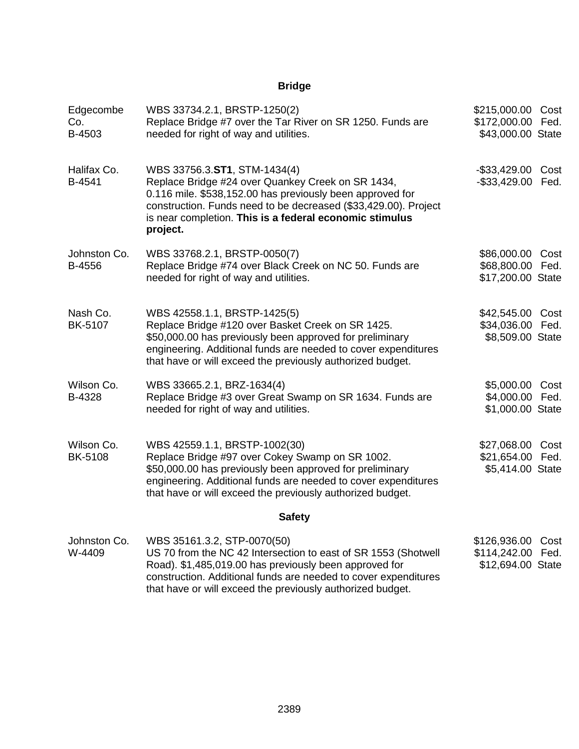## **Bridge**

| Edgecombe<br>Co.<br>B-4503   | WBS 33734.2.1, BRSTP-1250(2)<br>Replace Bridge #7 over the Tar River on SR 1250. Funds are<br>needed for right of way and utilities.                                                                                                                                                     | \$215,000.00 Cost<br>\$172,000.00 Fed.<br>\$43,000.00 State |  |
|------------------------------|------------------------------------------------------------------------------------------------------------------------------------------------------------------------------------------------------------------------------------------------------------------------------------------|-------------------------------------------------------------|--|
| Halifax Co.<br>B-4541        | WBS 33756.3.ST1, STM-1434(4)<br>Replace Bridge #24 over Quankey Creek on SR 1434,<br>0.116 mile. \$538,152.00 has previously been approved for<br>construction. Funds need to be decreased (\$33,429.00). Project<br>is near completion. This is a federal economic stimulus<br>project. | -\$33,429.00 Cost<br>-\$33,429.00 Fed.                      |  |
| Johnston Co.<br>B-4556       | WBS 33768.2.1, BRSTP-0050(7)<br>Replace Bridge #74 over Black Creek on NC 50. Funds are<br>needed for right of way and utilities.                                                                                                                                                        | \$86,000.00 Cost<br>\$68,800.00 Fed.<br>\$17,200.00 State   |  |
| Nash Co.<br><b>BK-5107</b>   | WBS 42558.1.1, BRSTP-1425(5)<br>Replace Bridge #120 over Basket Creek on SR 1425.<br>\$50,000.00 has previously been approved for preliminary<br>engineering. Additional funds are needed to cover expenditures<br>that have or will exceed the previously authorized budget.            | \$42,545.00 Cost<br>\$34,036.00 Fed.<br>\$8,509.00 State    |  |
| Wilson Co.<br>B-4328         | WBS 33665.2.1, BRZ-1634(4)<br>Replace Bridge #3 over Great Swamp on SR 1634. Funds are<br>needed for right of way and utilities.                                                                                                                                                         | \$5,000.00 Cost<br>\$4,000.00 Fed.<br>\$1,000.00 State      |  |
| Wilson Co.<br><b>BK-5108</b> | WBS 42559.1.1, BRSTP-1002(30)<br>Replace Bridge #97 over Cokey Swamp on SR 1002.<br>\$50,000.00 has previously been approved for preliminary<br>engineering. Additional funds are needed to cover expenditures<br>that have or will exceed the previously authorized budget.             | \$27,068.00 Cost<br>\$21,654.00 Fed.<br>\$5,414.00 State    |  |
|                              | <b>Safety</b>                                                                                                                                                                                                                                                                            |                                                             |  |
| Johnston Co.<br>W-4409       | WBS 35161.3.2, STP-0070(50)<br>US 70 from the NC 42 Intersection to east of SR 1553 (Shotwell<br>Road). \$1,485,019.00 has previously been approved for<br>construction. Additional funds are needed to cover expenditures                                                               | \$126,936.00 Cost<br>\$114,242.00 Fed.<br>\$12,694.00 State |  |

that have or will exceed the previously authorized budget.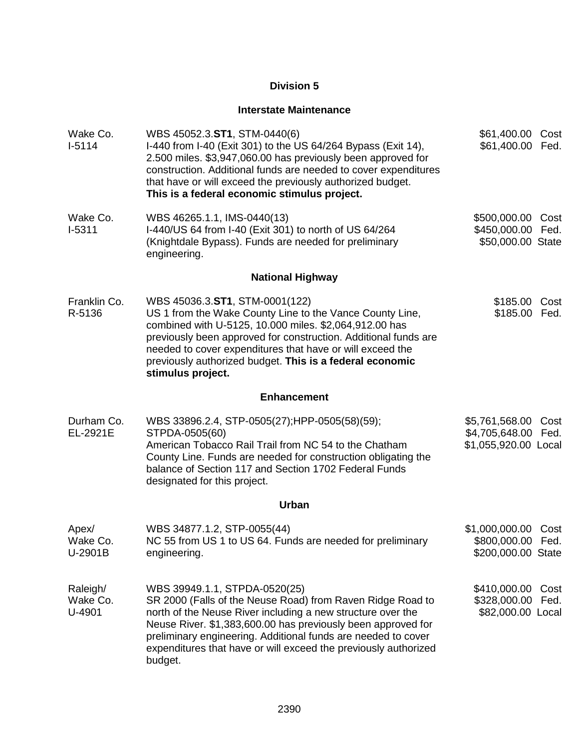### **Interstate Maintenance**

| Wake Co.<br>$I-5114$           | WBS 45052.3.ST1, STM-0440(6)<br>I-440 from I-40 (Exit 301) to the US 64/264 Bypass (Exit 14),<br>2.500 miles. \$3,947,060.00 has previously been approved for<br>construction. Additional funds are needed to cover expenditures<br>that have or will exceed the previously authorized budget.<br>This is a federal economic stimulus project.                            | \$61,400.00 Cost<br>\$61,400.00                               | Fed.         |
|--------------------------------|---------------------------------------------------------------------------------------------------------------------------------------------------------------------------------------------------------------------------------------------------------------------------------------------------------------------------------------------------------------------------|---------------------------------------------------------------|--------------|
| Wake Co.<br>$I-5311$           | WBS 46265.1.1, IMS-0440(13)<br>I-440/US 64 from I-40 (Exit 301) to north of US 64/264<br>(Knightdale Bypass). Funds are needed for preliminary<br>engineering.                                                                                                                                                                                                            | \$500,000.00<br>\$450,000.00<br>\$50,000.00 State             | Cost<br>Fed. |
|                                | <b>National Highway</b>                                                                                                                                                                                                                                                                                                                                                   |                                                               |              |
| Franklin Co.<br>R-5136         | WBS 45036.3.ST1, STM-0001(122)<br>US 1 from the Wake County Line to the Vance County Line,<br>combined with U-5125, 10.000 miles. \$2,064,912.00 has<br>previously been approved for construction. Additional funds are<br>needed to cover expenditures that have or will exceed the<br>previously authorized budget. This is a federal economic<br>stimulus project.     | \$185.00 Cost<br>\$185.00 Fed.                                |              |
|                                | <b>Enhancement</b>                                                                                                                                                                                                                                                                                                                                                        |                                                               |              |
| Durham Co.<br>EL-2921E         | WBS 33896.2.4, STP-0505(27);HPP-0505(58)(59);<br>STPDA-0505(60)<br>American Tobacco Rail Trail from NC 54 to the Chatham<br>County Line. Funds are needed for construction obligating the<br>balance of Section 117 and Section 1702 Federal Funds<br>designated for this project.                                                                                        | \$5,761,568.00<br>\$4,705,648.00 Fed.<br>\$1,055,920.00 Local | Cost         |
|                                | Urban                                                                                                                                                                                                                                                                                                                                                                     |                                                               |              |
| Apex/<br>Wake Co.<br>U-2901B   | WBS 34877.1.2, STP-0055(44)<br>NC 55 from US 1 to US 64. Funds are needed for preliminary<br>engineering.                                                                                                                                                                                                                                                                 | \$1,000,000.00<br>\$800,000.00 Fed.<br>\$200,000.00 State     | Cost         |
| Raleigh/<br>Wake Co.<br>U-4901 | WBS 39949.1.1, STPDA-0520(25)<br>SR 2000 (Falls of the Neuse Road) from Raven Ridge Road to<br>north of the Neuse River including a new structure over the<br>Neuse River. \$1,383,600.00 has previously been approved for<br>preliminary engineering. Additional funds are needed to cover<br>expenditures that have or will exceed the previously authorized<br>budget. | \$410,000.00<br>\$328,000.00<br>\$82,000.00 Local             | Cost<br>Fed. |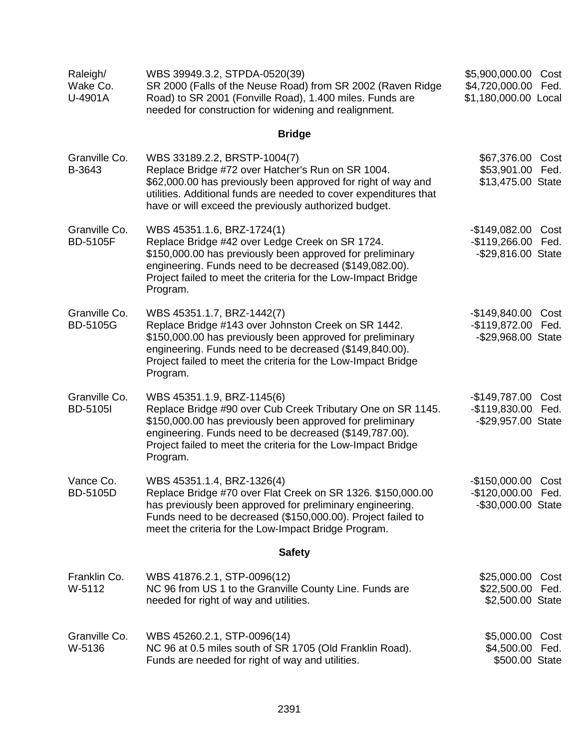| Raleigh/<br>Wake Co.<br>U-4901A  | WBS 39949.3.2, STPDA-0520(39)<br>SR 2000 (Falls of the Neuse Road) from SR 2002 (Raven Ridge<br>Road) to SR 2001 (Fonville Road), 1.400 miles. Funds are<br>needed for construction for widening and realignment.                                                                              | \$5,900,000.00 Cost<br>\$4,720,000.00<br>\$1,180,000.00 Local  | Fed.         |
|----------------------------------|------------------------------------------------------------------------------------------------------------------------------------------------------------------------------------------------------------------------------------------------------------------------------------------------|----------------------------------------------------------------|--------------|
|                                  | <b>Bridge</b>                                                                                                                                                                                                                                                                                  |                                                                |              |
| Granville Co.<br>B-3643          | WBS 33189.2.2, BRSTP-1004(7)<br>Replace Bridge #72 over Hatcher's Run on SR 1004.<br>\$62,000.00 has previously been approved for right of way and<br>utilities. Additional funds are needed to cover expenditures that<br>have or will exceed the previously authorized budget.               | \$67,376.00 Cost<br>\$53,901.00 Fed.<br>\$13,475.00 State      |              |
| Granville Co.<br><b>BD-5105F</b> | WBS 45351.1.6, BRZ-1724(1)<br>Replace Bridge #42 over Ledge Creek on SR 1724.<br>\$150,000.00 has previously been approved for preliminary<br>engineering. Funds need to be decreased (\$149,082.00).<br>Project failed to meet the criteria for the Low-Impact Bridge<br>Program.             | -\$149,082.00 Cost<br>-\$119,266.00 Fed.<br>-\$29,816.00 State |              |
| Granville Co.<br><b>BD-5105G</b> | WBS 45351.1.7, BRZ-1442(7)<br>Replace Bridge #143 over Johnston Creek on SR 1442.<br>\$150,000.00 has previously been approved for preliminary<br>engineering. Funds need to be decreased (\$149,840.00).<br>Project failed to meet the criteria for the Low-Impact Bridge<br>Program.         | -\$149,840.00 Cost<br>-\$119,872.00 Fed.<br>-\$29,968.00 State |              |
| Granville Co.<br><b>BD-5105I</b> | WBS 45351.1.9, BRZ-1145(6)<br>Replace Bridge #90 over Cub Creek Tributary One on SR 1145.<br>\$150,000.00 has previously been approved for preliminary<br>engineering. Funds need to be decreased (\$149,787.00).<br>Project failed to meet the criteria for the Low-Impact Bridge<br>Program. | $-$149,787.00$<br>$-$119,830.00$<br>-\$29,957.00 State         | Cost<br>Fed. |
| Vance Co.<br><b>BD-5105D</b>     | WBS 45351.1.4, BRZ-1326(4)<br>Replace Bridge #70 over Flat Creek on SR 1326. \$150,000.00<br>has previously been approved for preliminary engineering.<br>Funds need to be decreased (\$150,000.00). Project failed to<br>meet the criteria for the Low-Impact Bridge Program.                 | -\$150,000.00 Cost<br>-\$120,000.00 Fed.<br>-\$30,000.00 State |              |
|                                  | <b>Safety</b>                                                                                                                                                                                                                                                                                  |                                                                |              |
| Franklin Co.<br>W-5112           | WBS 41876.2.1, STP-0096(12)<br>NC 96 from US 1 to the Granville County Line. Funds are<br>needed for right of way and utilities.                                                                                                                                                               | \$25,000.00 Cost<br>\$22,500.00 Fed.<br>\$2,500.00 State       |              |
| Granville Co.<br>W-5136          | WBS 45260.2.1, STP-0096(14)<br>NC 96 at 0.5 miles south of SR 1705 (Old Franklin Road).<br>Funds are needed for right of way and utilities.                                                                                                                                                    | \$5,000.00 Cost<br>\$4,500.00 Fed.<br>\$500.00 State           |              |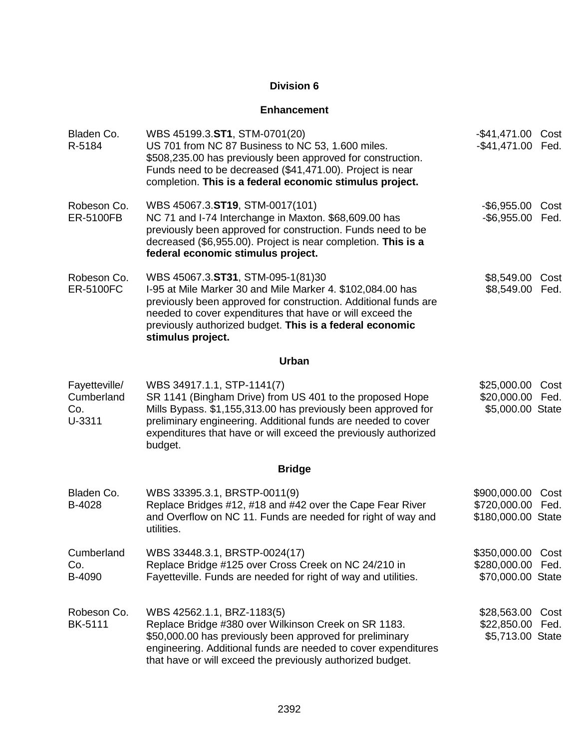#### **Enhancement**

| Bladen Co.<br>R-5184                         | WBS 45199.3.ST1, STM-0701(20)<br>US 701 from NC 87 Business to NC 53, 1.600 miles.<br>\$508,235.00 has previously been approved for construction.<br>Funds need to be decreased (\$41,471.00). Project is near<br>completion. This is a federal economic stimulus project.                                       | -\$41,471.00 Cost<br>-\$41,471.00 Fed.                 |              |
|----------------------------------------------|------------------------------------------------------------------------------------------------------------------------------------------------------------------------------------------------------------------------------------------------------------------------------------------------------------------|--------------------------------------------------------|--------------|
| Robeson Co.<br>ER-5100FB                     | WBS 45067.3.ST19, STM-0017(101)<br>NC 71 and I-74 Interchange in Maxton. \$68,609.00 has<br>previously been approved for construction. Funds need to be<br>decreased (\$6,955.00). Project is near completion. This is a<br>federal economic stimulus project.                                                   | -\$6,955.00<br>-\$6,955.00 Fed.                        | Cost         |
| Robeson Co.<br><b>ER-5100FC</b>              | WBS 45067.3.ST31, STM-095-1(81)30<br>I-95 at Mile Marker 30 and Mile Marker 4. \$102,084.00 has<br>previously been approved for construction. Additional funds are<br>needed to cover expenditures that have or will exceed the<br>previously authorized budget. This is a federal economic<br>stimulus project. | \$8,549.00<br>\$8,549.00                               | Cost<br>Fed. |
|                                              | Urban                                                                                                                                                                                                                                                                                                            |                                                        |              |
| Fayetteville/<br>Cumberland<br>Co.<br>U-3311 | WBS 34917.1.1, STP-1141(7)<br>SR 1141 (Bingham Drive) from US 401 to the proposed Hope<br>Mills Bypass. \$1,155,313.00 has previously been approved for<br>preliminary engineering. Additional funds are needed to cover<br>expenditures that have or will exceed the previously authorized<br>budget.           | \$25,000.00<br>\$20,000.00 Fed.<br>\$5,000.00 State    | Cost         |
|                                              | <b>Bridge</b>                                                                                                                                                                                                                                                                                                    |                                                        |              |
| Bladen Co.<br>B-4028                         | WBS 33395.3.1, BRSTP-0011(9)<br>Replace Bridges #12, #18 and #42 over the Cape Fear River<br>and Overflow on NC 11. Funds are needed for right of way and<br>utilities.                                                                                                                                          | \$900,000.00<br>\$720,000.00<br>\$180,000.00 State     | Cost<br>Fed. |
| Cumberland<br>Co.<br>B-4090                  | WBS 33448.3.1, BRSTP-0024(17)<br>Replace Bridge #125 over Cross Creek on NC 24/210 in<br>Fayetteville. Funds are needed for right of way and utilities.                                                                                                                                                          | \$350,000.00 Cost<br>\$280,000.00<br>\$70,000.00 State | Fed.         |
| Robeson Co.<br><b>BK-5111</b>                | WBS 42562.1.1, BRZ-1183(5)<br>Replace Bridge #380 over Wilkinson Creek on SR 1183.<br>\$50,000.00 has previously been approved for preliminary<br>engineering. Additional funds are needed to cover expenditures<br>that have or will exceed the previously authorized budget.                                   | \$28,563.00<br>\$22,850.00<br>\$5,713.00 State         | Cost<br>Fed. |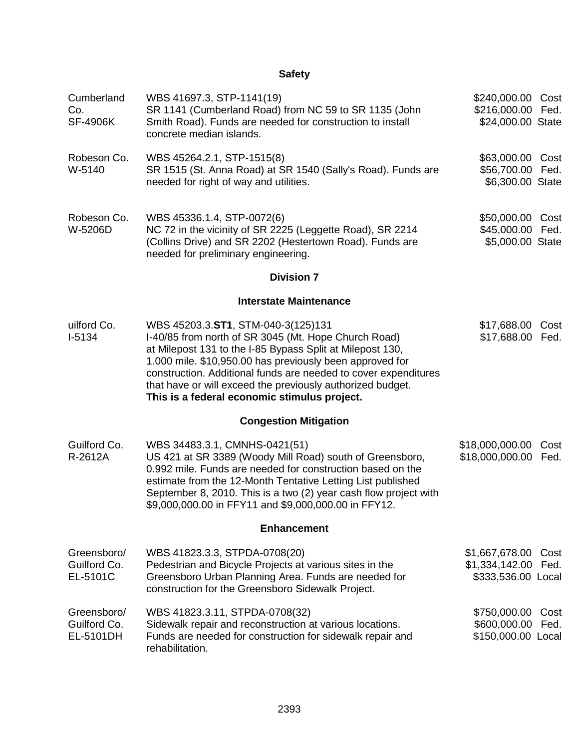## **Safety**

| Cumberland<br>Co.<br><b>SF-4906K</b>     | WBS 41697.3, STP-1141(19)<br>SR 1141 (Cumberland Road) from NC 59 to SR 1135 (John<br>Smith Road). Funds are needed for construction to install<br>concrete median islands.                                                                                                                                                                                                                          | \$240,000.00 Cost<br>\$216,000.00 Fed.<br>\$24,000.00 State |              |
|------------------------------------------|------------------------------------------------------------------------------------------------------------------------------------------------------------------------------------------------------------------------------------------------------------------------------------------------------------------------------------------------------------------------------------------------------|-------------------------------------------------------------|--------------|
| Robeson Co.<br>W-5140                    | WBS 45264.2.1, STP-1515(8)<br>SR 1515 (St. Anna Road) at SR 1540 (Sally's Road). Funds are<br>needed for right of way and utilities.                                                                                                                                                                                                                                                                 | \$63,000.00 Cost<br>\$56,700.00<br>\$6,300.00 State         | Fed.         |
| Robeson Co.<br>W-5206D                   | WBS 45336.1.4, STP-0072(6)<br>NC 72 in the vicinity of SR 2225 (Leggette Road), SR 2214<br>(Collins Drive) and SR 2202 (Hestertown Road). Funds are<br>needed for preliminary engineering.                                                                                                                                                                                                           | \$50,000.00<br>\$45,000.00<br>\$5,000.00 State              | Cost<br>Fed. |
|                                          | <b>Division 7</b>                                                                                                                                                                                                                                                                                                                                                                                    |                                                             |              |
|                                          | <b>Interstate Maintenance</b>                                                                                                                                                                                                                                                                                                                                                                        |                                                             |              |
| uilford Co.<br>I-5134                    | WBS 45203.3.ST1, STM-040-3(125)131<br>I-40/85 from north of SR 3045 (Mt. Hope Church Road)<br>at Milepost 131 to the I-85 Bypass Split at Milepost 130,<br>1.000 mile. \$10,950.00 has previously been approved for<br>construction. Additional funds are needed to cover expenditures<br>that have or will exceed the previously authorized budget.<br>This is a federal economic stimulus project. | \$17,688.00<br>\$17,688.00                                  | Cost<br>Fed. |
|                                          | <b>Congestion Mitigation</b>                                                                                                                                                                                                                                                                                                                                                                         |                                                             |              |
| Guilford Co.<br>R-2612A                  | WBS 34483.3.1, CMNHS-0421(51)<br>US 421 at SR 3389 (Woody Mill Road) south of Greensboro,<br>0.992 mile. Funds are needed for construction based on the<br>estimate from the 12-Month Tentative Letting List published<br>September 8, 2010. This is a two (2) year cash flow project with<br>\$9,000,000.00 in FFY11 and \$9,000,000.00 in FFY12.                                                   | \$18,000,000.00<br>\$18,000,000.00                          | Cost<br>Fed. |
|                                          | <b>Enhancement</b>                                                                                                                                                                                                                                                                                                                                                                                   |                                                             |              |
| Greensboro/<br>Guilford Co.<br>EL-5101C  | WBS 41823.3.3, STPDA-0708(20)<br>Pedestrian and Bicycle Projects at various sites in the<br>Greensboro Urban Planning Area. Funds are needed for<br>construction for the Greensboro Sidewalk Project.                                                                                                                                                                                                | \$1,667,678.00<br>\$1,334,142.00<br>\$333,536.00 Local      | Cost<br>Fed. |
| Greensboro/<br>Guilford Co.<br>EL-5101DH | WBS 41823.3.11, STPDA-0708(32)<br>Sidewalk repair and reconstruction at various locations.<br>Funds are needed for construction for sidewalk repair and<br>rehabilitation.                                                                                                                                                                                                                           | \$750,000.00<br>\$600,000.00<br>\$150,000.00 Local          | Cost<br>Fed. |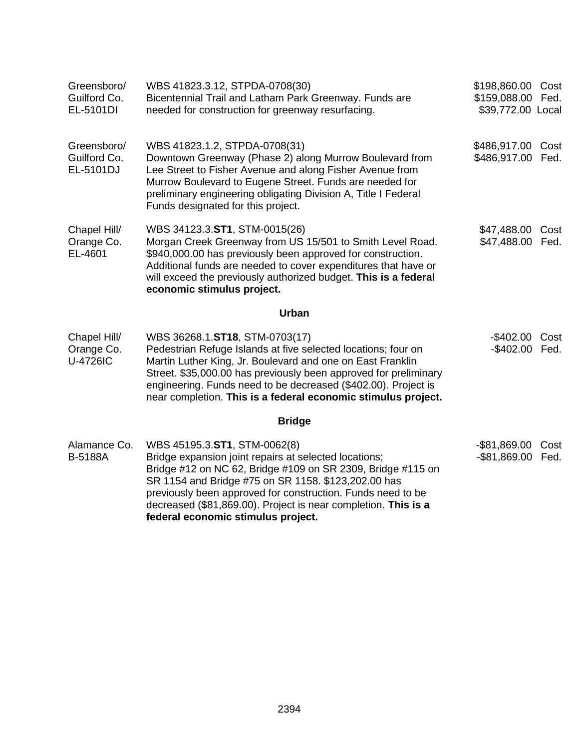| Greensboro/<br>Guilford Co.<br>EL-5101DI      | WBS 41823.3.12, STPDA-0708(30)<br>Bicentennial Trail and Latham Park Greenway. Funds are<br>needed for construction for greenway resurfacing.                                                                                                                                                                                                                                      | \$198,860.00 Cost<br>\$159,088.00 Fed.<br>\$39,772.00 Local |              |
|-----------------------------------------------|------------------------------------------------------------------------------------------------------------------------------------------------------------------------------------------------------------------------------------------------------------------------------------------------------------------------------------------------------------------------------------|-------------------------------------------------------------|--------------|
| Greensboro/<br>Guilford Co.<br>EL-5101DJ      | WBS 41823.1.2, STPDA-0708(31)<br>Downtown Greenway (Phase 2) along Murrow Boulevard from<br>Lee Street to Fisher Avenue and along Fisher Avenue from<br>Murrow Boulevard to Eugene Street. Funds are needed for<br>preliminary engineering obligating Division A, Title I Federal<br>Funds designated for this project.                                                            | \$486,917.00 Cost<br>\$486,917.00 Fed.                      |              |
| Chapel Hill/<br>Orange Co.<br>EL-4601         | WBS 34123.3.ST1, STM-0015(26)<br>Morgan Creek Greenway from US 15/501 to Smith Level Road.<br>\$940,000.00 has previously been approved for construction.<br>Additional funds are needed to cover expenditures that have or<br>will exceed the previously authorized budget. This is a federal<br>economic stimulus project.                                                       | \$47,488.00 Cost<br>\$47,488.00 Fed.                        |              |
|                                               | <b>Urban</b>                                                                                                                                                                                                                                                                                                                                                                       |                                                             |              |
| Chapel Hill/<br>Orange Co.<br><b>U-4726IC</b> | WBS 36268.1.ST18, STM-0703(17)<br>Pedestrian Refuge Islands at five selected locations; four on<br>Martin Luther King, Jr. Boulevard and one on East Franklin<br>Street. \$35,000.00 has previously been approved for preliminary<br>engineering. Funds need to be decreased (\$402.00). Project is<br>near completion. This is a federal economic stimulus project.               | -\$402.00<br>-\$402.00 Fed.                                 | Cost         |
|                                               | <b>Bridge</b>                                                                                                                                                                                                                                                                                                                                                                      |                                                             |              |
| Alamance Co.<br><b>B-5188A</b>                | WBS 45195.3.ST1, STM-0062(8)<br>Bridge expansion joint repairs at selected locations;<br>Bridge #12 on NC 62, Bridge #109 on SR 2309, Bridge #115 on<br>SR 1154 and Bridge #75 on SR 1158. \$123,202.00 has<br>previously been approved for construction. Funds need to be<br>decreased (\$81,869.00). Project is near completion. This is a<br>federal economic stimulus project. | $-$ \$81,869.00<br>$-$ \$81,869.00                          | Cost<br>Fed. |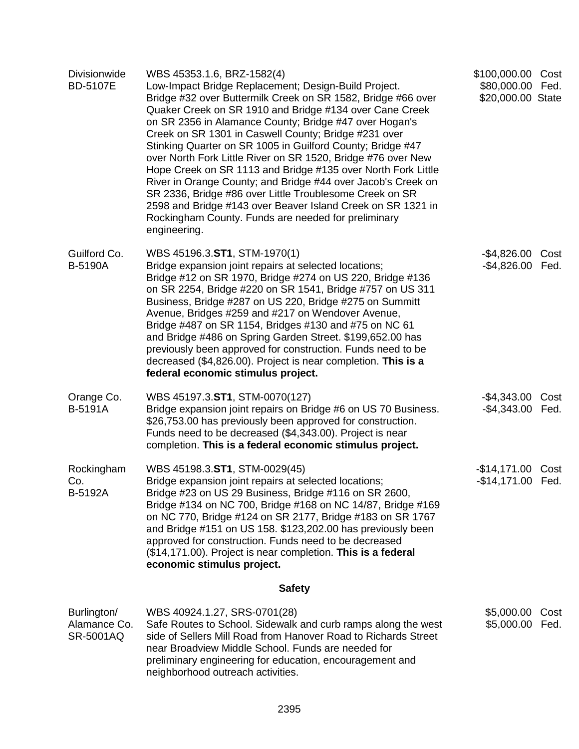| <b>Divisionwide</b><br><b>BD-5107E</b>   | WBS 45353.1.6, BRZ-1582(4)<br>Low-Impact Bridge Replacement; Design-Build Project.<br>Bridge #32 over Buttermilk Creek on SR 1582, Bridge #66 over<br>Quaker Creek on SR 1910 and Bridge #134 over Cane Creek<br>on SR 2356 in Alamance County; Bridge #47 over Hogan's<br>Creek on SR 1301 in Caswell County; Bridge #231 over<br>Stinking Quarter on SR 1005 in Guilford County; Bridge #47<br>over North Fork Little River on SR 1520, Bridge #76 over New<br>Hope Creek on SR 1113 and Bridge #135 over North Fork Little<br>River in Orange County; and Bridge #44 over Jacob's Creek on<br>SR 2336, Bridge #86 over Little Troublesome Creek on SR<br>2598 and Bridge #143 over Beaver Island Creek on SR 1321 in<br>Rockingham County. Funds are needed for preliminary<br>engineering. | \$100,000.00 Cost<br>\$80,000.00 Fed.<br>\$20,000.00 State |      |
|------------------------------------------|------------------------------------------------------------------------------------------------------------------------------------------------------------------------------------------------------------------------------------------------------------------------------------------------------------------------------------------------------------------------------------------------------------------------------------------------------------------------------------------------------------------------------------------------------------------------------------------------------------------------------------------------------------------------------------------------------------------------------------------------------------------------------------------------|------------------------------------------------------------|------|
| Guilford Co.<br><b>B-5190A</b>           | WBS 45196.3.ST1, STM-1970(1)<br>Bridge expansion joint repairs at selected locations;<br>Bridge #12 on SR 1970, Bridge #274 on US 220, Bridge #136<br>on SR 2254, Bridge #220 on SR 1541, Bridge #757 on US 311<br>Business, Bridge #287 on US 220, Bridge #275 on Summitt<br>Avenue, Bridges #259 and #217 on Wendover Avenue,<br>Bridge #487 on SR 1154, Bridges #130 and #75 on NC 61<br>and Bridge #486 on Spring Garden Street. \$199,652.00 has<br>previously been approved for construction. Funds need to be<br>decreased (\$4,826.00). Project is near completion. This is a<br>federal economic stimulus project.                                                                                                                                                                    | -\$4,826.00 Cost<br>$-$ \$4,826.00                         | Fed. |
| Orange Co.<br><b>B-5191A</b>             | WBS 45197.3.ST1, STM-0070(127)<br>Bridge expansion joint repairs on Bridge #6 on US 70 Business.<br>\$26,753.00 has previously been approved for construction.<br>Funds need to be decreased (\$4,343.00). Project is near<br>completion. This is a federal economic stimulus project.                                                                                                                                                                                                                                                                                                                                                                                                                                                                                                         | -\$4,343.00 Cost<br>-\$4,343.00 Fed.                       |      |
| Rockingham<br>Co.<br>B-5192A             | WBS 45198.3.ST1, STM-0029(45)<br>Bridge expansion joint repairs at selected locations;<br>Bridge #23 on US 29 Business, Bridge #116 on SR 2600,<br>Bridge #134 on NC 700, Bridge #168 on NC 14/87, Bridge #169<br>on NC 770, Bridge #124 on SR 2177, Bridge #183 on SR 1767<br>and Bridge #151 on US 158. \$123,202.00 has previously been<br>approved for construction. Funds need to be decreased<br>(\$14,171.00). Project is near completion. This is a federal<br>economic stimulus project.                                                                                                                                                                                                                                                                                              | -\$14,171.00 Cost<br>-\$14,171.00 Fed.                     |      |
|                                          | <b>Safety</b>                                                                                                                                                                                                                                                                                                                                                                                                                                                                                                                                                                                                                                                                                                                                                                                  |                                                            |      |
| Burlington/<br>Alamance Co.<br>SR-5001AQ | WBS 40924.1.27, SRS-0701(28)<br>Safe Routes to School. Sidewalk and curb ramps along the west<br>side of Sellers Mill Road from Hanover Road to Richards Street<br>near Broadview Middle School. Funds are needed for<br>preliminary engineering for education, encouragement and<br>neighborhood outreach activities.                                                                                                                                                                                                                                                                                                                                                                                                                                                                         | \$5,000.00 Cost<br>\$5,000.00 Fed.                         |      |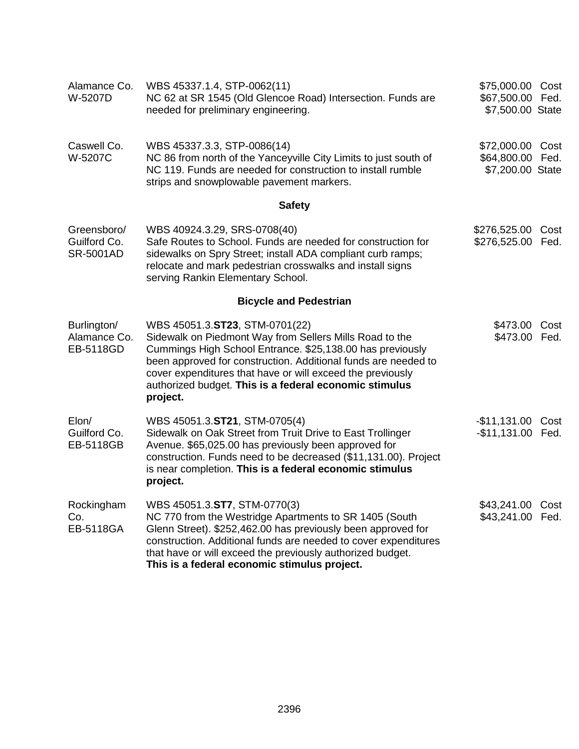| Alamance Co.<br>W-5207D                         | WBS 45337.1.4, STP-0062(11)<br>NC 62 at SR 1545 (Old Glencoe Road) Intersection. Funds are<br>needed for preliminary engineering.                                                                                                                                                                                                                            | \$75,000.00 Cost<br>\$67,500.00 Fed.<br>\$7,500.00 State |      |
|-------------------------------------------------|--------------------------------------------------------------------------------------------------------------------------------------------------------------------------------------------------------------------------------------------------------------------------------------------------------------------------------------------------------------|----------------------------------------------------------|------|
| Caswell Co.<br>W-5207C                          | WBS 45337.3.3, STP-0086(14)<br>NC 86 from north of the Yanceyville City Limits to just south of<br>NC 119. Funds are needed for construction to install rumble<br>strips and snowplowable pavement markers.                                                                                                                                                  | \$72,000.00 Cost<br>\$64,800.00 Fed.<br>\$7,200.00 State |      |
|                                                 | <b>Safety</b>                                                                                                                                                                                                                                                                                                                                                |                                                          |      |
| Greensboro/<br>Guilford Co.<br><b>SR-5001AD</b> | WBS 40924.3.29, SRS-0708(40)<br>Safe Routes to School. Funds are needed for construction for<br>sidewalks on Spry Street; install ADA compliant curb ramps;<br>relocate and mark pedestrian crosswalks and install signs<br>serving Rankin Elementary School.                                                                                                | \$276,525.00 Cost<br>\$276,525.00 Fed.                   |      |
|                                                 | <b>Bicycle and Pedestrian</b>                                                                                                                                                                                                                                                                                                                                |                                                          |      |
| Burlington/<br>Alamance Co.<br>EB-5118GD        | WBS 45051.3.ST23, STM-0701(22)<br>Sidewalk on Piedmont Way from Sellers Mills Road to the<br>Cummings High School Entrance. \$25,138.00 has previously<br>been approved for construction. Additional funds are needed to<br>cover expenditures that have or will exceed the previously<br>authorized budget. This is a federal economic stimulus<br>project. | \$473.00<br>\$473.00 Fed.                                | Cost |
| Elon/<br>Guilford Co.<br>EB-5118GB              | WBS 45051.3.ST21, STM-0705(4)<br>Sidewalk on Oak Street from Truit Drive to East Trollinger<br>Avenue. \$65,025.00 has previously been approved for<br>construction. Funds need to be decreased (\$11,131.00). Project<br>is near completion. This is a federal economic stimulus<br>project.                                                                | $-$11,131.00$<br>-\$11,131.00 Fed.                       | Cost |
| Rockingham<br>Co.<br>EB-5118GA                  | WBS 45051.3.ST7, STM-0770(3)<br>NC 770 from the Westridge Apartments to SR 1405 (South<br>Glenn Street). \$252,462.00 has previously been approved for<br>construction. Additional funds are needed to cover expenditures<br>that have or will exceed the previously authorized budget.<br>This is a federal economic stimulus project.                      | \$43,241.00 Cost<br>\$43,241.00 Fed.                     |      |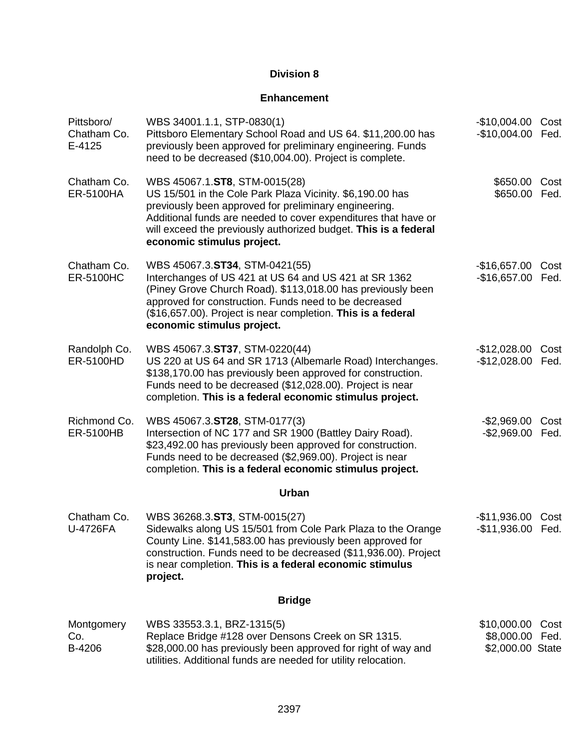### **Enhancement**

| Pittsboro/<br>Chatham Co.<br>E-4125 | WBS 34001.1.1, STP-0830(1)<br>Pittsboro Elementary School Road and US 64. \$11,200.00 has<br>previously been approved for preliminary engineering. Funds<br>need to be decreased (\$10,004.00). Project is complete.                                                                                                   | $-$10,004.00$<br>$-$10,004.00$                     | Cost<br>Fed. |
|-------------------------------------|------------------------------------------------------------------------------------------------------------------------------------------------------------------------------------------------------------------------------------------------------------------------------------------------------------------------|----------------------------------------------------|--------------|
| Chatham Co.<br><b>ER-5100HA</b>     | WBS 45067.1.ST8, STM-0015(28)<br>US 15/501 in the Cole Park Plaza Vicinity. \$6,190.00 has<br>previously been approved for preliminary engineering.<br>Additional funds are needed to cover expenditures that have or<br>will exceed the previously authorized budget. This is a federal<br>economic stimulus project. | \$650.00<br>\$650.00                               | Cost<br>Fed. |
| Chatham Co.<br><b>ER-5100HC</b>     | WBS 45067.3.ST34, STM-0421(55)<br>Interchanges of US 421 at US 64 and US 421 at SR 1362<br>(Piney Grove Church Road). \$113,018.00 has previously been<br>approved for construction. Funds need to be decreased<br>(\$16,657.00). Project is near completion. This is a federal<br>economic stimulus project.          | $-$16,657.00$<br>$-$16,657.00$                     | Cost<br>Fed. |
| Randolph Co.<br>ER-5100HD           | WBS 45067.3.ST37, STM-0220(44)<br>US 220 at US 64 and SR 1713 (Albemarle Road) Interchanges.<br>\$138,170.00 has previously been approved for construction.<br>Funds need to be decreased (\$12,028.00). Project is near<br>completion. This is a federal economic stimulus project.                                   | $-$12,028.00$<br>$-$12,028.00$                     | Cost<br>Fed. |
| Richmond Co.<br><b>ER-5100HB</b>    | WBS 45067.3.ST28, STM-0177(3)<br>Intersection of NC 177 and SR 1900 (Battley Dairy Road).<br>\$23,492.00 has previously been approved for construction.<br>Funds need to be decreased (\$2,969.00). Project is near<br>completion. This is a federal economic stimulus project.                                        | $-$2,969.00$<br>$-$2,969.00$                       | Cost<br>Fed. |
|                                     | Urban                                                                                                                                                                                                                                                                                                                  |                                                    |              |
| Chatham Co.<br><b>U-4726FA</b>      | WBS 36268.3.ST3, STM-0015(27)<br>Sidewalks along US 15/501 from Cole Park Plaza to the Orange<br>County Line. \$141,583.00 has previously been approved for<br>construction. Funds need to be decreased (\$11,936.00). Project<br>is near completion. This is a federal economic stimulus<br>project.                  | $-$11,936.00$<br>$-$11,936.00$                     | Cost<br>Fed. |
|                                     | <b>Bridge</b>                                                                                                                                                                                                                                                                                                          |                                                    |              |
| Montgomery<br>Co.<br>B-4206         | WBS 33553.3.1, BRZ-1315(5)<br>Replace Bridge #128 over Densons Creek on SR 1315.<br>\$28,000.00 has previously been approved for right of way and<br>utilities. Additional funds are needed for utility relocation.                                                                                                    | \$10,000.00<br>\$8,000.00 Fed.<br>\$2,000.00 State | Cost         |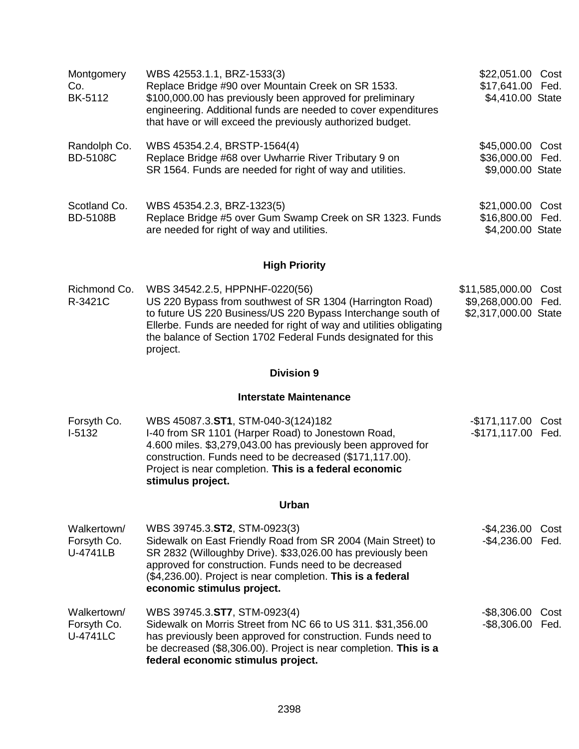| Montgomery<br>Co.<br><b>BK-5112</b>           | WBS 42553.1.1, BRZ-1533(3)<br>Replace Bridge #90 over Mountain Creek on SR 1533.<br>\$100,000.00 has previously been approved for preliminary<br>engineering. Additional funds are needed to cover expenditures<br>that have or will exceed the previously authorized budget.                                     | \$22,051.00 Cost<br>\$17,641.00 Fed.<br>\$4,410.00 State  |              |
|-----------------------------------------------|-------------------------------------------------------------------------------------------------------------------------------------------------------------------------------------------------------------------------------------------------------------------------------------------------------------------|-----------------------------------------------------------|--------------|
| Randolph Co.<br><b>BD-5108C</b>               | WBS 45354.2.4, BRSTP-1564(4)<br>Replace Bridge #68 over Uwharrie River Tributary 9 on<br>SR 1564. Funds are needed for right of way and utilities.                                                                                                                                                                | \$45,000.00 Cost<br>\$36,000.00 Fed.<br>\$9,000.00 State  |              |
| Scotland Co.<br><b>BD-5108B</b>               | WBS 45354.2.3, BRZ-1323(5)<br>Replace Bridge #5 over Gum Swamp Creek on SR 1323. Funds<br>are needed for right of way and utilities.                                                                                                                                                                              | \$21,000.00<br>\$16,800.00<br>\$4,200.00 State            | Cost<br>Fed. |
|                                               | <b>High Priority</b>                                                                                                                                                                                                                                                                                              |                                                           |              |
| Richmond Co.<br>R-3421C                       | WBS 34542.2.5, HPPNHF-0220(56)<br>US 220 Bypass from southwest of SR 1304 (Harrington Road)<br>to future US 220 Business/US 220 Bypass Interchange south of<br>Ellerbe. Funds are needed for right of way and utilities obligating<br>the balance of Section 1702 Federal Funds designated for this<br>project.   | \$11,585,000.00<br>\$9,268,000.00<br>\$2,317,000.00 State | Cost<br>Fed. |
|                                               | <b>Division 9</b>                                                                                                                                                                                                                                                                                                 |                                                           |              |
|                                               | <b>Interstate Maintenance</b>                                                                                                                                                                                                                                                                                     |                                                           |              |
| Forsyth Co.<br>$I-5132$                       | WBS 45087.3.ST1, STM-040-3(124)182<br>I-40 from SR 1101 (Harper Road) to Jonestown Road,<br>4.600 miles. \$3,279,043.00 has previously been approved for<br>construction. Funds need to be decreased (\$171,117.00).<br>Project is near completion. This is a federal economic<br>stimulus project.               | -\$171,117.00<br>-\$171,117.00 Fed.                       | Cost         |
|                                               | Urban                                                                                                                                                                                                                                                                                                             |                                                           |              |
| Walkertown/<br>Forsyth Co.<br>U-4741LB        | WBS 39745.3.ST2, STM-0923(3)<br>Sidewalk on East Friendly Road from SR 2004 (Main Street) to<br>SR 2832 (Willoughby Drive). \$33,026.00 has previously been<br>approved for construction. Funds need to be decreased<br>(\$4,236.00). Project is near completion. This is a federal<br>economic stimulus project. | $-$ \$4,236.00<br>$-$4,236.00$                            | Cost<br>Fed. |
| Walkertown/<br>Forsyth Co.<br><b>U-4741LC</b> | WBS 39745.3.ST7, STM-0923(4)<br>Sidewalk on Morris Street from NC 66 to US 311. \$31,356.00<br>has previously been approved for construction. Funds need to<br>be decreased (\$8,306.00). Project is near completion. This is a<br>federal economic stimulus project.                                             | $-$ \$8,306.00<br>-\$8,306.00 Fed.                        | Cost         |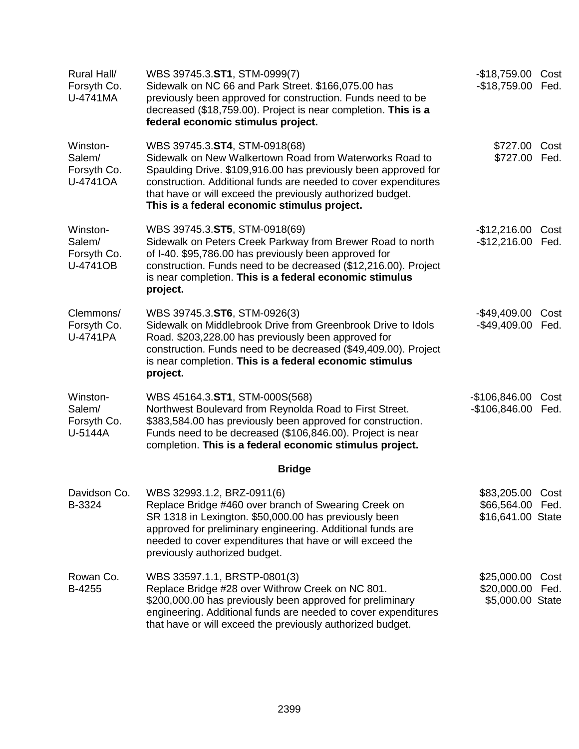| Rural Hall/<br>Forsyth Co.<br>U-4741MA        | WBS 39745.3.ST1, STM-0999(7)<br>Sidewalk on NC 66 and Park Street. \$166,075.00 has<br>previously been approved for construction. Funds need to be<br>decreased (\$18,759.00). Project is near completion. This is a<br>federal economic stimulus project.                                                                                  | -\$18,759.00 Cost<br>-\$18,759.00 Fed.                    |              |
|-----------------------------------------------|---------------------------------------------------------------------------------------------------------------------------------------------------------------------------------------------------------------------------------------------------------------------------------------------------------------------------------------------|-----------------------------------------------------------|--------------|
| Winston-<br>Salem/<br>Forsyth Co.<br>U-4741OA | WBS 39745.3.ST4, STM-0918(68)<br>Sidewalk on New Walkertown Road from Waterworks Road to<br>Spaulding Drive. \$109,916.00 has previously been approved for<br>construction. Additional funds are needed to cover expenditures<br>that have or will exceed the previously authorized budget.<br>This is a federal economic stimulus project. | \$727.00 Cost<br>\$727.00                                 | Fed.         |
| Winston-<br>Salem/<br>Forsyth Co.<br>U-4741OB | WBS 39745.3.ST5, STM-0918(69)<br>Sidewalk on Peters Creek Parkway from Brewer Road to north<br>of I-40. \$95,786.00 has previously been approved for<br>construction. Funds need to be decreased (\$12,216.00). Project<br>is near completion. This is a federal economic stimulus<br>project.                                              | $-$12,216.00$<br>$-$12,216.00$                            | Cost<br>Fed. |
| Clemmons/<br>Forsyth Co.<br>U-4741PA          | WBS 39745.3.ST6, STM-0926(3)<br>Sidewalk on Middlebrook Drive from Greenbrook Drive to Idols<br>Road. \$203,228.00 has previously been approved for<br>construction. Funds need to be decreased (\$49,409.00). Project<br>is near completion. This is a federal economic stimulus<br>project.                                               | $-$ \$49,409.00<br>$-$ \$49,409.00                        | Cost<br>Fed. |
| Winston-<br>Salem/<br>Forsyth Co.<br>U-5144A  | WBS 45164.3.ST1, STM-000S(568)<br>Northwest Boulevard from Reynolda Road to First Street.<br>\$383,584.00 has previously been approved for construction.<br>Funds need to be decreased (\$106,846.00). Project is near<br>completion. This is a federal economic stimulus project.                                                          | $-$106,846.00$<br>$-$106,846.00$                          | Cost<br>Fed. |
|                                               | <b>Bridge</b>                                                                                                                                                                                                                                                                                                                               |                                                           |              |
| Davidson Co.<br>B-3324                        | WBS 32993.1.2, BRZ-0911(6)<br>Replace Bridge #460 over branch of Swearing Creek on<br>SR 1318 in Lexington. \$50,000.00 has previously been<br>approved for preliminary engineering. Additional funds are<br>needed to cover expenditures that have or will exceed the<br>previously authorized budget.                                     | \$83,205.00 Cost<br>\$66,564.00 Fed.<br>\$16,641.00 State |              |
| Rowan Co.<br>B-4255                           | WBS 33597.1.1, BRSTP-0801(3)<br>Replace Bridge #28 over Withrow Creek on NC 801.<br>\$200,000.00 has previously been approved for preliminary<br>engineering. Additional funds are needed to cover expenditures<br>that have or will exceed the previously authorized budget.                                                               | \$25,000.00<br>\$20,000.00 Fed.<br>\$5,000.00 State       | Cost         |
|                                               |                                                                                                                                                                                                                                                                                                                                             |                                                           |              |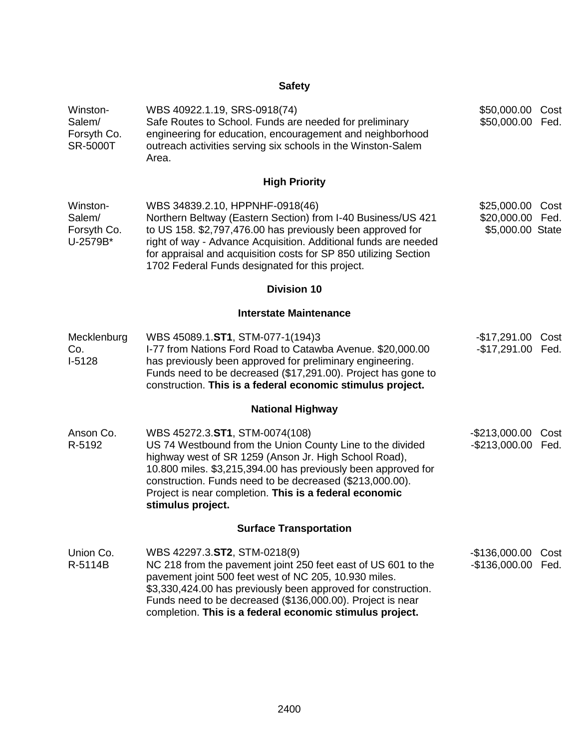## **Safety**

| Winston-<br>Salem/<br>Forsyth Co.<br><b>SR-5000T</b> | WBS 40922.1.19, SRS-0918(74)<br>Safe Routes to School. Funds are needed for preliminary<br>engineering for education, encouragement and neighborhood<br>outreach activities serving six schools in the Winston-Salem<br>Area.                                                                                                                                    | \$50,000.00<br>\$50,000.00                     | Cost<br>Fed. |
|------------------------------------------------------|------------------------------------------------------------------------------------------------------------------------------------------------------------------------------------------------------------------------------------------------------------------------------------------------------------------------------------------------------------------|------------------------------------------------|--------------|
|                                                      | <b>High Priority</b>                                                                                                                                                                                                                                                                                                                                             |                                                |              |
| Winston-<br>Salem/<br>Forsyth Co.<br>U-2579B*        | WBS 34839.2.10, HPPNHF-0918(46)<br>Northern Beltway (Eastern Section) from I-40 Business/US 421<br>to US 158. \$2,797,476.00 has previously been approved for<br>right of way - Advance Acquisition. Additional funds are needed<br>for appraisal and acquisition costs for SP 850 utilizing Section<br>1702 Federal Funds designated for this project.          | \$25,000.00<br>\$20,000.00<br>\$5,000.00 State | Cost<br>Fed. |
|                                                      | <b>Division 10</b>                                                                                                                                                                                                                                                                                                                                               |                                                |              |
|                                                      | <b>Interstate Maintenance</b>                                                                                                                                                                                                                                                                                                                                    |                                                |              |
| Mecklenburg<br>Co.<br>$I-5128$                       | WBS 45089.1.ST1, STM-077-1(194)3<br>I-77 from Nations Ford Road to Catawba Avenue. \$20,000.00<br>has previously been approved for preliminary engineering.<br>Funds need to be decreased (\$17,291.00). Project has gone to<br>construction. This is a federal economic stimulus project.                                                                       | -\$17,291.00 Cost<br>$-$17,291.00$             | Fed.         |
|                                                      | <b>National Highway</b>                                                                                                                                                                                                                                                                                                                                          |                                                |              |
| Anson Co.<br>R-5192                                  | WBS 45272.3.ST1, STM-0074(108)<br>US 74 Westbound from the Union County Line to the divided<br>highway west of SR 1259 (Anson Jr. High School Road),<br>10.800 miles. \$3,215,394.00 has previously been approved for<br>construction. Funds need to be decreased (\$213,000.00).<br>Project is near completion. This is a federal economic<br>stimulus project. | $-$213,000.00$<br>$-$ \$213,000.00             | Cost<br>Fed. |
|                                                      | <b>Surface Transportation</b>                                                                                                                                                                                                                                                                                                                                    |                                                |              |
| Union Co.<br>R-5114B                                 | WBS 42297.3.ST2, STM-0218(9)<br>NC 218 from the pavement joint 250 feet east of US 601 to the<br>pavement joint 500 feet west of NC 205, 10.930 miles.<br>\$3,330,424.00 has previously been approved for construction.<br>Funds need to be decreased (\$136,000.00). Project is near<br>completion. This is a federal economic stimulus project.                | $-$136,000.00$<br>$-$136,000.00$               | Cost<br>Fed. |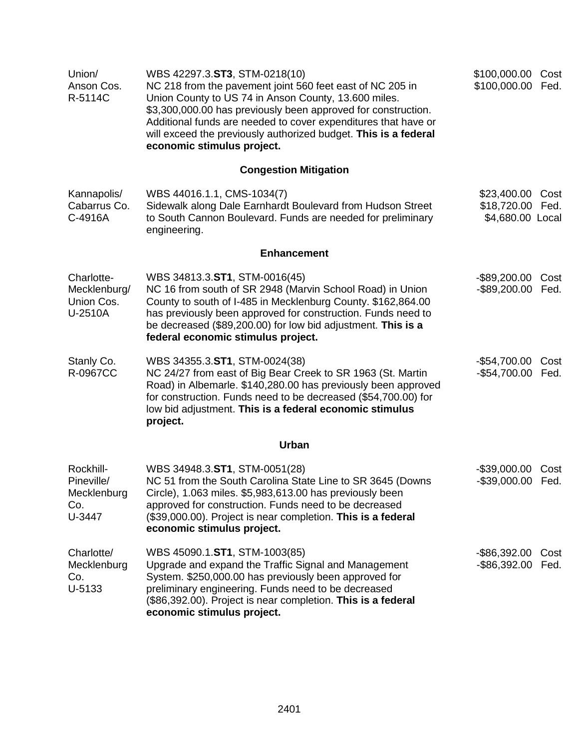| Union/<br>Anson Cos.<br>R-5114C                         | WBS 42297.3.ST3, STM-0218(10)<br>NC 218 from the pavement joint 560 feet east of NC 205 in<br>Union County to US 74 in Anson County, 13.600 miles.<br>\$3,300,000.00 has previously been approved for construction.<br>Additional funds are needed to cover expenditures that have or<br>will exceed the previously authorized budget. This is a federal<br>economic stimulus project. | \$100,000.00 Cost<br>\$100,000.00 Fed.              |              |
|---------------------------------------------------------|----------------------------------------------------------------------------------------------------------------------------------------------------------------------------------------------------------------------------------------------------------------------------------------------------------------------------------------------------------------------------------------|-----------------------------------------------------|--------------|
|                                                         | <b>Congestion Mitigation</b>                                                                                                                                                                                                                                                                                                                                                           |                                                     |              |
| Kannapolis/<br>Cabarrus Co.<br>C-4916A                  | WBS 44016.1.1, CMS-1034(7)<br>Sidewalk along Dale Earnhardt Boulevard from Hudson Street<br>to South Cannon Boulevard. Funds are needed for preliminary<br>engineering.                                                                                                                                                                                                                | \$23,400.00<br>\$18,720.00 Fed.<br>\$4,680.00 Local | Cost         |
|                                                         | <b>Enhancement</b>                                                                                                                                                                                                                                                                                                                                                                     |                                                     |              |
| Charlotte-<br>Mecklenburg/<br>Union Cos.<br>U-2510A     | WBS 34813.3.ST1, STM-0016(45)<br>NC 16 from south of SR 2948 (Marvin School Road) in Union<br>County to south of I-485 in Mecklenburg County. \$162,864.00<br>has previously been approved for construction. Funds need to<br>be decreased (\$89,200.00) for low bid adjustment. This is a<br>federal economic stimulus project.                                                       | -\$89,200.00<br>-\$89,200.00 Fed.                   | Cost         |
| Stanly Co.<br>R-0967CC                                  | WBS 34355.3.ST1, STM-0024(38)<br>NC 24/27 from east of Big Bear Creek to SR 1963 (St. Martin<br>Road) in Albemarle. \$140,280.00 has previously been approved<br>for construction. Funds need to be decreased (\$54,700.00) for<br>low bid adjustment. This is a federal economic stimulus<br>project.                                                                                 | -\$54,700.00 Cost<br>-\$54,700.00 Fed.              |              |
|                                                         | Urban                                                                                                                                                                                                                                                                                                                                                                                  |                                                     |              |
| Rockhill-<br>Pineville/<br>Mecklenburg<br>Co.<br>U-3447 | WBS 34948.3.ST1, STM-0051(28)<br>NC 51 from the South Carolina State Line to SR 3645 (Downs<br>Circle), 1.063 miles. \$5,983,613.00 has previously been<br>approved for construction. Funds need to be decreased<br>(\$39,000.00). Project is near completion. This is a federal<br>economic stimulus project.                                                                         | $-$ \$39,000.00<br>-\$39,000.00 Fed.                | Cost         |
| Charlotte/<br>Mecklenburg<br>Co.<br>U-5133              | WBS 45090.1.ST1, STM-1003(85)<br>Upgrade and expand the Traffic Signal and Management<br>System. \$250,000.00 has previously been approved for<br>preliminary engineering. Funds need to be decreased<br>(\$86,392.00). Project is near completion. This is a federal<br>economic stimulus project.                                                                                    | $-$ \$86,392.00<br>$-$ \$86,392.00                  | Cost<br>Fed. |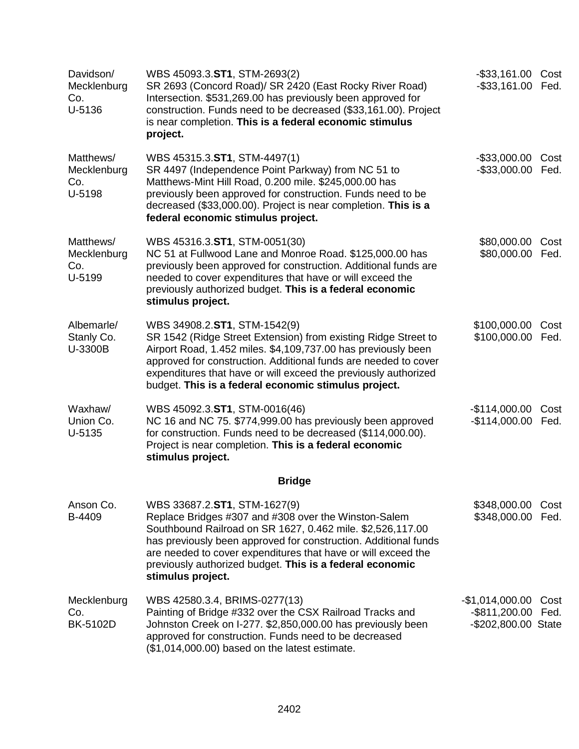| Davidson/<br>Mecklenburg<br>Co.<br>U-5136 | WBS 45093.3.ST1, STM-2693(2)<br>SR 2693 (Concord Road)/ SR 2420 (East Rocky River Road)<br>Intersection. \$531,269.00 has previously been approved for<br>construction. Funds need to be decreased (\$33,161.00). Project<br>is near completion. This is a federal economic stimulus<br>project.                                                                        | -\$33,161.00 Cost<br>-\$33,161.00 Fed.                       |              |
|-------------------------------------------|-------------------------------------------------------------------------------------------------------------------------------------------------------------------------------------------------------------------------------------------------------------------------------------------------------------------------------------------------------------------------|--------------------------------------------------------------|--------------|
| Matthews/<br>Mecklenburg<br>Co.<br>U-5198 | WBS 45315.3.ST1, STM-4497(1)<br>SR 4497 (Independence Point Parkway) from NC 51 to<br>Matthews-Mint Hill Road, 0.200 mile. \$245,000.00 has<br>previously been approved for construction. Funds need to be<br>decreased (\$33,000.00). Project is near completion. This is a<br>federal economic stimulus project.                                                      | $-$ \$33,000.00<br>$-$ \$33,000.00                           | Cost<br>Fed. |
| Matthews/<br>Mecklenburg<br>Co.<br>U-5199 | WBS 45316.3.ST1, STM-0051(30)<br>NC 51 at Fullwood Lane and Monroe Road. \$125,000.00 has<br>previously been approved for construction. Additional funds are<br>needed to cover expenditures that have or will exceed the<br>previously authorized budget. This is a federal economic<br>stimulus project.                                                              | \$80,000.00<br>\$80,000.00 Fed.                              | Cost         |
| Albemarle/<br>Stanly Co.<br>U-3300B       | WBS 34908.2.ST1, STM-1542(9)<br>SR 1542 (Ridge Street Extension) from existing Ridge Street to<br>Airport Road, 1.452 miles. \$4,109,737.00 has previously been<br>approved for construction. Additional funds are needed to cover<br>expenditures that have or will exceed the previously authorized<br>budget. This is a federal economic stimulus project.           | \$100,000.00<br>\$100,000.00                                 | Cost<br>Fed. |
| Waxhaw/<br>Union Co.<br>U-5135            | WBS 45092.3.ST1, STM-0016(46)<br>NC 16 and NC 75. \$774,999.00 has previously been approved<br>for construction. Funds need to be decreased (\$114,000.00).<br>Project is near completion. This is a federal economic<br>stimulus project.                                                                                                                              | $-$114,000.00$<br>$-$114,000.00$                             | Cost<br>Fed. |
|                                           | <b>Bridge</b>                                                                                                                                                                                                                                                                                                                                                           |                                                              |              |
| Anson Co.<br>B-4409                       | WBS 33687.2.ST1, STM-1627(9)<br>Replace Bridges #307 and #308 over the Winston-Salem<br>Southbound Railroad on SR 1627, 0.462 mile. \$2,526,117.00<br>has previously been approved for construction. Additional funds<br>are needed to cover expenditures that have or will exceed the<br>previously authorized budget. This is a federal economic<br>stimulus project. | \$348,000.00<br>\$348,000.00                                 | Cost<br>Fed. |
| Mecklenburg<br>Co.<br><b>BK-5102D</b>     | WBS 42580.3.4, BRIMS-0277(13)<br>Painting of Bridge #332 over the CSX Railroad Tracks and<br>Johnston Creek on I-277. \$2,850,000.00 has previously been<br>approved for construction. Funds need to be decreased<br>(\$1,014,000.00) based on the latest estimate.                                                                                                     | -\$1,014,000.00<br>-\$811,200.00 Fed.<br>-\$202,800.00 State | Cost         |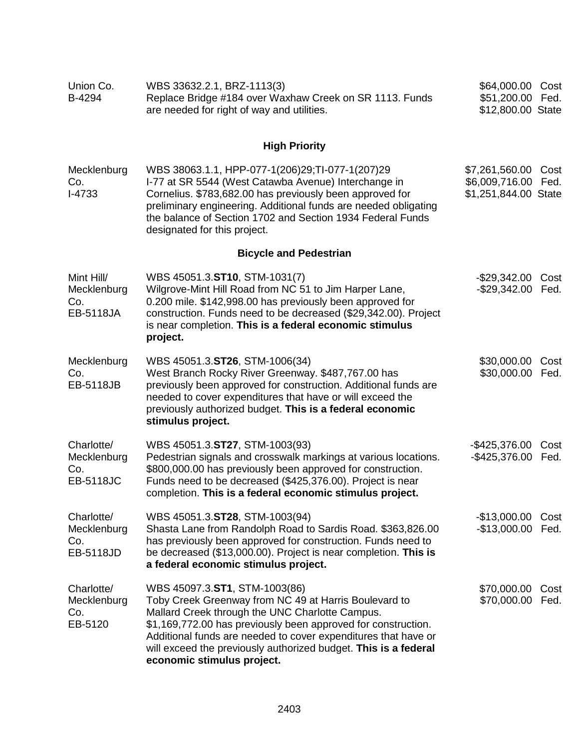| Union Co.<br>B-4294                                  | WBS 33632.2.1, BRZ-1113(3)<br>Replace Bridge #184 over Waxhaw Creek on SR 1113. Funds<br>are needed for right of way and utilities.                                                                                                                                                                                                                                           | \$64,000.00 Cost<br>\$51,200.00<br>\$12,800.00 State     | Fed.         |
|------------------------------------------------------|-------------------------------------------------------------------------------------------------------------------------------------------------------------------------------------------------------------------------------------------------------------------------------------------------------------------------------------------------------------------------------|----------------------------------------------------------|--------------|
|                                                      | <b>High Priority</b>                                                                                                                                                                                                                                                                                                                                                          |                                                          |              |
| Mecklenburg<br>Co.<br>$I-4733$                       | WBS 38063.1.1, HPP-077-1(206)29; TI-077-1(207)29<br>I-77 at SR 5544 (West Catawba Avenue) Interchange in<br>Cornelius. \$783,682.00 has previously been approved for<br>preliminary engineering. Additional funds are needed obligating<br>the balance of Section 1702 and Section 1934 Federal Funds<br>designated for this project.                                         | \$7,261,560.00<br>\$6,009,716.00<br>\$1,251,844.00 State | Cost<br>Fed. |
|                                                      | <b>Bicycle and Pedestrian</b>                                                                                                                                                                                                                                                                                                                                                 |                                                          |              |
| Mint Hill/<br>Mecklenburg<br>Co.<br><b>EB-5118JA</b> | WBS 45051.3.ST10, STM-1031(7)<br>Wilgrove-Mint Hill Road from NC 51 to Jim Harper Lane,<br>0.200 mile. \$142,998.00 has previously been approved for<br>construction. Funds need to be decreased (\$29,342.00). Project<br>is near completion. This is a federal economic stimulus<br>project.                                                                                | $-$ \$29,342.00<br>$-$29,342.00$                         | Cost<br>Fed. |
| Mecklenburg<br>Co.<br>EB-5118JB                      | WBS 45051.3.ST26, STM-1006(34)<br>West Branch Rocky River Greenway. \$487,767.00 has<br>previously been approved for construction. Additional funds are<br>needed to cover expenditures that have or will exceed the<br>previously authorized budget. This is a federal economic<br>stimulus project.                                                                         | \$30,000.00<br>\$30,000.00                               | Cost<br>Fed. |
| Charlotte/<br>Mecklenburg<br>Co.<br><b>EB-5118JC</b> | WBS 45051.3.ST27, STM-1003(93)<br>Pedestrian signals and crosswalk markings at various locations.<br>\$800,000.00 has previously been approved for construction.<br>Funds need to be decreased (\$425,376.00). Project is near<br>completion. This is a federal economic stimulus project.                                                                                    | $-$ \$425,376.00<br>$-$ \$425,376.00                     | Cost<br>Fed. |
| Charlotte/<br>Mecklenburg<br>Co.<br>EB-5118JD        | WBS 45051.3.ST28, STM-1003(94)<br>Shasta Lane from Randolph Road to Sardis Road. \$363,826.00<br>has previously been approved for construction. Funds need to<br>be decreased (\$13,000.00). Project is near completion. This is<br>a federal economic stimulus project.                                                                                                      | $-$13,000.00$<br>$-$13,000.00$                           | Cost<br>Fed. |
| Charlotte/<br>Mecklenburg<br>Co.<br>EB-5120          | WBS 45097.3.ST1, STM-1003(86)<br>Toby Creek Greenway from NC 49 at Harris Boulevard to<br>Mallard Creek through the UNC Charlotte Campus.<br>\$1,169,772.00 has previously been approved for construction.<br>Additional funds are needed to cover expenditures that have or<br>will exceed the previously authorized budget. This is a federal<br>economic stimulus project. | \$70,000.00<br>\$70,000.00                               | Cost<br>Fed. |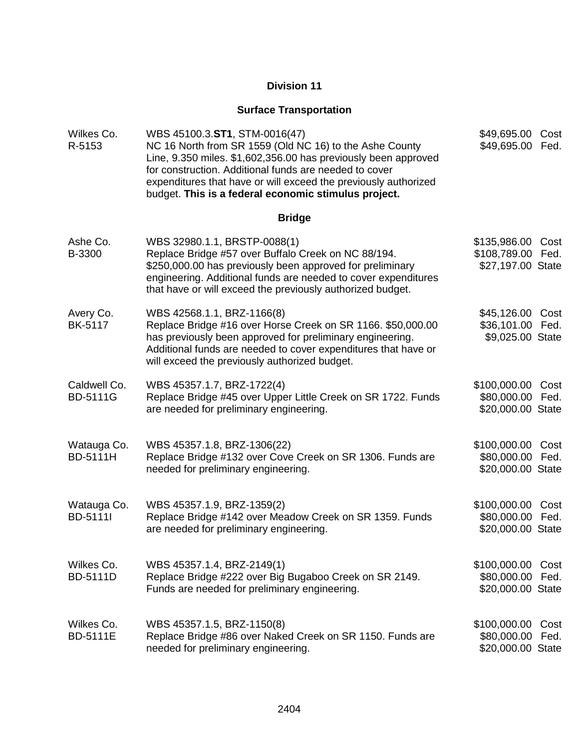### **Surface Transportation**

| Wilkes Co.<br>R-5153            | WBS 45100.3.ST1, STM-0016(47)<br>NC 16 North from SR 1559 (Old NC 16) to the Ashe County<br>Line, 9.350 miles. \$1,602,356.00 has previously been approved<br>for construction. Additional funds are needed to cover<br>expenditures that have or will exceed the previously authorized<br>budget. This is a federal economic stimulus project. | \$49,695.00<br>\$49,695.00                               | Cost<br>Fed. |
|---------------------------------|-------------------------------------------------------------------------------------------------------------------------------------------------------------------------------------------------------------------------------------------------------------------------------------------------------------------------------------------------|----------------------------------------------------------|--------------|
|                                 | <b>Bridge</b>                                                                                                                                                                                                                                                                                                                                   |                                                          |              |
| Ashe Co.<br>B-3300              | WBS 32980.1.1, BRSTP-0088(1)<br>Replace Bridge #57 over Buffalo Creek on NC 88/194.<br>\$250,000.00 has previously been approved for preliminary<br>engineering. Additional funds are needed to cover expenditures<br>that have or will exceed the previously authorized budget.                                                                | \$135,986.00<br>\$108,789.00<br>\$27,197.00 State        | Cost<br>Fed. |
| Avery Co.<br><b>BK-5117</b>     | WBS 42568.1.1, BRZ-1166(8)<br>Replace Bridge #16 over Horse Creek on SR 1166. \$50,000.00<br>has previously been approved for preliminary engineering.<br>Additional funds are needed to cover expenditures that have or<br>will exceed the previously authorized budget.                                                                       | \$45,126.00 Cost<br>\$36,101.00 Fed.<br>\$9,025.00 State |              |
| Caldwell Co.<br><b>BD-5111G</b> | WBS 45357.1.7, BRZ-1722(4)<br>Replace Bridge #45 over Upper Little Creek on SR 1722. Funds<br>are needed for preliminary engineering.                                                                                                                                                                                                           | \$100,000.00<br>\$80,000.00<br>\$20,000.00 State         | Cost<br>Fed. |
| Watauga Co.<br><b>BD-5111H</b>  | WBS 45357.1.8, BRZ-1306(22)<br>Replace Bridge #132 over Cove Creek on SR 1306. Funds are<br>needed for preliminary engineering.                                                                                                                                                                                                                 | \$100,000.00 Cost<br>\$80,000.00<br>\$20,000.00 State    | Fed.         |
| Watauga Co.<br>BD-5111l         | WBS 45357.1.9, BRZ-1359(2)<br>Replace Bridge #142 over Meadow Creek on SR 1359. Funds<br>are needed for preliminary engineering.                                                                                                                                                                                                                | \$100,000.00<br>\$80,000.00<br>\$20,000.00 State         | Cost<br>Fed. |
| Wilkes Co.<br><b>BD-5111D</b>   | WBS 45357.1.4, BRZ-2149(1)<br>Replace Bridge #222 over Big Bugaboo Creek on SR 2149.<br>Funds are needed for preliminary engineering.                                                                                                                                                                                                           | \$100,000.00<br>\$80,000.00<br>\$20,000.00 State         | Cost<br>Fed. |
| Wilkes Co.<br><b>BD-5111E</b>   | WBS 45357.1.5, BRZ-1150(8)<br>Replace Bridge #86 over Naked Creek on SR 1150. Funds are<br>needed for preliminary engineering.                                                                                                                                                                                                                  | \$100,000.00<br>\$80,000.00<br>\$20,000.00 State         | Cost<br>Fed. |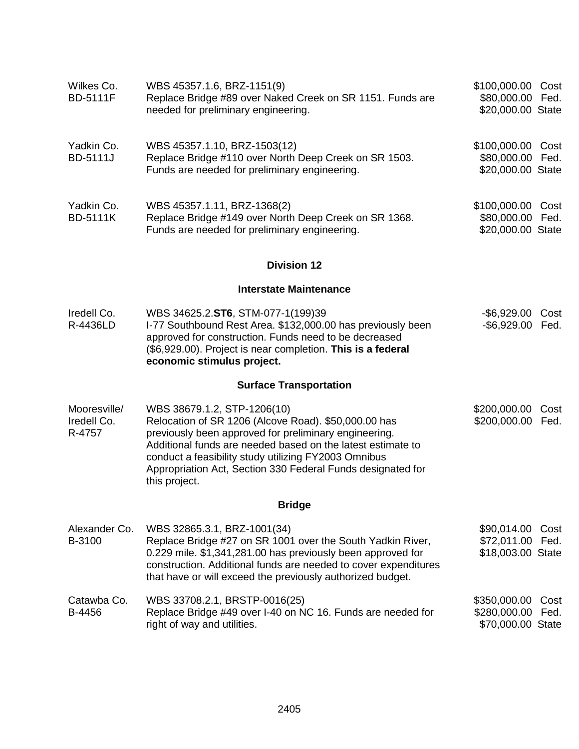| Wilkes Co.<br><b>BD-5111F</b>         | WBS 45357.1.6, BRZ-1151(9)<br>Replace Bridge #89 over Naked Creek on SR 1151. Funds are<br>needed for preliminary engineering.                                                                                                                                                                                                                      | \$100,000.00 Cost<br>\$80,000.00 Fed.<br>\$20,000.00 State  |
|---------------------------------------|-----------------------------------------------------------------------------------------------------------------------------------------------------------------------------------------------------------------------------------------------------------------------------------------------------------------------------------------------------|-------------------------------------------------------------|
| Yadkin Co.<br><b>BD-5111J</b>         | WBS 45357.1.10, BRZ-1503(12)<br>Replace Bridge #110 over North Deep Creek on SR 1503.<br>Funds are needed for preliminary engineering.                                                                                                                                                                                                              | \$100,000.00 Cost<br>\$80,000.00 Fed.<br>\$20,000.00 State  |
| Yadkin Co.<br><b>BD-5111K</b>         | WBS 45357.1.11, BRZ-1368(2)<br>Replace Bridge #149 over North Deep Creek on SR 1368.<br>Funds are needed for preliminary engineering.                                                                                                                                                                                                               | \$100,000.00 Cost<br>\$80,000.00 Fed.<br>\$20,000.00 State  |
|                                       | <b>Division 12</b>                                                                                                                                                                                                                                                                                                                                  |                                                             |
|                                       | <b>Interstate Maintenance</b>                                                                                                                                                                                                                                                                                                                       |                                                             |
| Iredell Co.<br>R-4436LD               | WBS 34625.2.ST6, STM-077-1(199)39<br>I-77 Southbound Rest Area. \$132,000.00 has previously been<br>approved for construction. Funds need to be decreased<br>(\$6,929.00). Project is near completion. This is a federal<br>economic stimulus project.                                                                                              | -\$6,929.00 Cost<br>-\$6,929.00 Fed.                        |
|                                       | <b>Surface Transportation</b>                                                                                                                                                                                                                                                                                                                       |                                                             |
| Mooresville/<br>Iredell Co.<br>R-4757 | WBS 38679.1.2, STP-1206(10)<br>Relocation of SR 1206 (Alcove Road). \$50,000.00 has<br>previously been approved for preliminary engineering.<br>Additional funds are needed based on the latest estimate to<br>conduct a feasibility study utilizing FY2003 Omnibus<br>Appropriation Act, Section 330 Federal Funds designated for<br>this project. | \$200,000.00<br>Cost<br>\$200,000.00 Fed.                   |
|                                       | <b>Bridge</b>                                                                                                                                                                                                                                                                                                                                       |                                                             |
| Alexander Co.<br>B-3100               | WBS 32865.3.1, BRZ-1001(34)<br>Replace Bridge #27 on SR 1001 over the South Yadkin River,<br>0.229 mile. \$1,341,281.00 has previously been approved for<br>construction. Additional funds are needed to cover expenditures<br>that have or will exceed the previously authorized budget.                                                           | \$90,014.00 Cost<br>\$72,011.00 Fed.<br>\$18,003.00 State   |
| Catawba Co.<br>B-4456                 | WBS 33708.2.1, BRSTP-0016(25)<br>Replace Bridge #49 over I-40 on NC 16. Funds are needed for<br>right of way and utilities.                                                                                                                                                                                                                         | \$350,000.00 Cost<br>\$280,000.00 Fed.<br>\$70,000.00 State |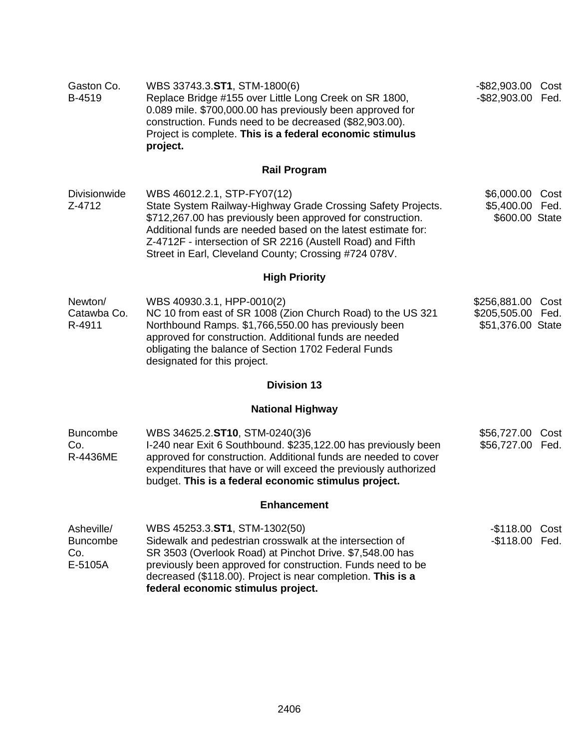| Gaston Co.<br>B-4519                            | WBS 33743.3.ST1, STM-1800(6)<br>Replace Bridge #155 over Little Long Creek on SR 1800,<br>0.089 mile. \$700,000.00 has previously been approved for<br>construction. Funds need to be decreased (\$82,903.00).<br>Project is complete. This is a federal economic stimulus<br>project.                                                             | -\$82,903.00 Cost<br>-\$82,903.00 Fed.                      |      |
|-------------------------------------------------|----------------------------------------------------------------------------------------------------------------------------------------------------------------------------------------------------------------------------------------------------------------------------------------------------------------------------------------------------|-------------------------------------------------------------|------|
|                                                 | <b>Rail Program</b>                                                                                                                                                                                                                                                                                                                                |                                                             |      |
| <b>Divisionwide</b><br>Z-4712                   | WBS 46012.2.1, STP-FY07(12)<br>State System Railway-Highway Grade Crossing Safety Projects.<br>\$712,267.00 has previously been approved for construction.<br>Additional funds are needed based on the latest estimate for:<br>Z-4712F - intersection of SR 2216 (Austell Road) and Fifth<br>Street in Earl, Cleveland County; Crossing #724 078V. | \$6,000.00 Cost<br>\$5,400.00 Fed.<br>\$600.00 State        |      |
|                                                 | <b>High Priority</b>                                                                                                                                                                                                                                                                                                                               |                                                             |      |
| Newton/<br>Catawba Co.<br>R-4911                | WBS 40930.3.1, HPP-0010(2)<br>NC 10 from east of SR 1008 (Zion Church Road) to the US 321<br>Northbound Ramps. \$1,766,550.00 has previously been<br>approved for construction. Additional funds are needed<br>obligating the balance of Section 1702 Federal Funds<br>designated for this project.                                                | \$256,881.00 Cost<br>\$205,505.00 Fed.<br>\$51,376.00 State |      |
|                                                 | <b>Division 13</b>                                                                                                                                                                                                                                                                                                                                 |                                                             |      |
|                                                 | <b>National Highway</b>                                                                                                                                                                                                                                                                                                                            |                                                             |      |
| <b>Buncombe</b><br>Co.<br>R-4436ME              | WBS 34625.2.ST10, STM-0240(3)6<br>I-240 near Exit 6 Southbound. \$235,122.00 has previously been<br>approved for construction. Additional funds are needed to cover<br>expenditures that have or will exceed the previously authorized<br>budget. This is a federal economic stimulus project.                                                     | \$56,727.00<br>\$56,727.00 Fed.                             | Cost |
|                                                 | <b>Enhancement</b>                                                                                                                                                                                                                                                                                                                                 |                                                             |      |
| Asheville/<br><b>Buncombe</b><br>Co.<br>E-5105A | WBS 45253.3.ST1, STM-1302(50)<br>Sidewalk and pedestrian crosswalk at the intersection of<br>SR 3503 (Overlook Road) at Pinchot Drive. \$7,548.00 has<br>previously been approved for construction. Funds need to be<br>decreased (\$118.00). Project is near completion. This is a<br>federal economic stimulus project.                          | -\$118.00 Cost<br>-\$118.00 Fed.                            |      |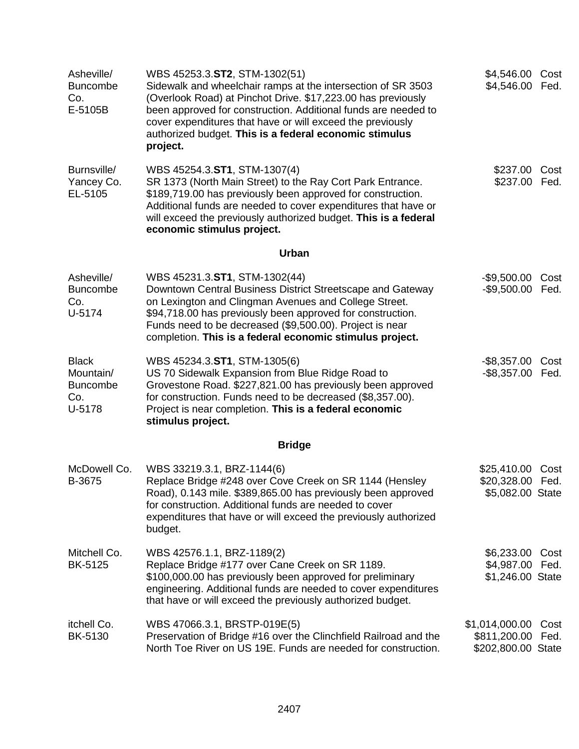| Asheville/<br><b>Buncombe</b><br>Co.<br>E-5105B               | WBS 45253.3.ST2, STM-1302(51)<br>Sidewalk and wheelchair ramps at the intersection of SR 3503<br>(Overlook Road) at Pinchot Drive. \$17,223.00 has previously<br>been approved for construction. Additional funds are needed to<br>cover expenditures that have or will exceed the previously<br>authorized budget. This is a federal economic stimulus<br>project. | \$4,546.00<br>\$4,546.00                             | Cost<br>Fed. |
|---------------------------------------------------------------|---------------------------------------------------------------------------------------------------------------------------------------------------------------------------------------------------------------------------------------------------------------------------------------------------------------------------------------------------------------------|------------------------------------------------------|--------------|
| Burnsville/<br>Yancey Co.<br>EL-5105                          | WBS 45254.3.ST1, STM-1307(4)<br>SR 1373 (North Main Street) to the Ray Cort Park Entrance.<br>\$189,719.00 has previously been approved for construction.<br>Additional funds are needed to cover expenditures that have or<br>will exceed the previously authorized budget. This is a federal<br>economic stimulus project.                                        | \$237.00 Cost<br>\$237.00 Fed.                       |              |
|                                                               | Urban                                                                                                                                                                                                                                                                                                                                                               |                                                      |              |
| Asheville/<br><b>Buncombe</b><br>Co.<br>U-5174                | WBS 45231.3.ST1, STM-1302(44)<br>Downtown Central Business District Streetscape and Gateway<br>on Lexington and Clingman Avenues and College Street.<br>\$94,718.00 has previously been approved for construction.<br>Funds need to be decreased (\$9,500.00). Project is near<br>completion. This is a federal economic stimulus project.                          | $-$9,500.00$<br>$-$9,500.00$                         | Cost<br>Fed. |
| <b>Black</b><br>Mountain/<br><b>Buncombe</b><br>Co.<br>U-5178 | WBS 45234.3.ST1, STM-1305(6)<br>US 70 Sidewalk Expansion from Blue Ridge Road to<br>Grovestone Road. \$227,821.00 has previously been approved<br>for construction. Funds need to be decreased (\$8,357.00).<br>Project is near completion. This is a federal economic<br>stimulus project.                                                                         | -\$8,357.00 Cost<br>-\$8,357.00 Fed.                 |              |
|                                                               | <b>Bridge</b>                                                                                                                                                                                                                                                                                                                                                       |                                                      |              |
| McDowell Co.<br>B-3675                                        | WBS 33219.3.1, BRZ-1144(6)<br>Replace Bridge #248 over Cove Creek on SR 1144 (Hensley<br>Road), 0.143 mile. \$389,865.00 has previously been approved<br>for construction. Additional funds are needed to cover<br>expenditures that have or will exceed the previously authorized<br>budget.                                                                       | \$25,410.00<br>\$20,328.00<br>\$5,082.00 State       | Cost<br>Fed. |
| Mitchell Co.<br>BK-5125                                       | WBS 42576.1.1, BRZ-1189(2)<br>Replace Bridge #177 over Cane Creek on SR 1189.<br>\$100,000.00 has previously been approved for preliminary<br>engineering. Additional funds are needed to cover expenditures<br>that have or will exceed the previously authorized budget.                                                                                          | \$6,233.00<br>\$4,987.00<br>\$1,246.00 State         | Cost<br>Fed. |
| itchell Co.<br>BK-5130                                        | WBS 47066.3.1, BRSTP-019E(5)<br>Preservation of Bridge #16 over the Clinchfield Railroad and the<br>North Toe River on US 19E. Funds are needed for construction.                                                                                                                                                                                                   | \$1,014,000.00<br>\$811,200.00<br>\$202,800.00 State | Cost<br>Fed. |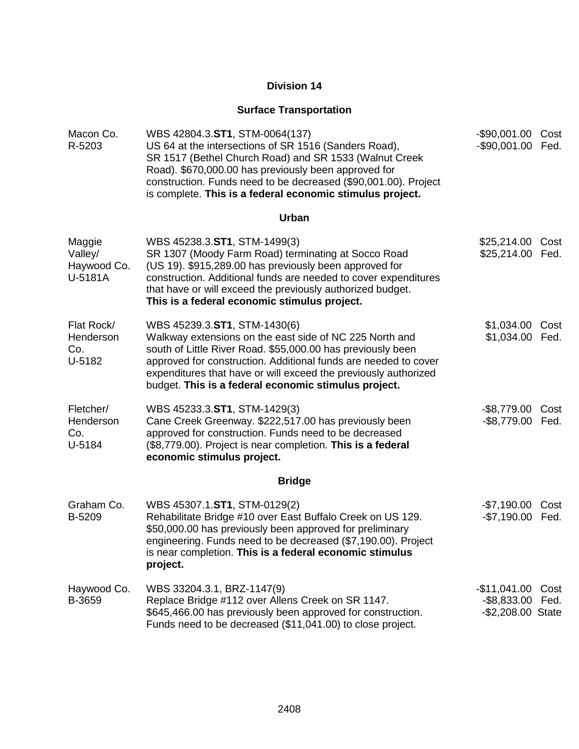### **Surface Transportation**

| Macon Co.<br>R-5203                         | WBS 42804.3.ST1, STM-0064(137)<br>US 64 at the intersections of SR 1516 (Sanders Road),<br>SR 1517 (Bethel Church Road) and SR 1533 (Walnut Creek<br>Road). \$670,000.00 has previously been approved for<br>construction. Funds need to be decreased (\$90,001.00). Project<br>is complete. This is a federal economic stimulus project.            | -\$90,001.00 Cost<br>-\$90,001.00 Fed.               |              |
|---------------------------------------------|------------------------------------------------------------------------------------------------------------------------------------------------------------------------------------------------------------------------------------------------------------------------------------------------------------------------------------------------------|------------------------------------------------------|--------------|
|                                             | Urban                                                                                                                                                                                                                                                                                                                                                |                                                      |              |
| Maggie<br>Valley/<br>Haywood Co.<br>U-5181A | WBS 45238.3.ST1, STM-1499(3)<br>SR 1307 (Moody Farm Road) terminating at Socco Road<br>(US 19). \$915,289.00 has previously been approved for<br>construction. Additional funds are needed to cover expenditures<br>that have or will exceed the previously authorized budget.<br>This is a federal economic stimulus project.                       | \$25,214.00<br>\$25,214.00                           | Cost<br>Fed. |
| Flat Rock/<br>Henderson<br>Co.<br>U-5182    | WBS 45239.3.ST1, STM-1430(6)<br>Walkway extensions on the east side of NC 225 North and<br>south of Little River Road. \$55,000.00 has previously been<br>approved for construction. Additional funds are needed to cover<br>expenditures that have or will exceed the previously authorized<br>budget. This is a federal economic stimulus project. | \$1,034.00 Cost<br>\$1,034.00 Fed.                   |              |
| Fletcher/<br>Henderson<br>Co.<br>U-5184     | WBS 45233.3.ST1, STM-1429(3)<br>Cane Creek Greenway. \$222,517.00 has previously been<br>approved for construction. Funds need to be decreased<br>(\$8,779.00). Project is near completion. This is a federal<br>economic stimulus project.                                                                                                          | -\$8,779.00 Cost<br>$-$ \$8,779.00                   | Fed.         |
|                                             | <b>Bridge</b>                                                                                                                                                                                                                                                                                                                                        |                                                      |              |
| Graham Co.<br>B-5209                        | WBS 45307.1.ST1, STM-0129(2)<br>Rehabilitate Bridge #10 over East Buffalo Creek on US 129.<br>\$50,000.00 has previously been approved for preliminary<br>engineering. Funds need to be decreased (\$7,190.00). Project<br>is near completion. This is a federal economic stimulus<br>project.                                                       | $-$7,190.00$<br>-\$7,190.00 Fed.                     | Cost         |
| Haywood Co.<br>B-3659                       | WBS 33204.3.1, BRZ-1147(9)<br>Replace Bridge #112 over Allens Creek on SR 1147.<br>\$645,466.00 has previously been approved for construction.<br>Funds need to be decreased (\$11,041.00) to close project.                                                                                                                                         | $-$11,041.00$<br>$-$ \$8,833.00<br>-\$2,208.00 State | Cost<br>Fed. |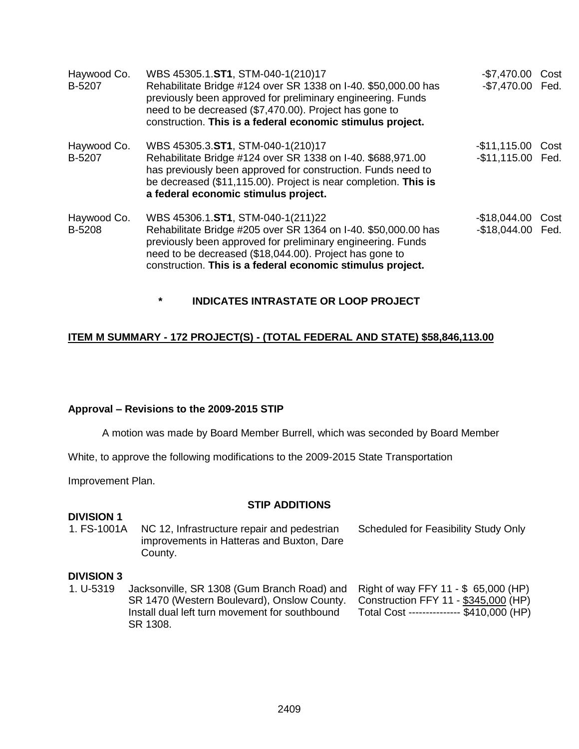| Haywood Co.<br>B-5207 | WBS 45305.1.ST1, STM-040-1(210)17<br>Rehabilitate Bridge #124 over SR 1338 on I-40. \$50,000.00 has<br>previously been approved for preliminary engineering. Funds<br>need to be decreased (\$7,470.00). Project has gone to<br>construction. This is a federal economic stimulus project.  | -\$7,470.00 Cost<br>-\$7,470.00 Fed.   |  |
|-----------------------|---------------------------------------------------------------------------------------------------------------------------------------------------------------------------------------------------------------------------------------------------------------------------------------------|----------------------------------------|--|
| Haywood Co.<br>B-5207 | WBS 45305.3.ST1, STM-040-1(210)17<br>Rehabilitate Bridge #124 over SR 1338 on I-40. \$688,971.00<br>has previously been approved for construction. Funds need to<br>be decreased (\$11,115.00). Project is near completion. This is<br>a federal economic stimulus project.                 | -\$11,115.00 Cost<br>-\$11,115.00 Fed. |  |
| Haywood Co.<br>B-5208 | WBS 45306.1.ST1, STM-040-1(211)22<br>Rehabilitate Bridge #205 over SR 1364 on I-40. \$50,000.00 has<br>previously been approved for preliminary engineering. Funds<br>need to be decreased (\$18,044.00). Project has gone to<br>construction. This is a federal economic stimulus project. | -\$18,044.00 Cost<br>-\$18,044.00 Fed. |  |

**\* INDICATES INTRASTATE OR LOOP PROJECT**

#### **ITEM M SUMMARY - 172 PROJECT(S) - (TOTAL FEDERAL AND STATE) \$58,846,113.00**

#### **Approval – Revisions to the 2009-2015 STIP**

A motion was made by Board Member Burrell, which was seconded by Board Member

White, to approve the following modifications to the 2009-2015 State Transportation

Improvement Plan.

#### **STIP ADDITIONS**

#### **DIVISION 1**

| 1. FS-1001A | NC 12, Infrastructure repair and pedestrian | Scheduled for Feasibility Study Only |
|-------------|---------------------------------------------|--------------------------------------|
|             | improvements in Hatteras and Buxton, Dare   |                                      |
|             | County.                                     |                                      |

#### **DIVISION 3**

1. U-5319 Jacksonville, SR 1308 (Gum Branch Road) and SR 1470 (Western Boulevard), Onslow County. Install dual left turn movement for southbound SR 1308. Right of way FFY 11 - \$ 65,000 (HP) Construction FFY 11 - \$345,000 (HP) Total Cost --------------- \$410,000 (HP)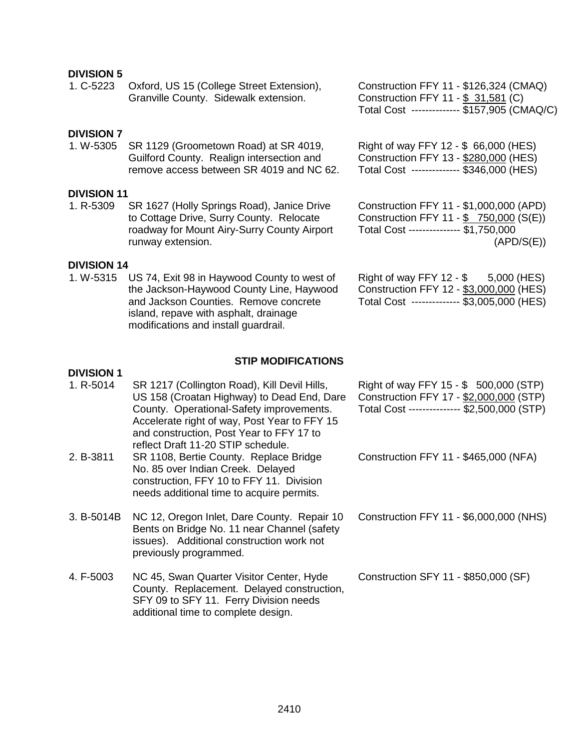#### **DIVISION 5**

| 1. C-5223          | Oxford, US 15 (College Street Extension),<br>Granville County. Sidewalk extension. | Construction FFY 11 - \$126,324 (CMAQ)<br>Construction FFY 11 - \$ 31,581 (C)<br>Total Cost ------------- \$157,905 (CMAQ/C) |
|--------------------|------------------------------------------------------------------------------------|------------------------------------------------------------------------------------------------------------------------------|
| <b>DIVISION 7</b>  |                                                                                    |                                                                                                                              |
| 1. W-5305          | SR 1129 (Groometown Road) at SR 4019,                                              | Right of way FFY 12 - \$ 66,000 (HES)                                                                                        |
|                    | Guilford County. Realign intersection and                                          | Construction FFY 13 - \$280,000 (HES)                                                                                        |
|                    | remove access between SR 4019 and NC 62.                                           | Total Cost -------------- \$346,000 (HES)                                                                                    |
| <b>DIVISION 11</b> |                                                                                    |                                                                                                                              |
| 1. R-5309          | SR 1627 (Holly Springs Road), Janice Drive                                         | Construction FFY 11 - \$1,000,000 (APD)                                                                                      |
|                    | to Cottage Drive, Surry County. Relocate                                           | Construction FFY 11 - \$750,000 (S(E))                                                                                       |

roadway for Mount Airy-Surry County Airport runway extension. **DIVISION 14**

1. W-5315 US 74, Exit 98 in Haywood County to west of the Jackson-Haywood County Line, Haywood and Jackson Counties. Remove concrete island, repave with asphalt, drainage modifications and install guardrail.

Right of way FFY 12 - \$ 5,000 (HES) Construction FFY 12 - \$3,000,000 (HES) Total Cost -------------- \$3,005,000 (HES)

(APD/S(E))

Total Cost --------------- \$1,750,000

#### **STIP MODIFICATIONS**

#### **DIVISION 1**

1. R-5014 SR 1217 (Collington Road), Kill Devil Hills, US 158 (Croatan Highway) to Dead End, Dare County. Operational-Safety improvements. Accelerate right of way, Post Year to FFY 15 and construction, Post Year to FFY 17 to reflect Draft 11-20 STIP schedule. 2. B-3811 SR 1108, Bertie County. Replace Bridge No. 85 over Indian Creek. Delayed construction, FFY 10 to FFY 11. Division

needs additional time to acquire permits.

3. B-5014B NC 12, Oregon Inlet, Dare County. Repair 10 Bents on Bridge No. 11 near Channel (safety issues). Additional construction work not previously programmed.

4. F-5003 NC 45, Swan Quarter Visitor Center, Hyde County. Replacement. Delayed construction, SFY 09 to SFY 11. Ferry Division needs additional time to complete design.

Right of way FFY 15 - \$ 500,000 (STP) Construction FFY 17 - \$2,000,000 (STP) Total Cost --------------- \$2,500,000 (STP)

Construction FFY 11 - \$465,000 (NFA)

Construction FFY 11 - \$6,000,000 (NHS)

Construction SFY 11 - \$850,000 (SF)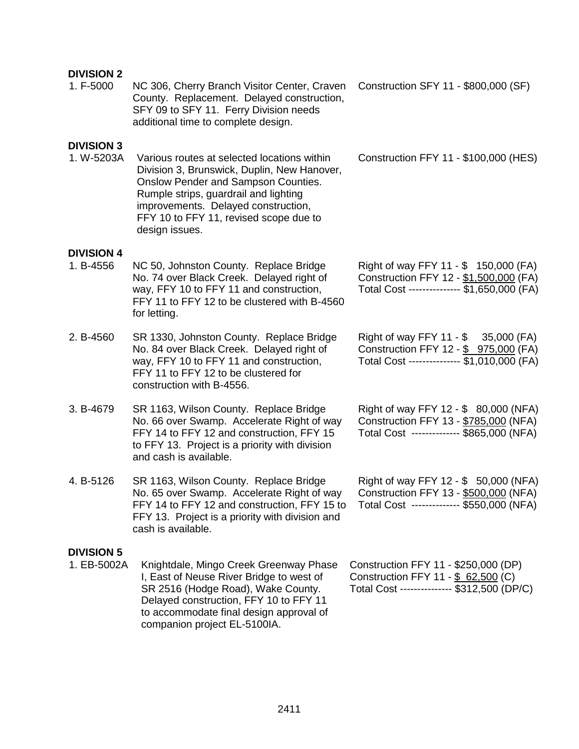### **DIVISION 2**

| יוטוטויוט<br>1. F-5000           | NC 306, Cherry Branch Visitor Center, Craven<br>County. Replacement. Delayed construction,<br>SFY 09 to SFY 11. Ferry Division needs<br>additional time to complete design.                                                                                                   | Construction SFY 11 - \$800,000 (SF)                                                                                          |
|----------------------------------|-------------------------------------------------------------------------------------------------------------------------------------------------------------------------------------------------------------------------------------------------------------------------------|-------------------------------------------------------------------------------------------------------------------------------|
| <b>DIVISION 3</b><br>1. W-5203A  | Various routes at selected locations within<br>Division 3, Brunswick, Duplin, New Hanover,<br>Onslow Pender and Sampson Counties.<br>Rumple strips, guardrail and lighting<br>improvements. Delayed construction,<br>FFY 10 to FFY 11, revised scope due to<br>design issues. | Construction FFY 11 - \$100,000 (HES)                                                                                         |
| <b>DIVISION 4</b><br>1. B-4556   | NC 50, Johnston County. Replace Bridge<br>No. 74 over Black Creek. Delayed right of<br>way, FFY 10 to FFY 11 and construction,<br>FFY 11 to FFY 12 to be clustered with B-4560<br>for letting.                                                                                | Right of way FFY 11 - \$ 150,000 (FA)<br>Construction FFY 12 - \$1,500,000 (FA)<br>Total Cost -------------- \$1,650,000 (FA) |
| 2. B-4560                        | SR 1330, Johnston County. Replace Bridge<br>No. 84 over Black Creek. Delayed right of<br>way, FFY 10 to FFY 11 and construction,<br>FFY 11 to FFY 12 to be clustered for<br>construction with B-4556.                                                                         | Right of way FFY 11 - \$ 35,000 (FA)<br>Construction FFY 12 - \$ 975,000 (FA)<br>Total Cost -------------- \$1,010,000 (FA)   |
| 3. B-4679                        | SR 1163, Wilson County. Replace Bridge<br>No. 66 over Swamp. Accelerate Right of way<br>FFY 14 to FFY 12 and construction, FFY 15<br>to FFY 13. Project is a priority with division<br>and cash is available.                                                                 | Right of way FFY 12 - \$ 80,000 (NFA)<br>Construction FFY 13 - \$785,000 (NFA)<br>Total Cost -------------- \$865,000 (NFA)   |
| 4. B-5126                        | SR 1163, Wilson County. Replace Bridge<br>No. 65 over Swamp. Accelerate Right of way<br>FFY 14 to FFY 12 and construction, FFY 15 to<br>FFY 13. Project is a priority with division and<br>cash is available.                                                                 | Right of way FFY 12 - \$ 50,000 (NFA)<br>Construction FFY 13 - \$500,000 (NFA)<br>Total Cost ------------- \$550,000 (NFA)    |
| <b>DIVISION 5</b><br>1. EB-5002A | Knightdale, Mingo Creek Greenway Phase<br>I, East of Neuse River Bridge to west of<br>SR 2516 (Hodge Road), Wake County.<br>Delayed construction, FFY 10 to FFY 11<br>to accommodate final design approval of                                                                 | Construction FFY 11 - \$250,000 (DP)<br>Construction FFY 11 - \$ 62,500 (C)<br>Total Cost --------------- \$312,500 (DP/C)    |

companion project EL-5100IA.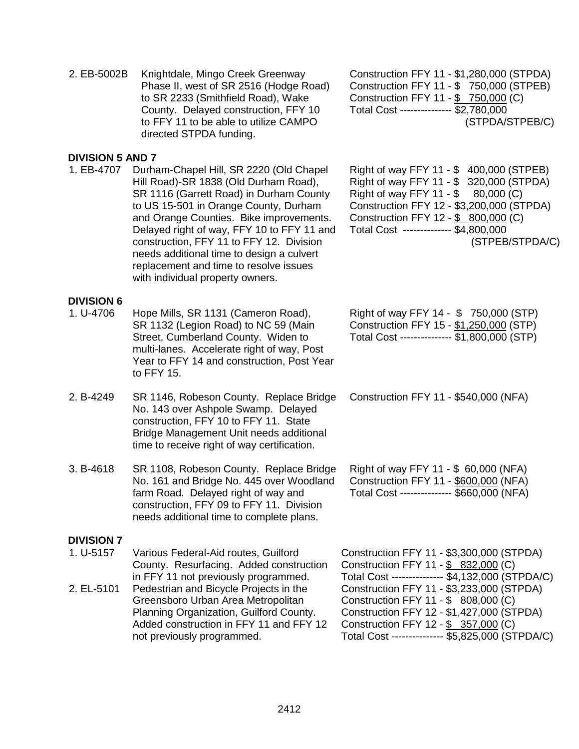| 2. EB-5002B                                  | Knightdale, Mingo Creek Greenway<br>Phase II, west of SR 2516 (Hodge Road)<br>to SR 2233 (Smithfield Road), Wake<br>County. Delayed construction, FFY 10<br>to FFY 11 to be able to utilize CAMPO<br>directed STPDA funding.                                                                                                                                                                                                         | Construction FFY 11 - \$1,280,000 (STPDA)<br>Construction FFY 11 - \$ 750,000 (STPEB)<br>Construction FFY 11 - \$ 750,000 (C)<br>Total Cost -------------- \$2,780,000<br>(STPDA/STPEB/C)                                                                                                                                                                         |
|----------------------------------------------|--------------------------------------------------------------------------------------------------------------------------------------------------------------------------------------------------------------------------------------------------------------------------------------------------------------------------------------------------------------------------------------------------------------------------------------|-------------------------------------------------------------------------------------------------------------------------------------------------------------------------------------------------------------------------------------------------------------------------------------------------------------------------------------------------------------------|
| <b>DIVISION 5 AND 7</b><br>1. EB-4707        | Durham-Chapel Hill, SR 2220 (Old Chapel<br>Hill Road)-SR 1838 (Old Durham Road),<br>SR 1116 (Garrett Road) in Durham County<br>to US 15-501 in Orange County, Durham<br>and Orange Counties. Bike improvements.<br>Delayed right of way, FFY 10 to FFY 11 and<br>construction, FFY 11 to FFY 12. Division<br>needs additional time to design a culvert<br>replacement and time to resolve issues<br>with individual property owners. | Right of way FFY 11 - \$ 400,000 (STPEB)<br>Right of way FFY 11 - \$ 320,000 (STPDA)<br>Right of way FFY 11 - $$$<br>80,000 (C)<br>Construction FFY 12 - \$3,200,000 (STPDA)<br>Construction FFY 12 - \$ 800,000 (C)<br>Total Cost ------------- \$4,800,000<br>(STPEB/STPDA/C)                                                                                   |
| <b>DIVISION 6</b><br>1. U-4706               | Hope Mills, SR 1131 (Cameron Road),<br>SR 1132 (Legion Road) to NC 59 (Main<br>Street, Cumberland County. Widen to<br>multi-lanes. Accelerate right of way, Post<br>Year to FFY 14 and construction, Post Year<br>to FFY 15.                                                                                                                                                                                                         | Right of way FFY 14 - \$750,000 (STP)<br>Construction FFY 15 - \$1,250,000 (STP)<br>Total Cost -------------- \$1,800,000 (STP)                                                                                                                                                                                                                                   |
| 2. B-4249                                    | SR 1146, Robeson County. Replace Bridge<br>No. 143 over Ashpole Swamp. Delayed<br>construction, FFY 10 to FFY 11. State<br>Bridge Management Unit needs additional<br>time to receive right of way certification.                                                                                                                                                                                                                    | Construction FFY 11 - \$540,000 (NFA)                                                                                                                                                                                                                                                                                                                             |
| 3. B-4618                                    | SR 1108, Robeson County. Replace Bridge<br>No. 161 and Bridge No. 445 over Woodland<br>farm Road. Delayed right of way and<br>construction, FFY 09 to FFY 11. Division<br>needs additional time to complete plans.                                                                                                                                                                                                                   | Right of way FFY 11 - \$ 60,000 (NFA)<br>Construction FFY 11 - \$600,000 (NFA)<br>Total Cost -------------- \$660,000 (NFA)                                                                                                                                                                                                                                       |
| <b>DIVISION 7</b><br>1. U-5157<br>2. EL-5101 | Various Federal-Aid routes, Guilford<br>County. Resurfacing. Added construction<br>in FFY 11 not previously programmed.<br>Pedestrian and Bicycle Projects in the<br>Greensboro Urban Area Metropolitan<br>Planning Organization, Guilford County.<br>Added construction in FFY 11 and FFY 12<br>not previously programmed.                                                                                                          | Construction FFY 11 - \$3,300,000 (STPDA)<br>Construction FFY 11 - \$ 832,000 (C)<br>Total Cost -------------- \$4,132,000 (STPDA/C)<br>Construction FFY 11 - \$3,233,000 (STPDA)<br>Construction FFY 11 - \$ 808,000 (C)<br>Construction FFY 12 - \$1,427,000 (STPDA)<br>Construction FFY 12 - \$ 357,000 (C)<br>Total Cost -------------- \$5,825,000 (STPDA/C) |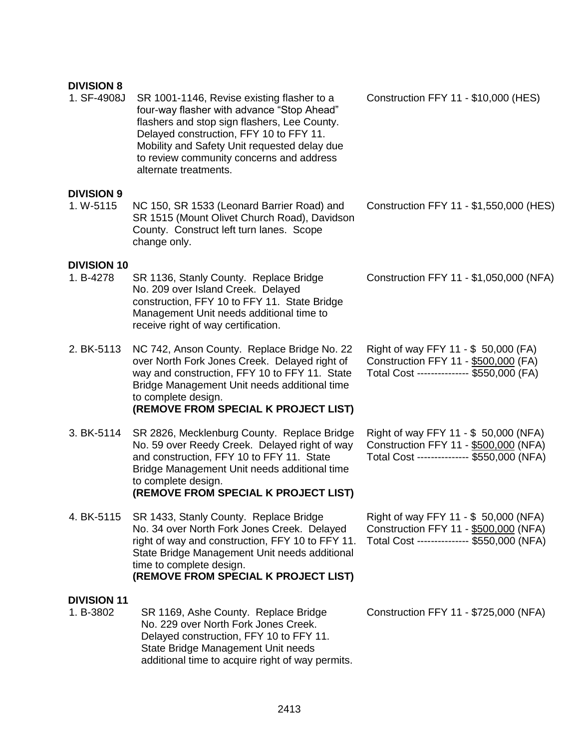#### **DIVISION 8**

1. SF-4908J SR 1001-1146, Revise existing flasher to a four-way flasher with advance "Stop Ahead" flashers and stop sign flashers, Lee County. Delayed construction, FFY 10 to FFY 11. Mobility and Safety Unit requested delay due to review community concerns and address alternate treatments.

#### **DIVISION 9**

1. W-5115 NC 150, SR 1533 (Leonard Barrier Road) and SR 1515 (Mount Olivet Church Road), Davidson County. Construct left turn lanes. Scope change only.

#### **DIVISION 10**

- 1. B-4278 SR 1136, Stanly County. Replace Bridge No. 209 over Island Creek. Delayed construction, FFY 10 to FFY 11. State Bridge Management Unit needs additional time to receive right of way certification.
- 2. BK-5113 NC 742, Anson County. Replace Bridge No. 22 over North Fork Jones Creek. Delayed right of way and construction, FFY 10 to FFY 11. State Bridge Management Unit needs additional time to complete design. **(REMOVE FROM SPECIAL K PROJECT LIST)**
- 3. BK-5114 SR 2826, Mecklenburg County. Replace Bridge No. 59 over Reedy Creek. Delayed right of way and construction, FFY 10 to FFY 11. State Bridge Management Unit needs additional time to complete design. **(REMOVE FROM SPECIAL K PROJECT LIST)**
- 4. BK-5115 SR 1433, Stanly County. Replace Bridge No. 34 over North Fork Jones Creek. Delayed right of way and construction, FFY 10 to FFY 11. State Bridge Management Unit needs additional time to complete design. **(REMOVE FROM SPECIAL K PROJECT LIST)**

#### **DIVISION 11**

1. B-3802 SR 1169, Ashe County. Replace Bridge No. 229 over North Fork Jones Creek. Delayed construction, FFY 10 to FFY 11. State Bridge Management Unit needs additional time to acquire right of way permits. Construction FFY 11 - \$10,000 (HES)

Construction FFY 11 - \$1,550,000 (HES)

Construction FFY 11 - \$1,050,000 (NFA)

Right of way FFY 11 - \$ 50,000 (FA) Construction FFY 11 - \$500,000 (FA) Total Cost --------------- \$550,000 (FA)

Right of way FFY 11 - \$ 50,000 (NFA) Construction FFY 11 - \$500,000 (NFA) Total Cost --------------- \$550,000 (NFA)

| Right of way FFY 11 - \$ 50,000 (NFA)      |  |
|--------------------------------------------|--|
| Construction FFY 11 - \$500,000 (NFA)      |  |
| Total Cost --------------- \$550,000 (NFA) |  |

Construction FFY 11 - \$725,000 (NFA)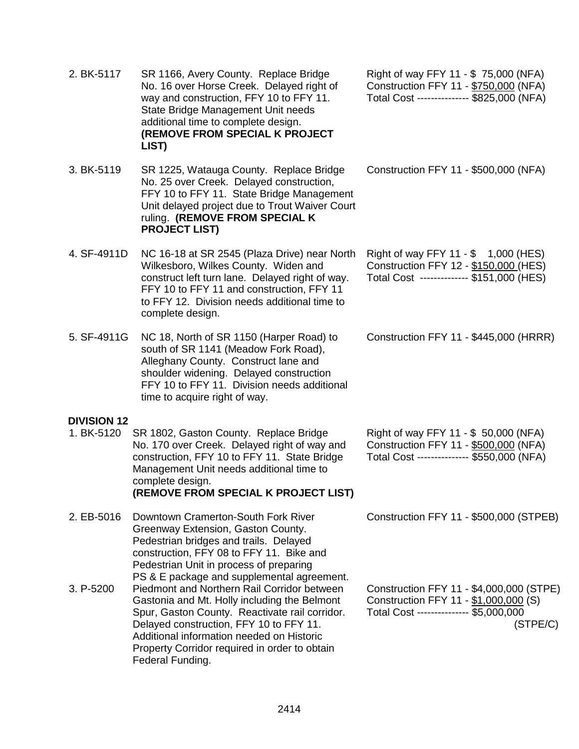| 2. BK-5117         | SR 1166, Avery County. Replace Bridge<br>No. 16 over Horse Creek. Delayed right of<br>way and construction, FFY 10 to FFY 11.<br>State Bridge Management Unit needs<br>additional time to complete design.<br>(REMOVE FROM SPECIAL K PROJECT<br>LIST)                                                                                                    | Right of way FFY 11 - \$75,000 (NFA)<br>Construction FFY 11 - \$750,000 (NFA)<br>Total Cost -------------- \$825,000 (NFA)             |
|--------------------|----------------------------------------------------------------------------------------------------------------------------------------------------------------------------------------------------------------------------------------------------------------------------------------------------------------------------------------------------------|----------------------------------------------------------------------------------------------------------------------------------------|
| 3. BK-5119         | SR 1225, Watauga County. Replace Bridge<br>No. 25 over Creek. Delayed construction,<br>FFY 10 to FFY 11. State Bridge Management<br>Unit delayed project due to Trout Waiver Court<br>ruling. (REMOVE FROM SPECIAL K<br><b>PROJECT LIST)</b>                                                                                                             | Construction FFY 11 - \$500,000 (NFA)                                                                                                  |
| 4. SF-4911D        | NC 16-18 at SR 2545 (Plaza Drive) near North<br>Wilkesboro, Wilkes County. Widen and<br>construct left turn lane. Delayed right of way.<br>FFY 10 to FFY 11 and construction, FFY 11<br>to FFY 12. Division needs additional time to<br>complete design.                                                                                                 | Right of way FFY 11 - \$ 1,000 (HES)<br>Construction FFY 12 - \$150,000 (HES)<br>Total Cost ------------- \$151,000 (HES)              |
| 5. SF-4911G        | NC 18, North of SR 1150 (Harper Road) to<br>south of SR 1141 (Meadow Fork Road),<br>Alleghany County. Construct lane and<br>shoulder widening. Delayed construction<br>FFY 10 to FFY 11. Division needs additional<br>time to acquire right of way.                                                                                                      | Construction FFY 11 - \$445,000 (HRRR)                                                                                                 |
| <b>DIVISION 12</b> |                                                                                                                                                                                                                                                                                                                                                          |                                                                                                                                        |
| 1. BK-5120         | SR 1802, Gaston County. Replace Bridge<br>No. 170 over Creek. Delayed right of way and<br>construction, FFY 10 to FFY 11. State Bridge<br>Management Unit needs additional time to<br>complete design.<br>(REMOVE FROM SPECIAL K PROJECT LIST)                                                                                                           | Right of way FFY 11 - \$ 50,000 (NFA)<br>Construction FFY 11 - \$500,000 (NFA)<br>Total Cost -------------- \$550,000 (NFA)            |
| 2. EB-5016         | Downtown Cramerton-South Fork River<br>Greenway Extension, Gaston County.<br>Pedestrian bridges and trails. Delayed<br>construction, FFY 08 to FFY 11. Bike and<br>Pedestrian Unit in process of preparing                                                                                                                                               | Construction FFY 11 - \$500,000 (STPEB)                                                                                                |
| 3. P-5200          | PS & E package and supplemental agreement.<br>Piedmont and Northern Rail Corridor between<br>Gastonia and Mt. Holly including the Belmont<br>Spur, Gaston County. Reactivate rail corridor.<br>Delayed construction, FFY 10 to FFY 11.<br>Additional information needed on Historic<br>Property Corridor required in order to obtain<br>Federal Funding. | Construction FFY 11 - \$4,000,000 (STPE)<br>Construction FFY 11 - \$1,000,000 (S)<br>Total Cost -------------- \$5,000,000<br>(STPE/C) |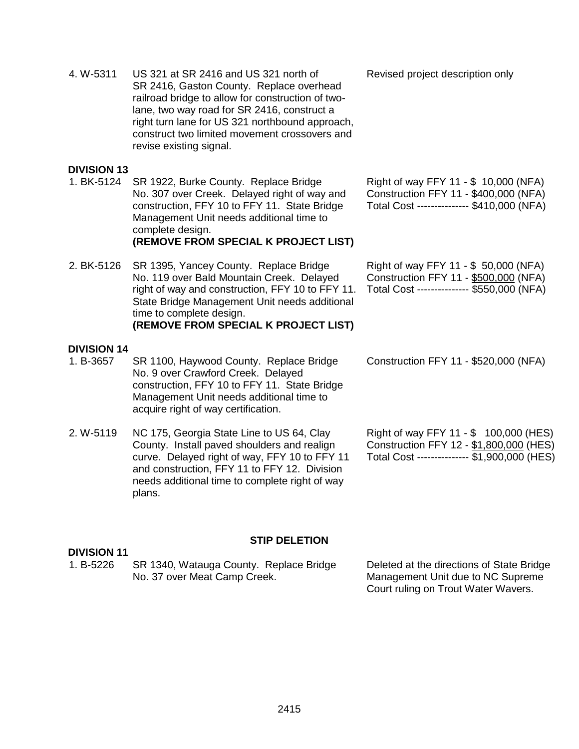2415

4. W-5311 US 321 at SR 2416 and US 321 north of SR 2416, Gaston County. Replace overhead railroad bridge to allow for construction of twolane, two way road for SR 2416, construct a right turn lane for US 321 northbound approach, construct two limited movement crossovers and revise existing signal.

### **DIVISION 13**

- 1. BK-5124 SR 1922, Burke County. Replace Bridge No. 307 over Creek. Delayed right of way and construction, FFY 10 to FFY 11. State Bridge Management Unit needs additional time to complete design. **(REMOVE FROM SPECIAL K PROJECT LIST)**
- 2. BK-5126 SR 1395, Yancey County. Replace Bridge No. 119 over Bald Mountain Creek. Delayed right of way and construction, FFY 10 to FFY 11. State Bridge Management Unit needs additional time to complete design. **(REMOVE FROM SPECIAL K PROJECT LIST)**

# **DIVISION 14**

**DIVISION 11**

- 1. B-3657 SR 1100, Haywood County. Replace Bridge No. 9 over Crawford Creek. Delayed construction, FFY 10 to FFY 11. State Bridge Management Unit needs additional time to acquire right of way certification.
- 2. W-5119 NC 175, Georgia State Line to US 64, Clay County. Install paved shoulders and realign curve. Delayed right of way, FFY 10 to FFY 11 and construction, FFY 11 to FFY 12. Division needs additional time to complete right of way plans.

Revised project description only

| Right of way FFY 11 - \$ 10,000 (NFA)     |  |  |
|-------------------------------------------|--|--|
| Construction FFY 11 - \$400,000 (NFA)     |  |  |
| Total Cost -------------- \$410,000 (NFA) |  |  |

| Right of way FFY 11 - \$ 50,000 (NFA)     |  |
|-------------------------------------------|--|
| Construction FFY 11 - \$500,000 (NFA)     |  |
| Total Cost -------------- \$550,000 (NFA) |  |

Construction FFY 11 - \$520,000 (NFA)

Right of way FFY 11 - \$ 100,000 (HES) Construction FFY 12 - \$1,800,000 (HES) Total Cost --------------- \$1,900,000 (HES)

#### **STIP DELETION**

#### 1. B-5226 SR 1340, Watauga County. Replace Bridge No. 37 over Meat Camp Creek. Deleted at the directions of State Bridge Management Unit due to NC Supreme

Court ruling on Trout Water Wavers.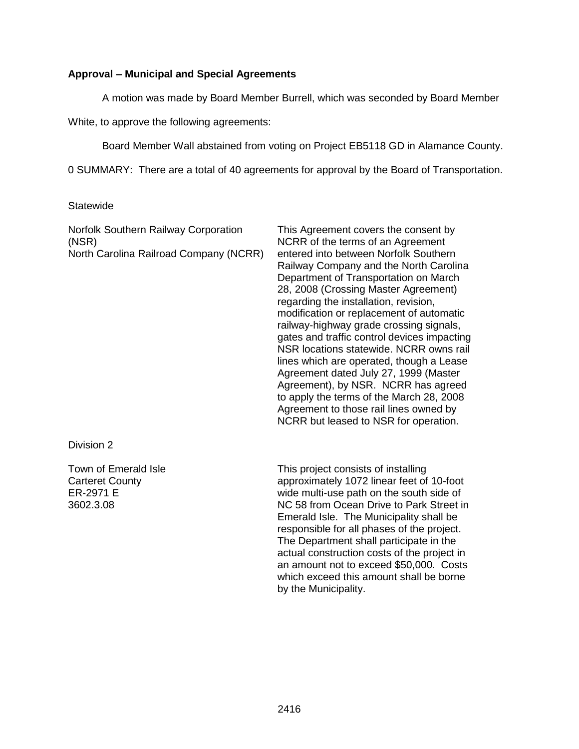### **Approval – Municipal and Special Agreements**

A motion was made by Board Member Burrell, which was seconded by Board Member

White, to approve the following agreements:

Board Member Wall abstained from voting on Project EB5118 GD in Alamance County.

0 SUMMARY: There are a total of 40 agreements for approval by the Board of Transportation.

### **Statewide**

| Norfolk Southern Railway Corporation<br>(NSR)<br>North Carolina Railroad Company (NCRR) | This Agreement covers the consent by<br>NCRR of the terms of an Agreement<br>entered into between Norfolk Southern<br>Railway Company and the North Carolina<br>Department of Transportation on March<br>28, 2008 (Crossing Master Agreement)<br>regarding the installation, revision,<br>modification or replacement of automatic<br>railway-highway grade crossing signals,<br>gates and traffic control devices impacting<br>NSR locations statewide, NCRR owns rail<br>lines which are operated, though a Lease<br>Agreement dated July 27, 1999 (Master<br>Agreement), by NSR. NCRR has agreed<br>to apply the terms of the March 28, 2008<br>Agreement to those rail lines owned by<br>NCRR but leased to NSR for operation. |
|-----------------------------------------------------------------------------------------|------------------------------------------------------------------------------------------------------------------------------------------------------------------------------------------------------------------------------------------------------------------------------------------------------------------------------------------------------------------------------------------------------------------------------------------------------------------------------------------------------------------------------------------------------------------------------------------------------------------------------------------------------------------------------------------------------------------------------------|
| Division 2                                                                              |                                                                                                                                                                                                                                                                                                                                                                                                                                                                                                                                                                                                                                                                                                                                    |
| Town of Emerald Isle<br><b>Carteret County</b><br>ER-2971 E<br>3602.3.08                | This project consists of installing<br>approximately 1072 linear feet of 10-foot<br>wide multi-use path on the south side of<br>NC 58 from Ocean Drive to Park Street in<br>Emerald Isle. The Municipality shall be<br>responsible for all phases of the project.<br>The Department shall participate in the<br>actual construction costs of the project in<br>an amount not to exceed \$50,000. Costs<br>which exceed this amount shall be borne<br>by the Municipality.                                                                                                                                                                                                                                                          |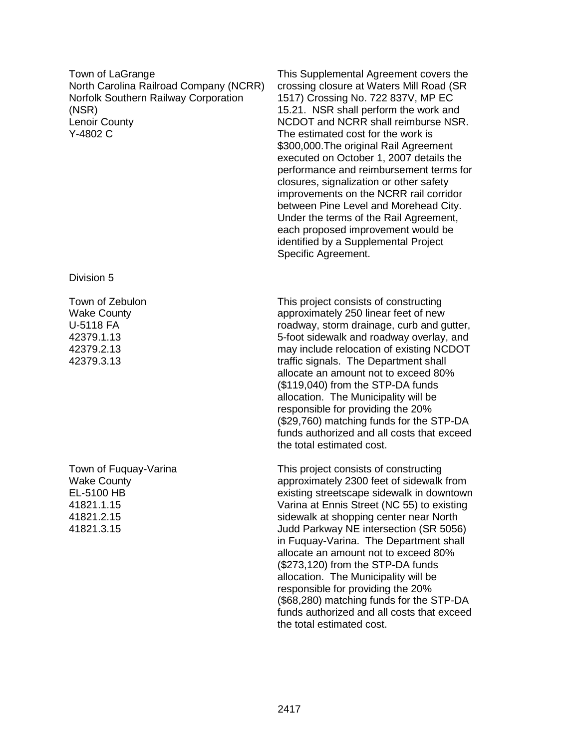Town of LaGrange North Carolina Railroad Company (NCRR) Norfolk Southern Railway Corporation (NSR) Lenoir County Y-4802 C

Division 5

Town of Zebulon Wake County U-5118 FA 42379.1.13 42379.2.13 42379.3.13

Town of Fuquay-Varina Wake County EL-5100 HB 41821.1.15 41821.2.15 41821.3.15

This Supplemental Agreement covers the crossing closure at Waters Mill Road (SR 1517) Crossing No. 722 837V, MP EC 15.21. NSR shall perform the work and NCDOT and NCRR shall reimburse NSR. The estimated cost for the work is \$300,000.The original Rail Agreement executed on October 1, 2007 details the performance and reimbursement terms for closures, signalization or other safety improvements on the NCRR rail corridor between Pine Level and Morehead City. Under the terms of the Rail Agreement, each proposed improvement would be identified by a Supplemental Project Specific Agreement.

This project consists of constructing approximately 250 linear feet of new roadway, storm drainage, curb and gutter, 5-foot sidewalk and roadway overlay, and may include relocation of existing NCDOT traffic signals. The Department shall allocate an amount not to exceed 80% (\$119,040) from the STP-DA funds allocation. The Municipality will be responsible for providing the 20% (\$29,760) matching funds for the STP-DA funds authorized and all costs that exceed the total estimated cost.

This project consists of constructing approximately 2300 feet of sidewalk from existing streetscape sidewalk in downtown Varina at Ennis Street (NC 55) to existing sidewalk at shopping center near North Judd Parkway NE intersection (SR 5056) in Fuquay-Varina. The Department shall allocate an amount not to exceed 80% (\$273,120) from the STP-DA funds allocation. The Municipality will be responsible for providing the 20% (\$68,280) matching funds for the STP-DA funds authorized and all costs that exceed the total estimated cost.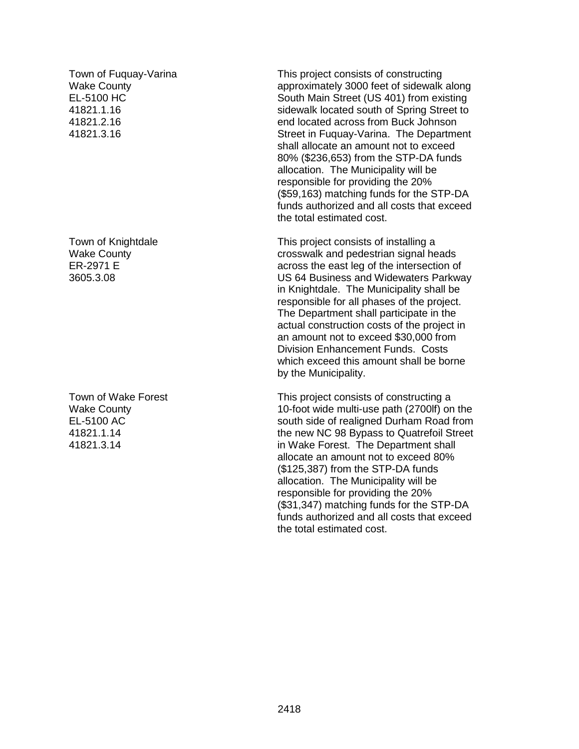Town of Fuquay-Varina Wake County EL-5100 HC 41821.1.16 41821.2.16 41821.3.16

Town of Knightdale Wake County ER-2971 E 3605.3.08

Town of Wake Forest Wake County EL-5100 AC 41821.1.14 41821.3.14

This project consists of constructing approximately 3000 feet of sidewalk along South Main Street (US 401) from existing sidewalk located south of Spring Street to end located across from Buck Johnson Street in Fuquay-Varina. The Department shall allocate an amount not to exceed 80% (\$236,653) from the STP-DA funds allocation. The Municipality will be responsible for providing the 20% (\$59,163) matching funds for the STP-DA funds authorized and all costs that exceed the total estimated cost.

This project consists of installing a crosswalk and pedestrian signal heads across the east leg of the intersection of US 64 Business and Widewaters Parkway in Knightdale. The Municipality shall be responsible for all phases of the project. The Department shall participate in the actual construction costs of the project in an amount not to exceed \$30,000 from Division Enhancement Funds. Costs which exceed this amount shall be borne by the Municipality.

This project consists of constructing a 10-foot wide multi-use path (2700lf) on the south side of realigned Durham Road from the new NC 98 Bypass to Quatrefoil Street in Wake Forest. The Department shall allocate an amount not to exceed 80% (\$125,387) from the STP-DA funds allocation. The Municipality will be responsible for providing the 20% (\$31,347) matching funds for the STP-DA funds authorized and all costs that exceed the total estimated cost.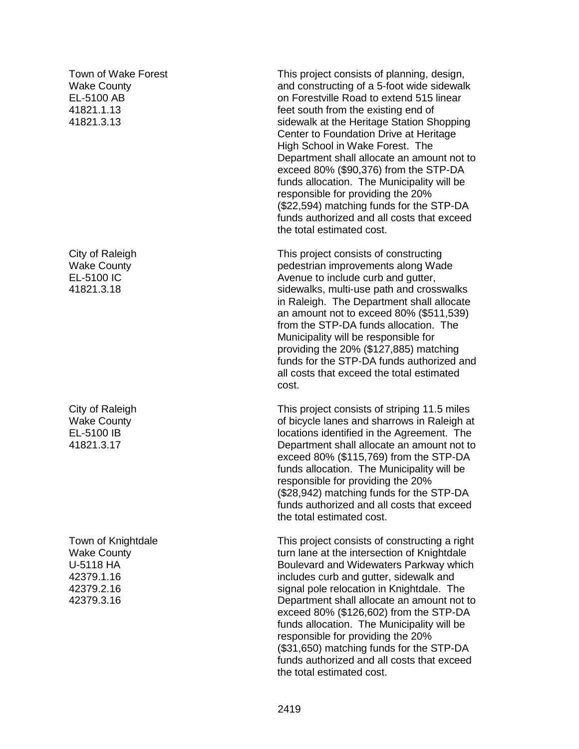Town of Wake Forest Wake County EL-5100 AB 41821.1.13 41821.3.13

City of Raleigh Wake County EL-5100 IC 41821.3.18

City of Raleigh Wake County EL-5100 IB 41821.3.17

Town of Knightdale Wake County U-5118 HA 42379.1.16 42379.2.16 42379.3.16

This project consists of planning, design, and constructing of a 5-foot wide sidewalk on Forestville Road to extend 515 linear feet south from the existing end of sidewalk at the Heritage Station Shopping Center to Foundation Drive at Heritage High School in Wake Forest. The Department shall allocate an amount not to exceed 80% (\$90,376) from the STP-DA funds allocation. The Municipality will be responsible for providing the 20% (\$22,594) matching funds for the STP-DA funds authorized and all costs that exceed the total estimated cost.

This project consists of constructing pedestrian improvements along Wade Avenue to include curb and gutter, sidewalks, multi-use path and crosswalks in Raleigh. The Department shall allocate an amount not to exceed 80% (\$511,539) from the STP-DA funds allocation. The Municipality will be responsible for providing the 20% (\$127,885) matching funds for the STP-DA funds authorized and all costs that exceed the total estimated cost.

This project consists of striping 11.5 miles of bicycle lanes and sharrows in Raleigh at locations identified in the Agreement. The Department shall allocate an amount not to exceed 80% (\$115,769) from the STP-DA funds allocation. The Municipality will be responsible for providing the 20% (\$28,942) matching funds for the STP-DA funds authorized and all costs that exceed the total estimated cost.

This project consists of constructing a right turn lane at the intersection of Knightdale Boulevard and Widewaters Parkway which includes curb and gutter, sidewalk and signal pole relocation in Knightdale. The Department shall allocate an amount not to exceed 80% (\$126,602) from the STP-DA funds allocation. The Municipality will be responsible for providing the 20% (\$31,650) matching funds for the STP-DA funds authorized and all costs that exceed the total estimated cost.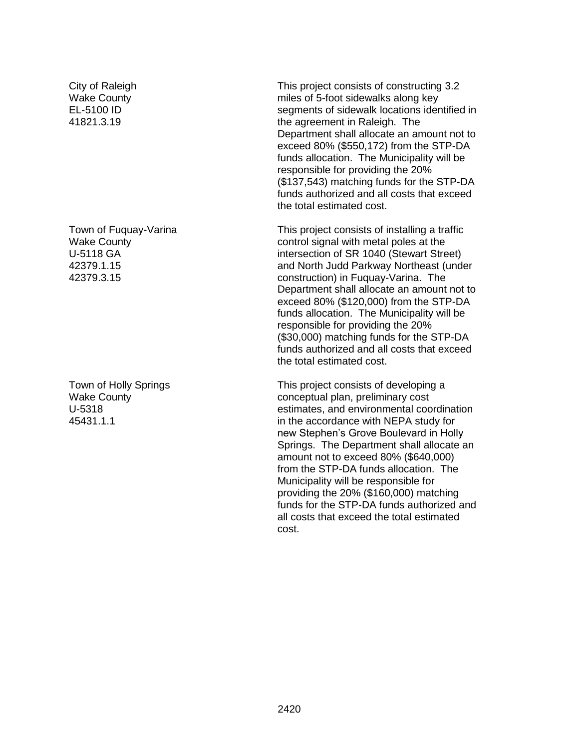City of Raleigh Wake County EL-5100 ID 41821.3.19

Town of Fuquay-Varina Wake County U-5118 GA 42379.1.15 42379.3.15

Town of Holly Springs Wake County U-5318 45431.1.1

This project consists of constructing 3.2 miles of 5-foot sidewalks along key segments of sidewalk locations identified in the agreement in Raleigh. The Department shall allocate an amount not to exceed 80% (\$550,172) from the STP-DA funds allocation. The Municipality will be responsible for providing the 20% (\$137,543) matching funds for the STP-DA funds authorized and all costs that exceed the total estimated cost.

This project consists of installing a traffic control signal with metal poles at the intersection of SR 1040 (Stewart Street) and North Judd Parkway Northeast (under construction) in Fuquay-Varina. The Department shall allocate an amount not to exceed 80% (\$120,000) from the STP-DA funds allocation. The Municipality will be responsible for providing the 20% (\$30,000) matching funds for the STP-DA funds authorized and all costs that exceed the total estimated cost.

This project consists of developing a conceptual plan, preliminary cost estimates, and environmental coordination in the accordance with NEPA study for new Stephen's Grove Boulevard in Holly Springs. The Department shall allocate an amount not to exceed 80% (\$640,000) from the STP-DA funds allocation. The Municipality will be responsible for providing the 20% (\$160,000) matching funds for the STP-DA funds authorized and all costs that exceed the total estimated cost.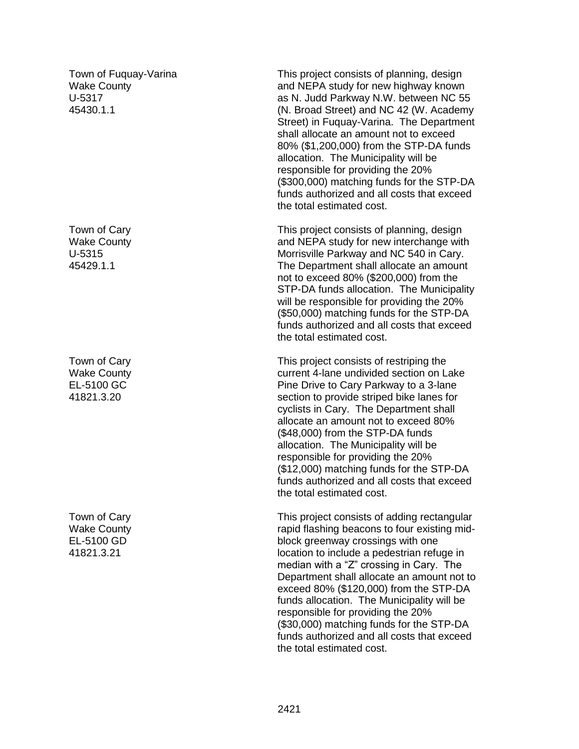Town of Fuquay-Varina Wake County U-5317 45430.1.1

Town of Cary Wake County U-5315 45429.1.1

Town of Cary Wake County EL-5100 GC 41821.3.20

Town of Cary Wake County EL-5100 GD 41821.3.21

This project consists of planning, design and NEPA study for new highway known as N. Judd Parkway N.W. between NC 55 (N. Broad Street) and NC 42 (W. Academy Street) in Fuquay-Varina. The Department shall allocate an amount not to exceed 80% (\$1,200,000) from the STP-DA funds allocation. The Municipality will be responsible for providing the 20% (\$300,000) matching funds for the STP-DA funds authorized and all costs that exceed the total estimated cost.

This project consists of planning, design and NEPA study for new interchange with Morrisville Parkway and NC 540 in Cary. The Department shall allocate an amount not to exceed 80% (\$200,000) from the STP-DA funds allocation. The Municipality will be responsible for providing the 20% (\$50,000) matching funds for the STP-DA funds authorized and all costs that exceed the total estimated cost.

This project consists of restriping the current 4-lane undivided section on Lake Pine Drive to Cary Parkway to a 3-lane section to provide striped bike lanes for cyclists in Cary. The Department shall allocate an amount not to exceed 80% (\$48,000) from the STP-DA funds allocation. The Municipality will be responsible for providing the 20% (\$12,000) matching funds for the STP-DA funds authorized and all costs that exceed the total estimated cost.

This project consists of adding rectangular rapid flashing beacons to four existing midblock greenway crossings with one location to include a pedestrian refuge in median with a "Z" crossing in Cary. The Department shall allocate an amount not to exceed 80% (\$120,000) from the STP-DA funds allocation. The Municipality will be responsible for providing the 20% (\$30,000) matching funds for the STP-DA funds authorized and all costs that exceed the total estimated cost.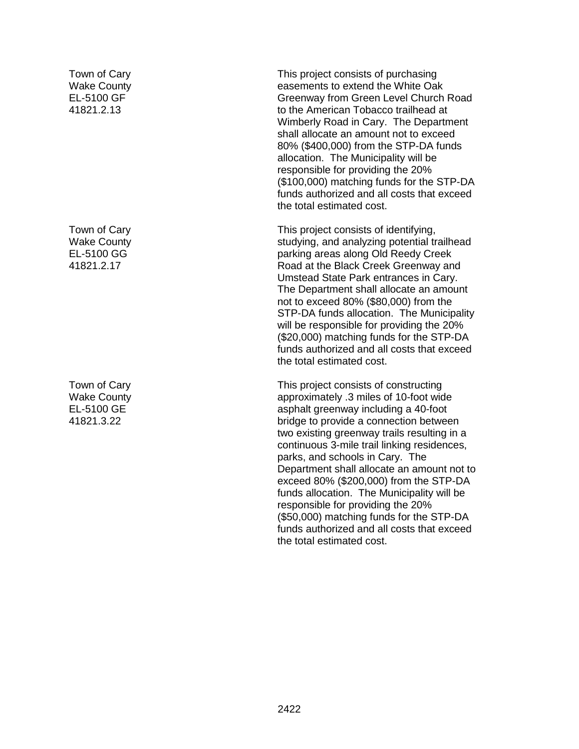Town of Cary Wake County EL-5100 GF 41821.2.13

Town of Cary Wake County EL-5100 GG 41821.2.17

Town of Cary Wake County EL-5100 GE 41821.3.22

This project consists of purchasing easements to extend the White Oak Greenway from Green Level Church Road to the American Tobacco trailhead at Wimberly Road in Cary. The Department shall allocate an amount not to exceed 80% (\$400,000) from the STP-DA funds allocation. The Municipality will be responsible for providing the 20% (\$100,000) matching funds for the STP-DA funds authorized and all costs that exceed the total estimated cost.

This project consists of identifying, studying, and analyzing potential trailhead parking areas along Old Reedy Creek Road at the Black Creek Greenway and Umstead State Park entrances in Cary. The Department shall allocate an amount not to exceed 80% (\$80,000) from the STP-DA funds allocation. The Municipality will be responsible for providing the 20% (\$20,000) matching funds for the STP-DA funds authorized and all costs that exceed the total estimated cost.

This project consists of constructing approximately .3 miles of 10-foot wide asphalt greenway including a 40-foot bridge to provide a connection between two existing greenway trails resulting in a continuous 3-mile trail linking residences, parks, and schools in Cary. The Department shall allocate an amount not to exceed 80% (\$200,000) from the STP-DA funds allocation. The Municipality will be responsible for providing the 20% (\$50,000) matching funds for the STP-DA funds authorized and all costs that exceed the total estimated cost.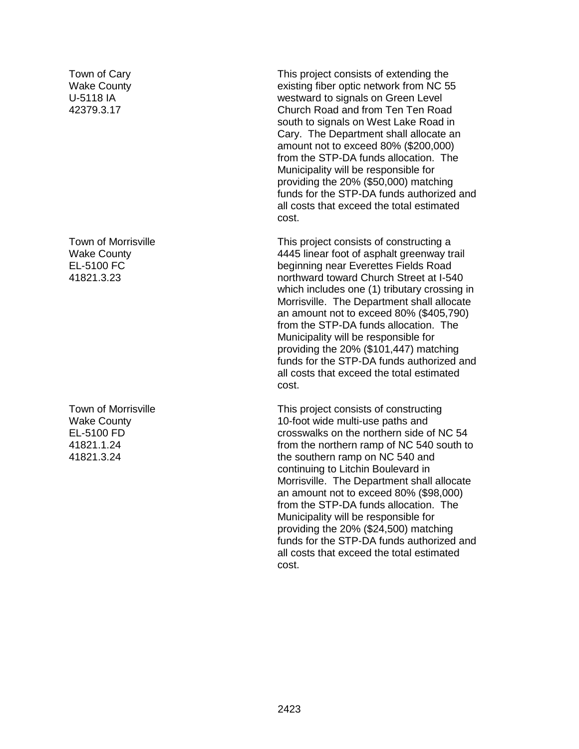Town of Cary Wake County U-5118 IA 42379.3.17

Town of Morrisville Wake County EL-5100 FC 41821.3.23

Town of Morrisville Wake County EL-5100 FD 41821.1.24 41821.3.24

This project consists of extending the existing fiber optic network from NC 55 westward to signals on Green Level Church Road and from Ten Ten Road south to signals on West Lake Road in Cary. The Department shall allocate an amount not to exceed 80% (\$200,000) from the STP-DA funds allocation. The Municipality will be responsible for providing the 20% (\$50,000) matching funds for the STP-DA funds authorized and all costs that exceed the total estimated cost.

This project consists of constructing a 4445 linear foot of asphalt greenway trail beginning near Everettes Fields Road northward toward Church Street at I-540 which includes one (1) tributary crossing in Morrisville. The Department shall allocate an amount not to exceed 80% (\$405,790) from the STP-DA funds allocation. The Municipality will be responsible for providing the 20% (\$101,447) matching funds for the STP-DA funds authorized and all costs that exceed the total estimated cost.

This project consists of constructing 10-foot wide multi-use paths and crosswalks on the northern side of NC 54 from the northern ramp of NC 540 south to the southern ramp on NC 540 and continuing to Litchin Boulevard in Morrisville. The Department shall allocate an amount not to exceed 80% (\$98,000) from the STP-DA funds allocation. The Municipality will be responsible for providing the 20% (\$24,500) matching funds for the STP-DA funds authorized and all costs that exceed the total estimated cost.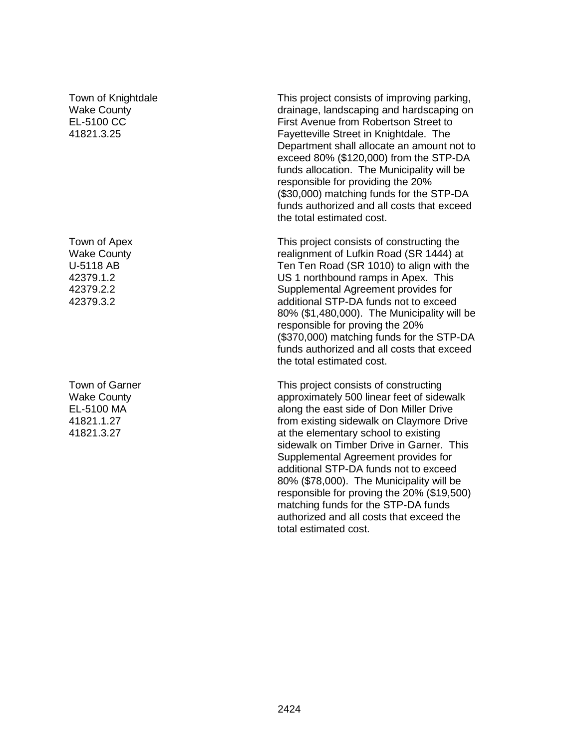### Town of Knightdale Wake County EL-5100 CC 41821.3.25

Town of Apex Wake County U-5118 AB 42379.1.2 42379.2.2 42379.3.2

Town of Garner Wake County EL-5100 MA 41821.1.27 41821.3.27

This project consists of improving parking, drainage, landscaping and hardscaping on First Avenue from Robertson Street to Fayetteville Street in Knightdale. The Department shall allocate an amount not to exceed 80% (\$120,000) from the STP-DA funds allocation. The Municipality will be responsible for providing the 20% (\$30,000) matching funds for the STP-DA funds authorized and all costs that exceed the total estimated cost.

This project consists of constructing the realignment of Lufkin Road (SR 1444) at Ten Ten Road (SR 1010) to align with the US 1 northbound ramps in Apex. This Supplemental Agreement provides for additional STP-DA funds not to exceed 80% (\$1,480,000). The Municipality will be responsible for proving the 20% (\$370,000) matching funds for the STP-DA funds authorized and all costs that exceed the total estimated cost.

This project consists of constructing approximately 500 linear feet of sidewalk along the east side of Don Miller Drive from existing sidewalk on Claymore Drive at the elementary school to existing sidewalk on Timber Drive in Garner. This Supplemental Agreement provides for additional STP-DA funds not to exceed 80% (\$78,000). The Municipality will be responsible for proving the 20% (\$19,500) matching funds for the STP-DA funds authorized and all costs that exceed the total estimated cost.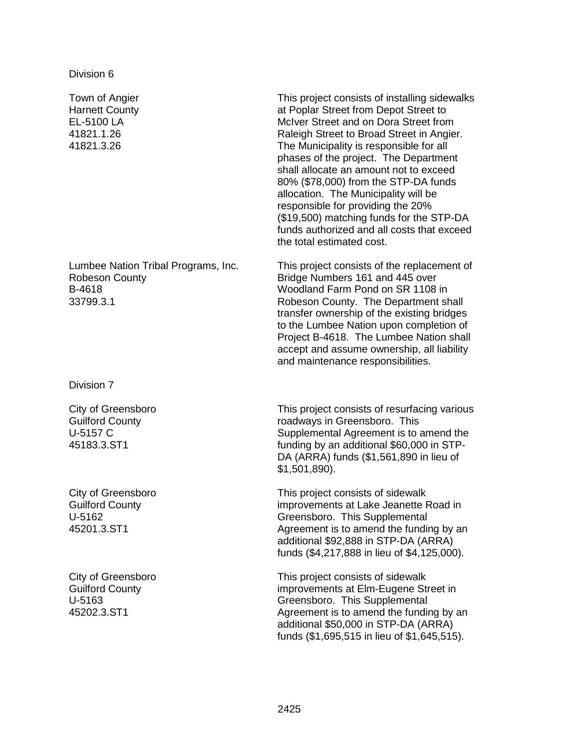Division 6

Town of Angier Harnett County EL-5100 LA 41821.1.26 41821.3.26

Lumbee Nation Tribal Programs, Inc. Robeson County B-4618 33799.3.1

Division 7

City of Greensboro Guilford County U-5157 C 45183.3.ST1

City of Greensboro Guilford County U-5162 45201.3.ST1

City of Greensboro Guilford County U-5163 45202.3.ST1

This project consists of installing sidewalks at Poplar Street from Depot Street to McIver Street and on Dora Street from Raleigh Street to Broad Street in Angier. The Municipality is responsible for all phases of the project. The Department shall allocate an amount not to exceed 80% (\$78,000) from the STP-DA funds allocation. The Municipality will be responsible for providing the 20% (\$19,500) matching funds for the STP-DA funds authorized and all costs that exceed the total estimated cost.

This project consists of the replacement of Bridge Numbers 161 and 445 over Woodland Farm Pond on SR 1108 in Robeson County. The Department shall transfer ownership of the existing bridges to the Lumbee Nation upon completion of Project B-4618. The Lumbee Nation shall accept and assume ownership, all liability and maintenance responsibilities.

This project consists of resurfacing various roadways in Greensboro. This Supplemental Agreement is to amend the funding by an additional \$60,000 in STP-DA (ARRA) funds (\$1,561,890 in lieu of \$1,501,890).

This project consists of sidewalk improvements at Lake Jeanette Road in Greensboro. This Supplemental Agreement is to amend the funding by an additional \$92,888 in STP-DA (ARRA) funds (\$4,217,888 in lieu of \$4,125,000).

This project consists of sidewalk improvements at Elm-Eugene Street in Greensboro. This Supplemental Agreement is to amend the funding by an additional \$50,000 in STP-DA (ARRA) funds (\$1,695,515 in lieu of \$1,645,515).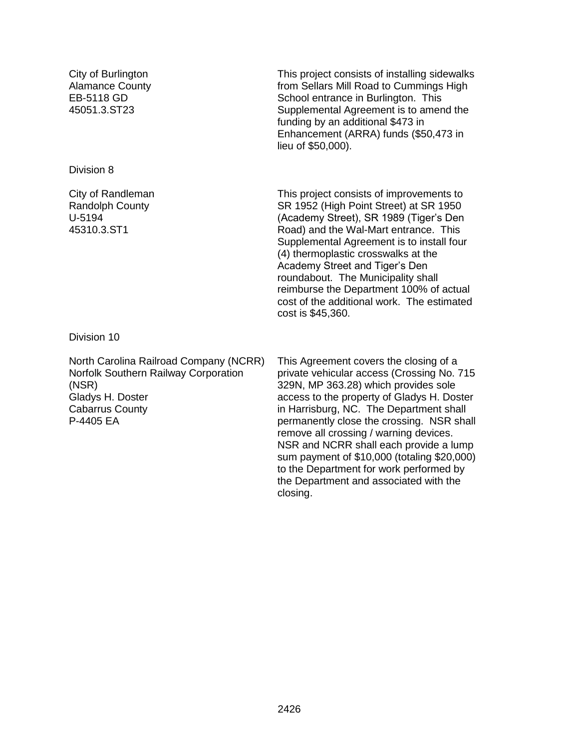City of Burlington Alamance County EB-5118 GD 45051.3.ST23

Division 8

City of Randleman Randolph County U-5194 45310.3.ST1

Division 10

North Carolina Railroad Company (NCRR) Norfolk Southern Railway Corporation (NSR) Gladys H. Doster Cabarrus County P-4405 EA

This project consists of installing sidewalks from Sellars Mill Road to Cummings High School entrance in Burlington. This Supplemental Agreement is to amend the funding by an additional \$473 in Enhancement (ARRA) funds (\$50,473 in lieu of \$50,000).

This project consists of improvements to SR 1952 (High Point Street) at SR 1950 (Academy Street), SR 1989 (Tiger's Den Road) and the Wal-Mart entrance. This Supplemental Agreement is to install four (4) thermoplastic crosswalks at the Academy Street and Tiger's Den roundabout. The Municipality shall reimburse the Department 100% of actual cost of the additional work. The estimated cost is \$45,360.

This Agreement covers the closing of a private vehicular access (Crossing No. 715 329N, MP 363.28) which provides sole access to the property of Gladys H. Doster in Harrisburg, NC. The Department shall permanently close the crossing. NSR shall remove all crossing / warning devices. NSR and NCRR shall each provide a lump sum payment of \$10,000 (totaling \$20,000) to the Department for work performed by the Department and associated with the closing.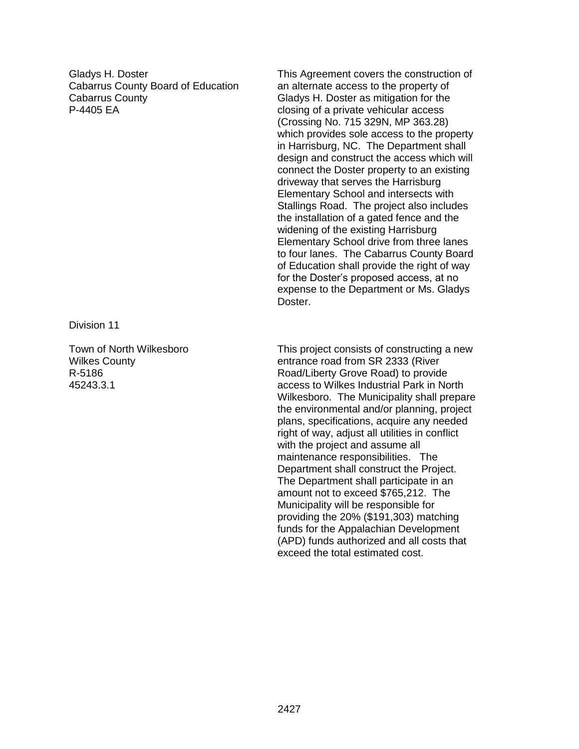Gladys H. Doster Cabarrus County Board of Education Cabarrus County P-4405 EA

Division 11

Town of North Wilkesboro Wilkes County R-5186 45243.3.1

This Agreement covers the construction of an alternate access to the property of Gladys H. Doster as mitigation for the closing of a private vehicular access (Crossing No. 715 329N, MP 363.28) which provides sole access to the property in Harrisburg, NC. The Department shall design and construct the access which will connect the Doster property to an existing driveway that serves the Harrisburg Elementary School and intersects with Stallings Road. The project also includes the installation of a gated fence and the widening of the existing Harrisburg Elementary School drive from three lanes to four lanes. The Cabarrus County Board of Education shall provide the right of way for the Doster's proposed access, at no expense to the Department or Ms. Gladys Doster.

This project consists of constructing a new entrance road from SR 2333 (River Road/Liberty Grove Road) to provide access to Wilkes Industrial Park in North Wilkesboro. The Municipality shall prepare the environmental and/or planning, project plans, specifications, acquire any needed right of way, adjust all utilities in conflict with the project and assume all maintenance responsibilities. The Department shall construct the Project. The Department shall participate in an amount not to exceed \$765,212. The Municipality will be responsible for providing the 20% (\$191,303) matching funds for the Appalachian Development (APD) funds authorized and all costs that exceed the total estimated cost.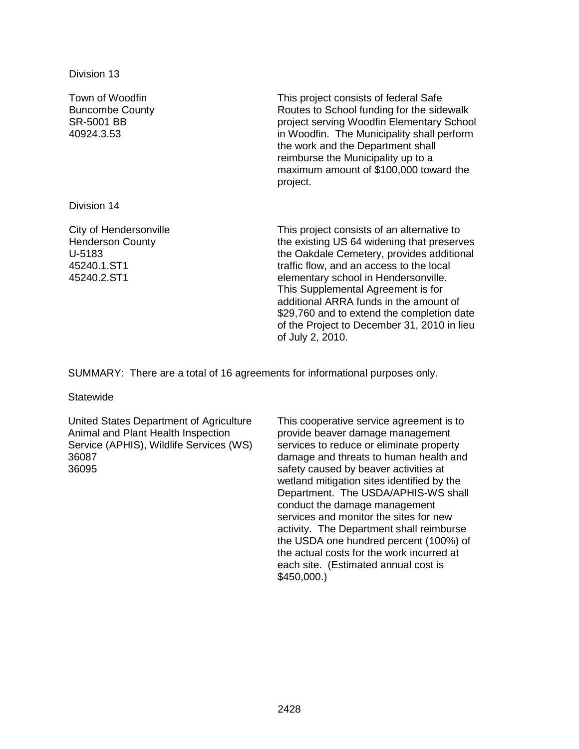Division 13

Town of Woodfin Buncombe County SR-5001 BB 40924.3.53 This project consists of federal Safe Routes to School funding for the sidewalk project serving Woodfin Elementary School in Woodfin. The Municipality shall perform the work and the Department shall reimburse the Municipality up to a maximum amount of \$100,000 toward the project. Division 14 City of Hendersonville Henderson County U-5183 This project consists of an alternative to

45240.1.ST1 45240.2.ST1

the existing US 64 widening that preserves the Oakdale Cemetery, provides additional traffic flow, and an access to the local elementary school in Hendersonville. This Supplemental Agreement is for additional ARRA funds in the amount of \$29,760 and to extend the completion date of the Project to December 31, 2010 in lieu of July 2, 2010.

SUMMARY: There are a total of 16 agreements for informational purposes only.

**Statewide** 

United States Department of Agriculture Animal and Plant Health Inspection Service (APHIS), Wildlife Services (WS) 36087 36095

This cooperative service agreement is to provide beaver damage management services to reduce or eliminate property damage and threats to human health and safety caused by beaver activities at wetland mitigation sites identified by the Department. The USDA/APHIS-WS shall conduct the damage management services and monitor the sites for new activity. The Department shall reimburse the USDA one hundred percent (100%) of the actual costs for the work incurred at each site. (Estimated annual cost is \$450,000.)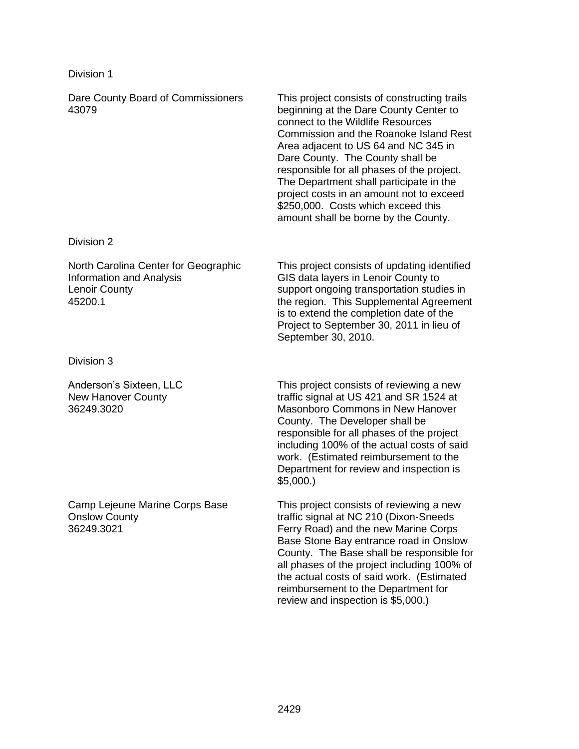### Division 1

Dare County Board of Commissioners 43079 This project consists of constructing trails beginning at the Dare County Center to connect to the Wildlife Resources Commission and the Roanoke Island Rest Area adjacent to US 64 and NC 345 in Dare County. The County shall be responsible for all phases of the project. The Department shall participate in the project costs in an amount not to exceed \$250,000. Costs which exceed this amount shall be borne by the County.

### Division 2

North Carolina Center for Geographic Information and Analysis Lenoir County 45200.1

Division 3

Anderson's Sixteen, LLC New Hanover County 36249.3020

Camp Lejeune Marine Corps Base Onslow County 36249.3021

This project consists of updating identified GIS data layers in Lenoir County to support ongoing transportation studies in the region. This Supplemental Agreement is to extend the completion date of the Project to September 30, 2011 in lieu of September 30, 2010.

This project consists of reviewing a new traffic signal at US 421 and SR 1524 at Masonboro Commons in New Hanover County. The Developer shall be responsible for all phases of the project including 100% of the actual costs of said work. (Estimated reimbursement to the Department for review and inspection is \$5,000.)

This project consists of reviewing a new traffic signal at NC 210 (Dixon-Sneeds Ferry Road) and the new Marine Corps Base Stone Bay entrance road in Onslow County. The Base shall be responsible for all phases of the project including 100% of the actual costs of said work. (Estimated reimbursement to the Department for review and inspection is \$5,000.)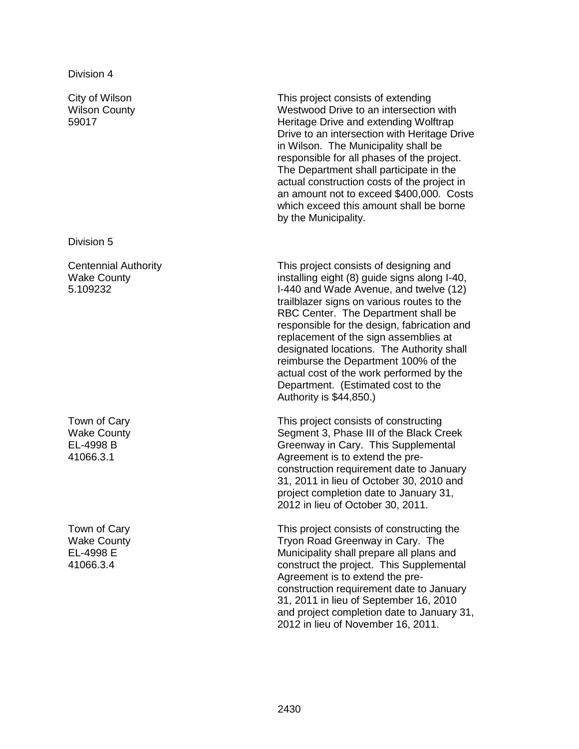City of Wilson Wilson County 59017

Division 5

Centennial Authority Wake County 5.109232

Town of Cary Wake County EL-4998 B 41066.3.1

Town of Cary Wake County EL-4998 E 41066.3.4

This project consists of extending Westwood Drive to an intersection with Heritage Drive and extending Wolftrap Drive to an intersection with Heritage Drive in Wilson. The Municipality shall be responsible for all phases of the project. The Department shall participate in the actual construction costs of the project in an amount not to exceed \$400,000. Costs which exceed this amount shall be borne by the Municipality.

This project consists of designing and installing eight (8) guide signs along I-40, I-440 and Wade Avenue, and twelve (12) trailblazer signs on various routes to the RBC Center. The Department shall be responsible for the design, fabrication and replacement of the sign assemblies at designated locations. The Authority shall reimburse the Department 100% of the actual cost of the work performed by the Department. (Estimated cost to the Authority is \$44,850.)

This project consists of constructing Segment 3, Phase III of the Black Creek Greenway in Cary. This Supplemental Agreement is to extend the preconstruction requirement date to January 31, 2011 in lieu of October 30, 2010 and project completion date to January 31, 2012 in lieu of October 30, 2011.

This project consists of constructing the Tryon Road Greenway in Cary. The Municipality shall prepare all plans and construct the project. This Supplemental Agreement is to extend the preconstruction requirement date to January 31, 2011 in lieu of September 16, 2010 and project completion date to January 31, 2012 in lieu of November 16, 2011.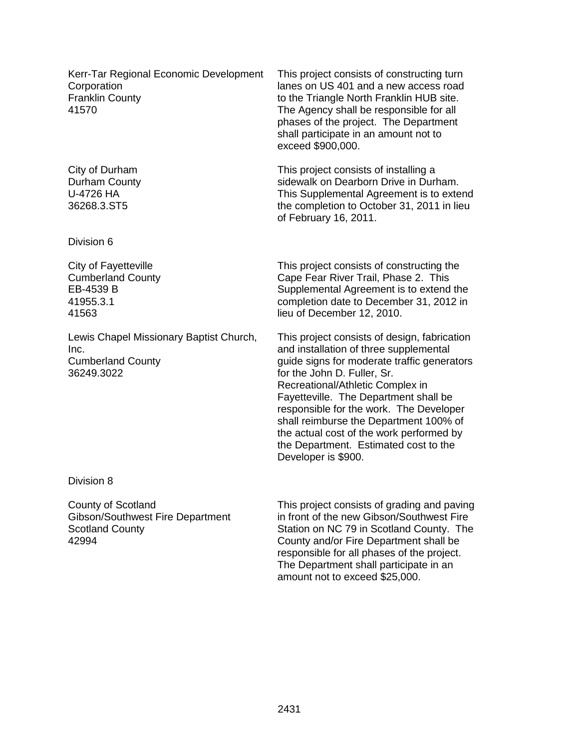Kerr-Tar Regional Economic Development **Corporation** Franklin County 41570

City of Durham Durham County U-4726 HA 36268.3.ST5

Division 6

City of Fayetteville Cumberland County EB-4539 B 41955.3.1 41563

Lewis Chapel Missionary Baptist Church, Inc. Cumberland County 36249.3022

This project consists of constructing turn lanes on US 401 and a new access road to the Triangle North Franklin HUB site. The Agency shall be responsible for all phases of the project. The Department shall participate in an amount not to exceed \$900,000.

This project consists of installing a sidewalk on Dearborn Drive in Durham. This Supplemental Agreement is to extend the completion to October 31, 2011 in lieu of February 16, 2011.

This project consists of constructing the Cape Fear River Trail, Phase 2. This Supplemental Agreement is to extend the completion date to December 31, 2012 in lieu of December 12, 2010.

This project consists of design, fabrication and installation of three supplemental guide signs for moderate traffic generators for the John D. Fuller, Sr. Recreational/Athletic Complex in Fayetteville. The Department shall be responsible for the work. The Developer shall reimburse the Department 100% of the actual cost of the work performed by the Department. Estimated cost to the Developer is \$900.

Division 8

County of Scotland Gibson/Southwest Fire Department Scotland County 42994

This project consists of grading and paving in front of the new Gibson/Southwest Fire Station on NC 79 in Scotland County. The County and/or Fire Department shall be responsible for all phases of the project. The Department shall participate in an amount not to exceed \$25,000.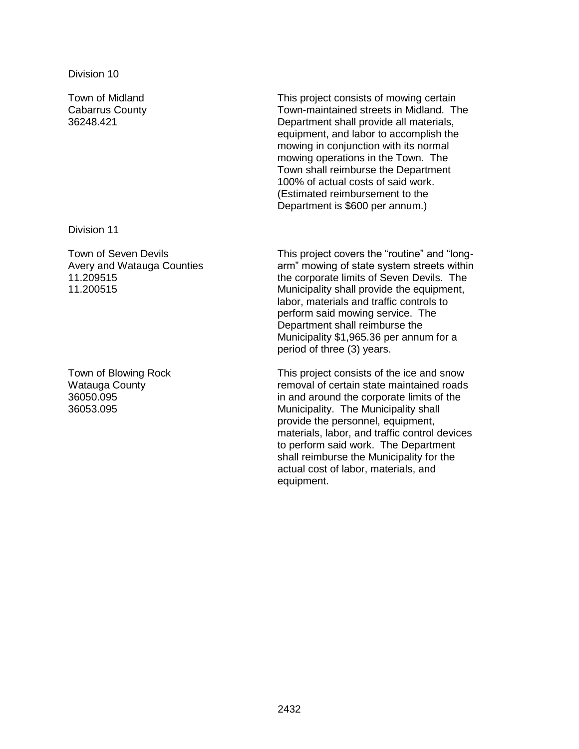Town of Midland Cabarrus County 36248.421

Division 11

Town of Seven Devils Avery and Watauga Counties 11.209515 11.200515

Town of Blowing Rock Watauga County 36050.095 36053.095

This project consists of mowing certain Town-maintained streets in Midland. The Department shall provide all materials, equipment, and labor to accomplish the mowing in conjunction with its normal mowing operations in the Town. The Town shall reimburse the Department 100% of actual costs of said work. (Estimated reimbursement to the Department is \$600 per annum.)

This project covers the "routine" and "longarm" mowing of state system streets within the corporate limits of Seven Devils. The Municipality shall provide the equipment, labor, materials and traffic controls to perform said mowing service. The Department shall reimburse the Municipality \$1,965.36 per annum for a period of three (3) years.

This project consists of the ice and snow removal of certain state maintained roads in and around the corporate limits of the Municipality. The Municipality shall provide the personnel, equipment, materials, labor, and traffic control devices to perform said work. The Department shall reimburse the Municipality for the actual cost of labor, materials, and equipment.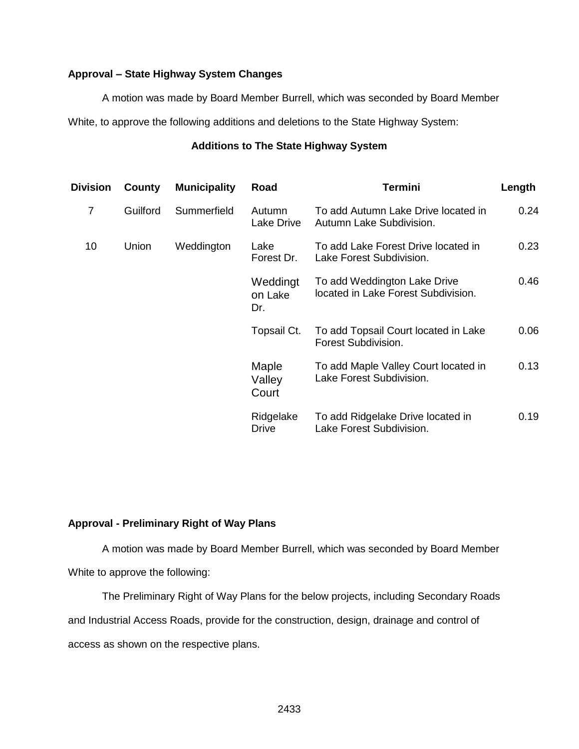# **Approval – State Highway System Changes**

A motion was made by Board Member Burrell, which was seconded by Board Member

White, to approve the following additions and deletions to the State Highway System:

# **Additions to The State Highway System**

| <b>Division</b> | County   | <b>Municipality</b> | Road                       | <b>Termini</b>                                                      | Length |
|-----------------|----------|---------------------|----------------------------|---------------------------------------------------------------------|--------|
| $\overline{7}$  | Guilford | Summerfield         | Autumn<br>Lake Drive       | To add Autumn Lake Drive located in<br>Autumn Lake Subdivision.     | 0.24   |
| 10              | Union    | Weddington          | Lake<br>Forest Dr.         | To add Lake Forest Drive located in<br>Lake Forest Subdivision.     | 0.23   |
|                 |          |                     | Weddingt<br>on Lake<br>Dr. | To add Weddington Lake Drive<br>located in Lake Forest Subdivision. | 0.46   |
|                 |          |                     | Topsail Ct.                | To add Topsail Court located in Lake<br>Forest Subdivision.         | 0.06   |
|                 |          |                     | Maple<br>Valley<br>Court   | To add Maple Valley Court located in<br>Lake Forest Subdivision.    | 0.13   |
|                 |          |                     | Ridgelake<br><b>Drive</b>  | To add Ridgelake Drive located in<br>Lake Forest Subdivision.       | 0.19   |

# **Approval - Preliminary Right of Way Plans**

A motion was made by Board Member Burrell, which was seconded by Board Member White to approve the following:

The Preliminary Right of Way Plans for the below projects, including Secondary Roads and Industrial Access Roads, provide for the construction, design, drainage and control of access as shown on the respective plans.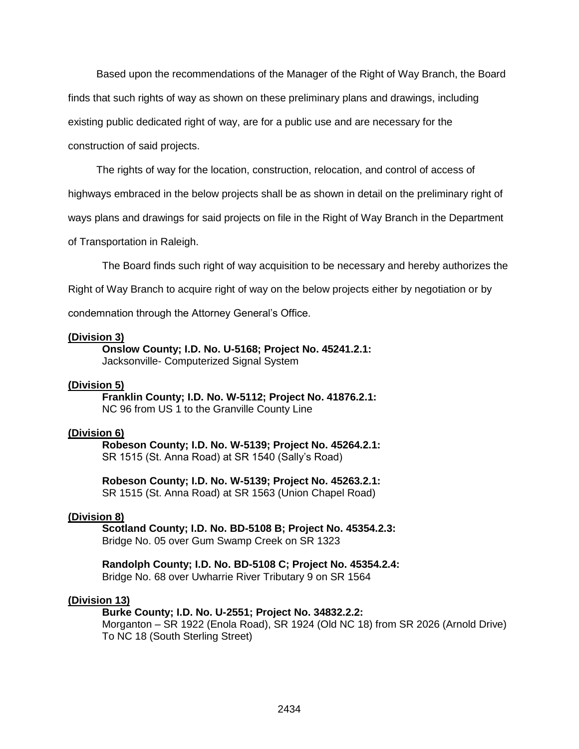Based upon the recommendations of the Manager of the Right of Way Branch, the Board finds that such rights of way as shown on these preliminary plans and drawings, including existing public dedicated right of way, are for a public use and are necessary for the construction of said projects.

The rights of way for the location, construction, relocation, and control of access of

highways embraced in the below projects shall be as shown in detail on the preliminary right of

ways plans and drawings for said projects on file in the Right of Way Branch in the Department

of Transportation in Raleigh.

The Board finds such right of way acquisition to be necessary and hereby authorizes the

Right of Way Branch to acquire right of way on the below projects either by negotiation or by

condemnation through the Attorney General's Office.

#### **(Division 3)**

**Onslow County; I.D. No. U-5168; Project No. 45241.2.1:** Jacksonville- Computerized Signal System

#### **(Division 5)**

**Franklin County; I.D. No. W-5112; Project No. 41876.2.1:** NC 96 from US 1 to the Granville County Line

#### **(Division 6)**

**Robeson County; I.D. No. W-5139; Project No. 45264.2.1:** SR 1515 (St. Anna Road) at SR 1540 (Sally's Road)

**Robeson County; I.D. No. W-5139; Project No. 45263.2.1:** SR 1515 (St. Anna Road) at SR 1563 (Union Chapel Road)

#### **(Division 8)**

**Scotland County; I.D. No. BD-5108 B; Project No. 45354.2.3:** Bridge No. 05 over Gum Swamp Creek on SR 1323

**Randolph County; I.D. No. BD-5108 C; Project No. 45354.2.4:** Bridge No. 68 over Uwharrie River Tributary 9 on SR 1564

#### **(Division 13)**

#### **Burke County; I.D. No. U-2551; Project No. 34832.2.2:**

Morganton – SR 1922 (Enola Road), SR 1924 (Old NC 18) from SR 2026 (Arnold Drive) To NC 18 (South Sterling Street)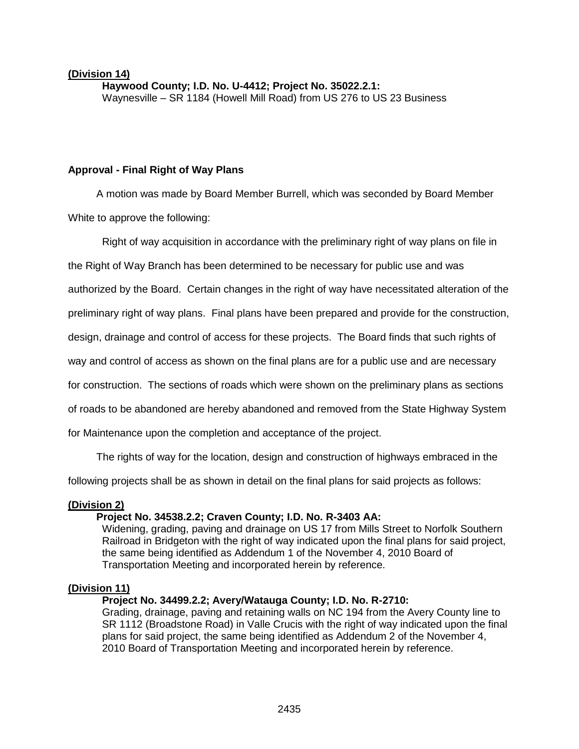# **(Division 14)**

**Haywood County; I.D. No. U-4412; Project No. 35022.2.1:** Waynesville – SR 1184 (Howell Mill Road) from US 276 to US 23 Business

## **Approval - Final Right of Way Plans**

A motion was made by Board Member Burrell, which was seconded by Board Member

White to approve the following:

Right of way acquisition in accordance with the preliminary right of way plans on file in

the Right of Way Branch has been determined to be necessary for public use and was

authorized by the Board. Certain changes in the right of way have necessitated alteration of the

preliminary right of way plans. Final plans have been prepared and provide for the construction,

design, drainage and control of access for these projects. The Board finds that such rights of

way and control of access as shown on the final plans are for a public use and are necessary

for construction. The sections of roads which were shown on the preliminary plans as sections

of roads to be abandoned are hereby abandoned and removed from the State Highway System

for Maintenance upon the completion and acceptance of the project.

The rights of way for the location, design and construction of highways embraced in the

following projects shall be as shown in detail on the final plans for said projects as follows:

### **(Division 2)**

# **Project No. 34538.2.2; Craven County; I.D. No. R-3403 AA:**

Widening, grading, paving and drainage on US 17 from Mills Street to Norfolk Southern Railroad in Bridgeton with the right of way indicated upon the final plans for said project, the same being identified as Addendum 1 of the November 4, 2010 Board of Transportation Meeting and incorporated herein by reference.

### **(Division 11)**

# **Project No. 34499.2.2; Avery/Watauga County; I.D. No. R-2710:**

Grading, drainage, paving and retaining walls on NC 194 from the Avery County line to SR 1112 (Broadstone Road) in Valle Crucis with the right of way indicated upon the final plans for said project, the same being identified as Addendum 2 of the November 4, 2010 Board of Transportation Meeting and incorporated herein by reference.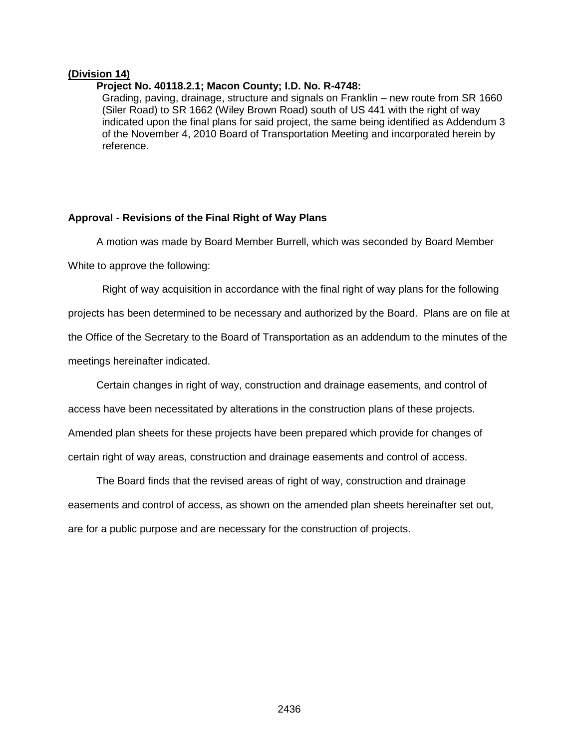### **(Division 14)**

#### **Project No. 40118.2.1; Macon County; I.D. No. R-4748:**

Grading, paving, drainage, structure and signals on Franklin – new route from SR 1660 (Siler Road) to SR 1662 (Wiley Brown Road) south of US 441 with the right of way indicated upon the final plans for said project, the same being identified as Addendum 3 of the November 4, 2010 Board of Transportation Meeting and incorporated herein by reference.

#### **Approval - Revisions of the Final Right of Way Plans**

A motion was made by Board Member Burrell, which was seconded by Board Member

White to approve the following:

Right of way acquisition in accordance with the final right of way plans for the following projects has been determined to be necessary and authorized by the Board. Plans are on file at the Office of the Secretary to the Board of Transportation as an addendum to the minutes of the meetings hereinafter indicated.

Certain changes in right of way, construction and drainage easements, and control of access have been necessitated by alterations in the construction plans of these projects. Amended plan sheets for these projects have been prepared which provide for changes of certain right of way areas, construction and drainage easements and control of access.

The Board finds that the revised areas of right of way, construction and drainage easements and control of access, as shown on the amended plan sheets hereinafter set out, are for a public purpose and are necessary for the construction of projects.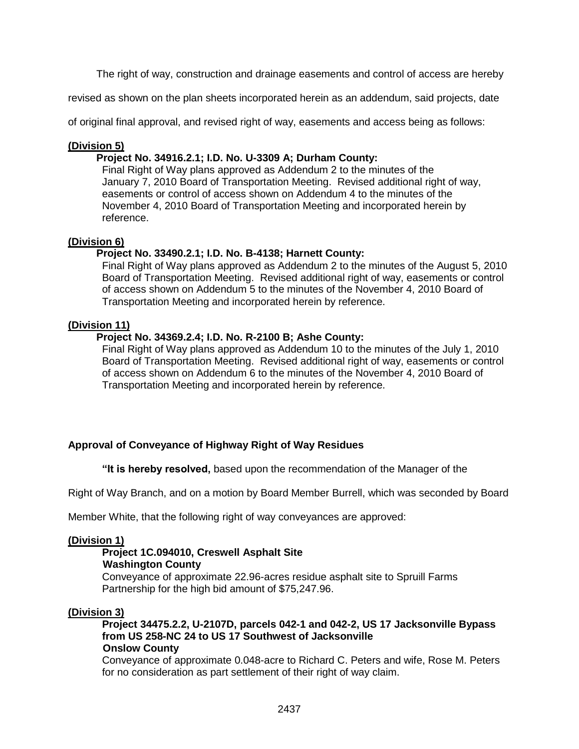The right of way, construction and drainage easements and control of access are hereby

revised as shown on the plan sheets incorporated herein as an addendum, said projects, date

of original final approval, and revised right of way, easements and access being as follows:

### **(Division 5)**

## **Project No. 34916.2.1; I.D. No. U-3309 A; Durham County:**

Final Right of Way plans approved as Addendum 2 to the minutes of the January 7, 2010 Board of Transportation Meeting. Revised additional right of way, easements or control of access shown on Addendum 4 to the minutes of the November 4, 2010 Board of Transportation Meeting and incorporated herein by reference.

### **(Division 6)**

### **Project No. 33490.2.1; I.D. No. B-4138; Harnett County:**

Final Right of Way plans approved as Addendum 2 to the minutes of the August 5, 2010 Board of Transportation Meeting. Revised additional right of way, easements or control of access shown on Addendum 5 to the minutes of the November 4, 2010 Board of Transportation Meeting and incorporated herein by reference.

### **(Division 11)**

### **Project No. 34369.2.4; I.D. No. R-2100 B; Ashe County:**

Final Right of Way plans approved as Addendum 10 to the minutes of the July 1, 2010 Board of Transportation Meeting. Revised additional right of way, easements or control of access shown on Addendum 6 to the minutes of the November 4, 2010 Board of Transportation Meeting and incorporated herein by reference.

# **Approval of Conveyance of Highway Right of Way Residues**

**"It is hereby resolved,** based upon the recommendation of the Manager of the

Right of Way Branch, and on a motion by Board Member Burrell, which was seconded by Board

Member White, that the following right of way conveyances are approved:

### **(Division 1)**

# **Project 1C.094010, Creswell Asphalt Site**

#### **Washington County**

Conveyance of approximate 22.96-acres residue asphalt site to Spruill Farms Partnership for the high bid amount of \$75,247.96.

### **(Division 3)**

**Project 34475.2.2, U-2107D, parcels 042-1 and 042-2, US 17 Jacksonville Bypass from US 258-NC 24 to US 17 Southwest of Jacksonville Onslow County**

Conveyance of approximate 0.048-acre to Richard C. Peters and wife, Rose M. Peters for no consideration as part settlement of their right of way claim.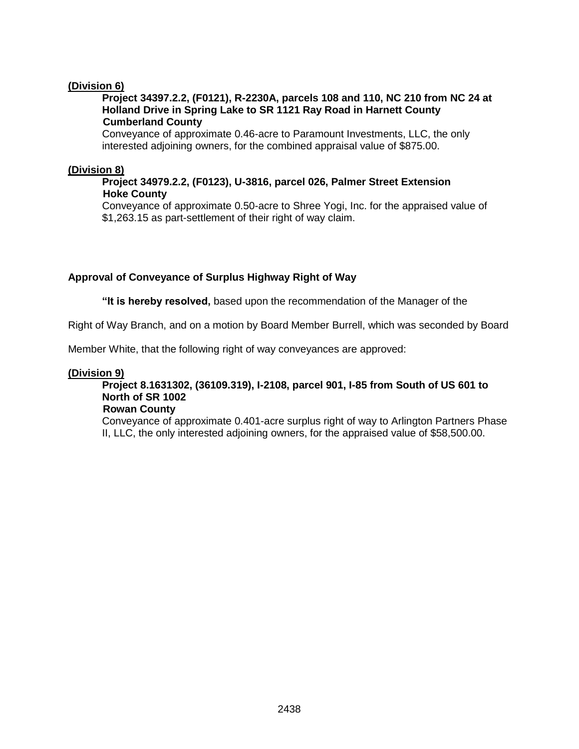# **(Division 6)**

### **Project 34397.2.2, (F0121), R-2230A, parcels 108 and 110, NC 210 from NC 24 at Holland Drive in Spring Lake to SR 1121 Ray Road in Harnett County Cumberland County**

Conveyance of approximate 0.46-acre to Paramount Investments, LLC, the only interested adjoining owners, for the combined appraisal value of \$875.00.

## **(Division 8)**

## **Project 34979.2.2, (F0123), U-3816, parcel 026, Palmer Street Extension Hoke County**

Conveyance of approximate 0.50-acre to Shree Yogi, Inc. for the appraised value of \$1,263.15 as part-settlement of their right of way claim.

# **Approval of Conveyance of Surplus Highway Right of Way**

**"It is hereby resolved,** based upon the recommendation of the Manager of the

Right of Way Branch, and on a motion by Board Member Burrell, which was seconded by Board

Member White, that the following right of way conveyances are approved:

### **(Division 9)**

# **Project 8.1631302, (36109.319), I-2108, parcel 901, I-85 from South of US 601 to North of SR 1002**

### **Rowan County**

Conveyance of approximate 0.401-acre surplus right of way to Arlington Partners Phase II, LLC, the only interested adjoining owners, for the appraised value of \$58,500.00.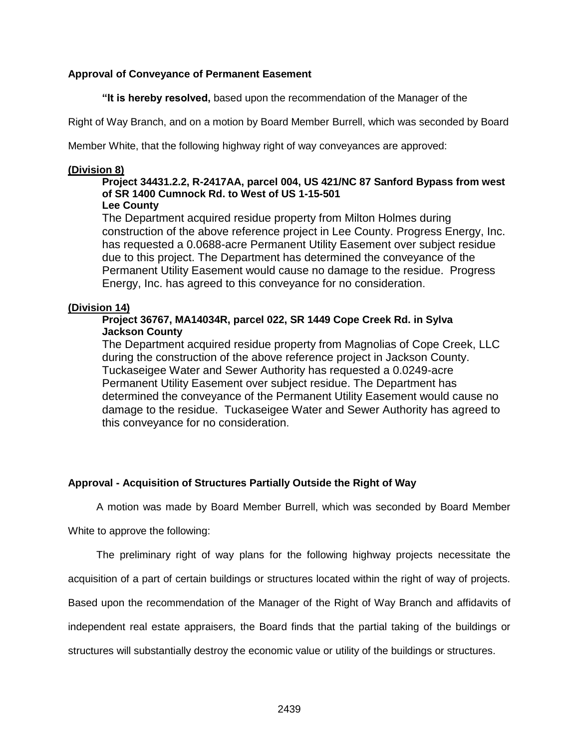# **Approval of Conveyance of Permanent Easement**

**"It is hereby resolved,** based upon the recommendation of the Manager of the

Right of Way Branch, and on a motion by Board Member Burrell, which was seconded by Board

Member White, that the following highway right of way conveyances are approved:

### **(Division 8)**

#### **Project 34431.2.2, R-2417AA, parcel 004, US 421/NC 87 Sanford Bypass from west of SR 1400 Cumnock Rd. to West of US 1-15-501 Lee County**

The Department acquired residue property from Milton Holmes during construction of the above reference project in Lee County. Progress Energy, Inc. has requested a 0.0688-acre Permanent Utility Easement over subject residue due to this project. The Department has determined the conveyance of the Permanent Utility Easement would cause no damage to the residue. Progress Energy, Inc. has agreed to this conveyance for no consideration.

### **(Division 14)**

# **Project 36767, MA14034R, parcel 022, SR 1449 Cope Creek Rd. in Sylva Jackson County**

The Department acquired residue property from Magnolias of Cope Creek, LLC during the construction of the above reference project in Jackson County. Tuckaseigee Water and Sewer Authority has requested a 0.0249-acre Permanent Utility Easement over subject residue. The Department has determined the conveyance of the Permanent Utility Easement would cause no damage to the residue. Tuckaseigee Water and Sewer Authority has agreed to this conveyance for no consideration.

# **Approval - Acquisition of Structures Partially Outside the Right of Way**

A motion was made by Board Member Burrell, which was seconded by Board Member

White to approve the following:

The preliminary right of way plans for the following highway projects necessitate the

acquisition of a part of certain buildings or structures located within the right of way of projects.

Based upon the recommendation of the Manager of the Right of Way Branch and affidavits of

independent real estate appraisers, the Board finds that the partial taking of the buildings or

structures will substantially destroy the economic value or utility of the buildings or structures.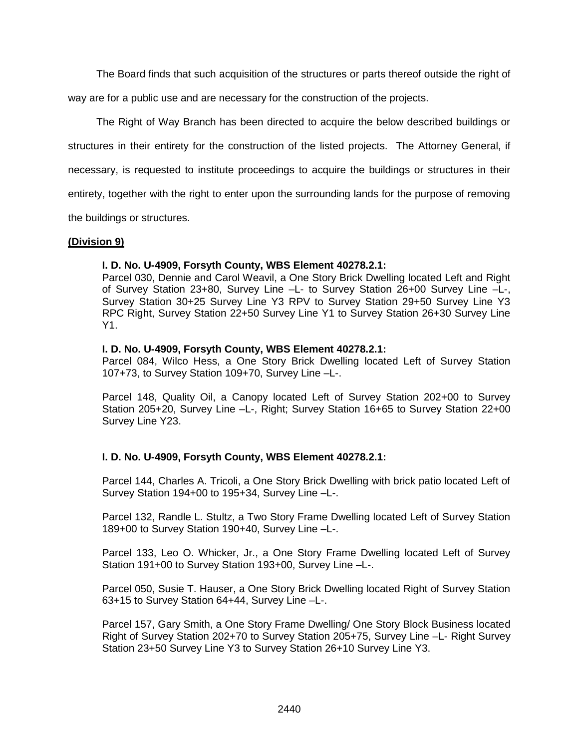The Board finds that such acquisition of the structures or parts thereof outside the right of way are for a public use and are necessary for the construction of the projects.

The Right of Way Branch has been directed to acquire the below described buildings or structures in their entirety for the construction of the listed projects. The Attorney General, if necessary, is requested to institute proceedings to acquire the buildings or structures in their entirety, together with the right to enter upon the surrounding lands for the purpose of removing the buildings or structures.

### **(Division 9)**

### **I. D. No. U-4909, Forsyth County, WBS Element 40278.2.1:**

Parcel 030, Dennie and Carol Weavil, a One Story Brick Dwelling located Left and Right of Survey Station 23+80, Survey Line –L- to Survey Station 26+00 Survey Line –L-, Survey Station 30+25 Survey Line Y3 RPV to Survey Station 29+50 Survey Line Y3 RPC Right, Survey Station 22+50 Survey Line Y1 to Survey Station 26+30 Survey Line Y1.

### **I. D. No. U-4909, Forsyth County, WBS Element 40278.2.1:**

Parcel 084, Wilco Hess, a One Story Brick Dwelling located Left of Survey Station 107+73, to Survey Station 109+70, Survey Line –L-.

Parcel 148, Quality Oil, a Canopy located Left of Survey Station 202+00 to Survey Station 205+20, Survey Line –L-, Right; Survey Station 16+65 to Survey Station 22+00 Survey Line Y23.

# **I. D. No. U-4909, Forsyth County, WBS Element 40278.2.1:**

Parcel 144, Charles A. Tricoli, a One Story Brick Dwelling with brick patio located Left of Survey Station 194+00 to 195+34, Survey Line –L-.

Parcel 132, Randle L. Stultz, a Two Story Frame Dwelling located Left of Survey Station 189+00 to Survey Station 190+40, Survey Line –L-.

Parcel 133, Leo O. Whicker, Jr., a One Story Frame Dwelling located Left of Survey Station 191+00 to Survey Station 193+00, Survey Line –L-.

Parcel 050, Susie T. Hauser, a One Story Brick Dwelling located Right of Survey Station 63+15 to Survey Station 64+44, Survey Line –L-.

Parcel 157, Gary Smith, a One Story Frame Dwelling/ One Story Block Business located Right of Survey Station 202+70 to Survey Station 205+75, Survey Line –L- Right Survey Station 23+50 Survey Line Y3 to Survey Station 26+10 Survey Line Y3.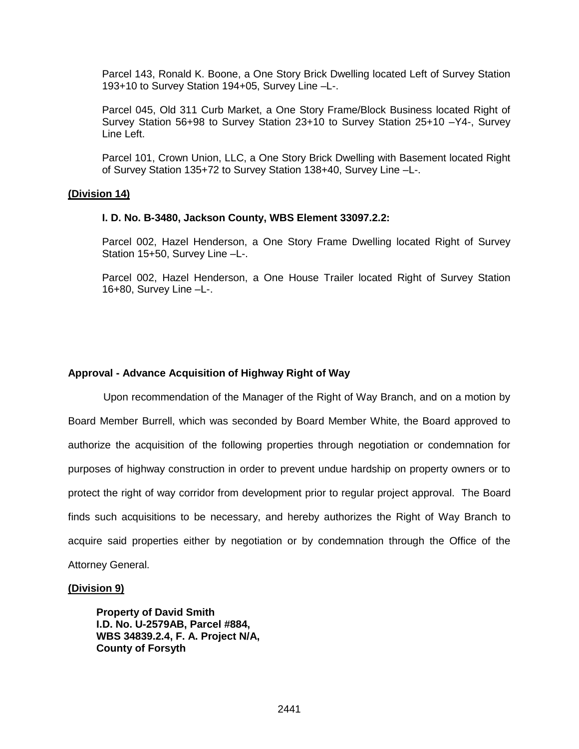Parcel 143, Ronald K. Boone, a One Story Brick Dwelling located Left of Survey Station 193+10 to Survey Station 194+05, Survey Line –L-.

Parcel 045, Old 311 Curb Market, a One Story Frame/Block Business located Right of Survey Station 56+98 to Survey Station 23+10 to Survey Station 25+10 –Y4-, Survey Line Left.

Parcel 101, Crown Union, LLC, a One Story Brick Dwelling with Basement located Right of Survey Station 135+72 to Survey Station 138+40, Survey Line –L-.

#### **(Division 14)**

#### **I. D. No. B-3480, Jackson County, WBS Element 33097.2.2:**

Parcel 002, Hazel Henderson, a One Story Frame Dwelling located Right of Survey Station 15+50, Survey Line –L-.

Parcel 002, Hazel Henderson, a One House Trailer located Right of Survey Station 16+80, Survey Line –L-.

#### **Approval - Advance Acquisition of Highway Right of Way**

 Upon recommendation of the Manager of the Right of Way Branch, and on a motion by Board Member Burrell, which was seconded by Board Member White, the Board approved to authorize the acquisition of the following properties through negotiation or condemnation for purposes of highway construction in order to prevent undue hardship on property owners or to protect the right of way corridor from development prior to regular project approval. The Board finds such acquisitions to be necessary, and hereby authorizes the Right of Way Branch to acquire said properties either by negotiation or by condemnation through the Office of the Attorney General.

#### **(Division 9)**

**Property of David Smith I.D. No. U-2579AB, Parcel #884, WBS 34839.2.4, F. A. Project N/A, County of Forsyth**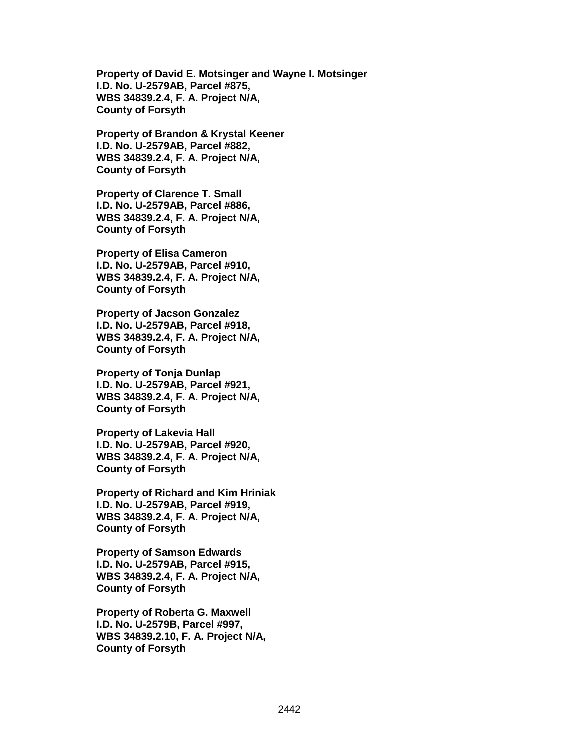**Property of David E. Motsinger and Wayne I. Motsinger I.D. No. U-2579AB, Parcel #875, WBS 34839.2.4, F. A. Project N/A, County of Forsyth**

**Property of Brandon & Krystal Keener I.D. No. U-2579AB, Parcel #882, WBS 34839.2.4, F. A. Project N/A, County of Forsyth**

**Property of Clarence T. Small I.D. No. U-2579AB, Parcel #886, WBS 34839.2.4, F. A. Project N/A, County of Forsyth**

**Property of Elisa Cameron I.D. No. U-2579AB, Parcel #910, WBS 34839.2.4, F. A. Project N/A, County of Forsyth**

**Property of Jacson Gonzalez I.D. No. U-2579AB, Parcel #918, WBS 34839.2.4, F. A. Project N/A, County of Forsyth**

**Property of Tonja Dunlap I.D. No. U-2579AB, Parcel #921, WBS 34839.2.4, F. A. Project N/A, County of Forsyth**

**Property of Lakevia Hall I.D. No. U-2579AB, Parcel #920, WBS 34839.2.4, F. A. Project N/A, County of Forsyth**

**Property of Richard and Kim Hriniak I.D. No. U-2579AB, Parcel #919, WBS 34839.2.4, F. A. Project N/A, County of Forsyth**

**Property of Samson Edwards I.D. No. U-2579AB, Parcel #915, WBS 34839.2.4, F. A. Project N/A, County of Forsyth**

**Property of Roberta G. Maxwell I.D. No. U-2579B, Parcel #997, WBS 34839.2.10, F. A. Project N/A, County of Forsyth**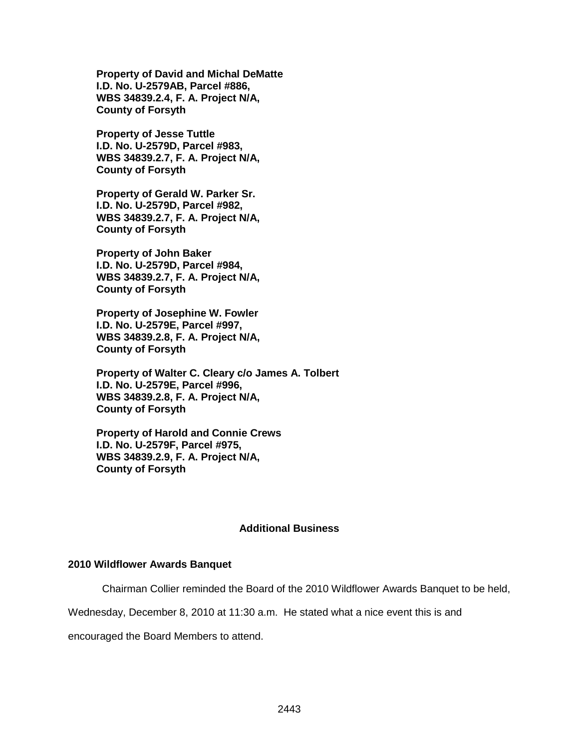**Property of David and Michal DeMatte I.D. No. U-2579AB, Parcel #886, WBS 34839.2.4, F. A. Project N/A, County of Forsyth**

**Property of Jesse Tuttle I.D. No. U-2579D, Parcel #983, WBS 34839.2.7, F. A. Project N/A, County of Forsyth**

**Property of Gerald W. Parker Sr. I.D. No. U-2579D, Parcel #982, WBS 34839.2.7, F. A. Project N/A, County of Forsyth**

**Property of John Baker I.D. No. U-2579D, Parcel #984, WBS 34839.2.7, F. A. Project N/A, County of Forsyth**

**Property of Josephine W. Fowler I.D. No. U-2579E, Parcel #997, WBS 34839.2.8, F. A. Project N/A, County of Forsyth**

**Property of Walter C. Cleary c/o James A. Tolbert I.D. No. U-2579E, Parcel #996, WBS 34839.2.8, F. A. Project N/A, County of Forsyth**

**Property of Harold and Connie Crews I.D. No. U-2579F, Parcel #975, WBS 34839.2.9, F. A. Project N/A, County of Forsyth**

#### **Additional Business**

#### **2010 Wildflower Awards Banquet**

Chairman Collier reminded the Board of the 2010 Wildflower Awards Banquet to be held,

Wednesday, December 8, 2010 at 11:30 a.m. He stated what a nice event this is and

encouraged the Board Members to attend.